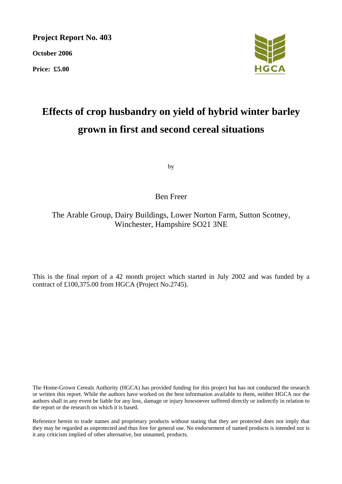**Project Report No. 403** 

**October 2006** 

**Price: £5.00** 



# **Effects of crop husbandry on yield of hybrid winter barley grown in first and second cereal situations**

by

# Ben Freer

The Arable Group, Dairy Buildings, Lower Norton Farm, Sutton Scotney, Winchester, Hampshire SO21 3NE

This is the final report of a 42 month project which started in July 2002 and was funded by a contract of £100,375.00 from HGCA (Project No.2745).

The Home-Grown Cereals Authority (HGCA) has provided funding for this project but has not conducted the research or written this report. While the authors have worked on the best information available to them, neither HGCA nor the authors shall in any event be liable for any loss, damage or injury howsoever suffered directly or indirectly in relation to the report or the research on which it is based.

Reference herein to trade names and proprietary products without stating that they are protected does not imply that they may be regarded as unprotected and thus free for general use. No endorsement of named products is intended nor is it any criticism implied of other alternative, but unnamed, products.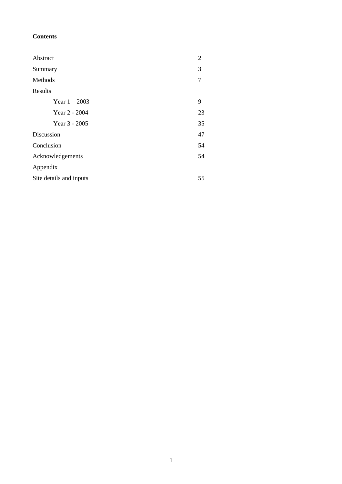# **Contents**

| Abstract                | 2  |
|-------------------------|----|
| Summary                 | 3  |
| Methods                 | 7  |
| Results                 |    |
| Year $1 - 2003$         | 9  |
| Year 2 - 2004           | 23 |
| Year 3 - 2005           | 35 |
| Discussion              | 47 |
| Conclusion              | 54 |
| Acknowledgements        | 54 |
| Appendix                |    |
| Site details and inputs |    |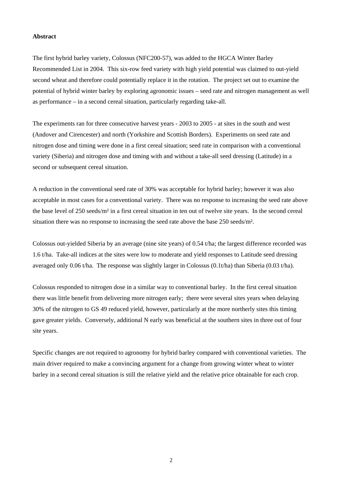#### **Abstract**

The first hybrid barley variety, Colossus (NFC200-57), was added to the HGCA Winter Barley Recommended List in 2004. This six-row feed variety with high yield potential was claimed to out-yield second wheat and therefore could potentially replace it in the rotation. The project set out to examine the potential of hybrid winter barley by exploring agronomic issues – seed rate and nitrogen management as well as performance – in a second cereal situation, particularly regarding take-all.

The experiments ran for three consecutive harvest years - 2003 to 2005 - at sites in the south and west (Andover and Cirencester) and north (Yorkshire and Scottish Borders). Experiments on seed rate and nitrogen dose and timing were done in a first cereal situation; seed rate in comparison with a conventional variety (Siberia) and nitrogen dose and timing with and without a take-all seed dressing (Latitude) in a second or subsequent cereal situation.

A reduction in the conventional seed rate of 30% was acceptable for hybrid barley; however it was also acceptable in most cases for a conventional variety. There was no response to increasing the seed rate above the base level of 250 seeds/m² in a first cereal situation in ten out of twelve site years. In the second cereal situation there was no response to increasing the seed rate above the base 250 seeds/m².

Colossus out-yielded Siberia by an average (nine site years) of 0.54 t/ha; the largest difference recorded was 1.6 t/ha. Take-all indices at the sites were low to moderate and yield responses to Latitude seed dressing averaged only 0.06 t/ha. The response was slightly larger in Colossus (0.1t/ha) than Siberia (0.03 t/ha).

Colossus responded to nitrogen dose in a similar way to conventional barley. In the first cereal situation there was little benefit from delivering more nitrogen early; there were several sites years when delaying 30% of the nitrogen to GS 49 reduced yield, however, particularly at the more northerly sites this timing gave greater yields. Conversely, additional N early was beneficial at the southern sites in three out of four site years.

Specific changes are not required to agronomy for hybrid barley compared with conventional varieties. The main driver required to make a convincing argument for a change from growing winter wheat to winter barley in a second cereal situation is still the relative yield and the relative price obtainable for each crop.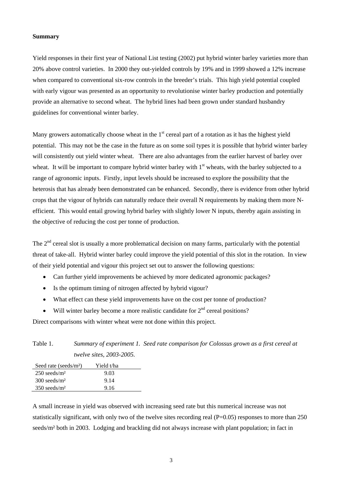#### **Summary**

Yield responses in their first year of National List testing (2002) put hybrid winter barley varieties more than 20% above control varieties. In 2000 they out-yielded controls by 19% and in 1999 showed a 12% increase when compared to conventional six-row controls in the breeder's trials. This high yield potential coupled with early vigour was presented as an opportunity to revolutionise winter barley production and potentially provide an alternative to second wheat. The hybrid lines had been grown under standard husbandry guidelines for conventional winter barley.

Many growers automatically choose wheat in the  $1<sup>st</sup>$  cereal part of a rotation as it has the highest yield potential. This may not be the case in the future as on some soil types it is possible that hybrid winter barley will consistently out yield winter wheat. There are also advantages from the earlier harvest of barley over wheat. It will be important to compare hybrid winter barley with 1<sup>st</sup> wheats, with the barley subjected to a range of agronomic inputs. Firstly, input levels should be increased to explore the possibility that the heterosis that has already been demonstrated can be enhanced. Secondly, there is evidence from other hybrid crops that the vigour of hybrids can naturally reduce their overall N requirements by making them more Nefficient. This would entail growing hybrid barley with slightly lower N inputs, thereby again assisting in the objective of reducing the cost per tonne of production.

The 2<sup>nd</sup> cereal slot is usually a more problematical decision on many farms, particularly with the potential threat of take-all. Hybrid winter barley could improve the yield potential of this slot in the rotation. In view of their yield potential and vigour this project set out to answer the following questions:

- Can further yield improvements be achieved by more dedicated agronomic packages?
- Is the optimum timing of nitrogen affected by hybrid vigour?
- What effect can these yield improvements have on the cost per tonne of production?
- Will winter barley become a more realistic candidate for  $2<sup>nd</sup>$  cereal positions?

Direct comparisons with winter wheat were not done within this project.

| Table 1. |                                 | Summary of experiment 1. Seed rate comparison for Colossus grown as a first cereal at |  |
|----------|---------------------------------|---------------------------------------------------------------------------------------|--|
|          | <i>twelve sites, 2003-2005.</i> |                                                                                       |  |

| Seed rate (seeds/ $m2$ )   | Yield t/ha |  |
|----------------------------|------------|--|
| $250$ seeds/m <sup>2</sup> | 9.03       |  |
| $300$ seeds/m <sup>2</sup> | 9.14       |  |
| $350$ seeds/m <sup>2</sup> | 9.16       |  |
|                            |            |  |

A small increase in yield was observed with increasing seed rate but this numerical increase was not statistically significant, with only two of the twelve sites recording real (P=0.05) responses to more than 250 seeds/m² both in 2003. Lodging and brackling did not always increase with plant population; in fact in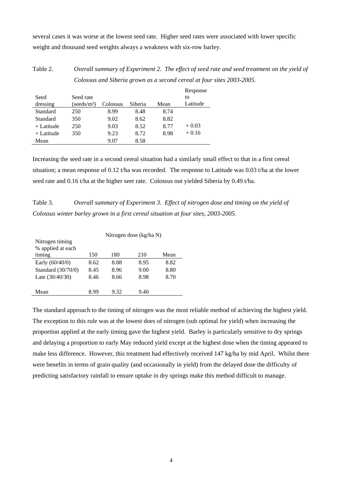several cases it was worse at the lowest seed rate. Higher seed rates were associated with lower specific weight and thousand seed weights always a weakness with six-row barley.

Table 2. *Overall summary of Experiment 2. The effect of seed rate and seed treatment on the yield of Colossus and Siberia grown as a second cereal at four sites 2003-2005.* 

| Seed         | Seed rate               |          |         |      | Response<br>to |
|--------------|-------------------------|----------|---------|------|----------------|
| dressing     | (seeds/m <sup>2</sup> ) | Colossus | Siberia | Mean | Latitude       |
| Standard     | 250                     | 8.99     | 8.48    | 8.74 |                |
| Standard     | 350                     | 9.02     | 8.62    | 8.82 |                |
| $+$ Latitude | 250                     | 9.03     | 8.52    | 8.77 | $+0.03$        |
| + Latitude   | 350                     | 9.23     | 8.72    | 8.98 | $+0.16$        |
| Mean         |                         | 9.07     | 8.58    |      |                |

Increasing the seed rate in a second cereal situation had a similarly small effect to that in a first cereal situation; a mean response of 0.12 t/ha was recorded. The response to Latitude was 0.03 t/ha at the lower seed rate and 0.16 t/ha at the higher seer rate. Colossus out yielded Siberia by 0.49 t/ha.

Table 3. *Overall summary of Experiment 3. Effect of nitrogen dose and timing on the yield of Colossus winter barley grown in a first cereal situation at four sites, 2003-2005.* 

|                    | Nitrogen dose (kg/ha N) |      |      |      |  |  |  |
|--------------------|-------------------------|------|------|------|--|--|--|
| Nitrogen timing    |                         |      |      |      |  |  |  |
| % applied at each  |                         |      |      |      |  |  |  |
| timing             | 150                     | 180  | 210  | Mean |  |  |  |
| Early (60/40/0)    | 8.62                    | 8.88 | 8.95 | 8.82 |  |  |  |
| Standard (30/70/0) | 8.45                    | 8.96 | 9.00 | 8.80 |  |  |  |
| Late $(30/40/30)$  | 8.46                    | 8.66 | 8.98 | 8.70 |  |  |  |
|                    |                         |      |      |      |  |  |  |
| Mean               | 8 99                    | 9.32 | 9.40 |      |  |  |  |

The standard approach to the timing of nitrogen was the most reliable method of achieving the highest yield. The exception to this rule was at the lowest does of nitrogen (sub optimal for yield) when increasing the proportion applied at the early timing gave the highest yield. Barley is particularly sensitive to dry springs and delaying a proportion to early May reduced yield except at the highest dose when the timing appeared to make less difference. However, this treatment had effectively received 147 kg/ha by mid April. Whilst there were benefits in terms of grain quality (and occasionally in yield) from the delayed dose the difficulty of predicting satisfactory rainfall to ensure uptake in dry springs make this method difficult to manage.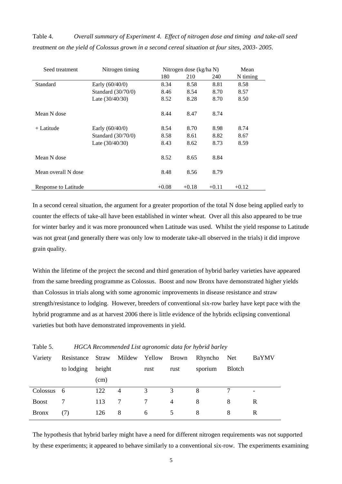Table 4. *Overall summary of Experiment 4. Effect of nitrogen dose and timing and take-all seed treatment on the yield of Colossus grown in a second cereal situation at four sites, 2003- 2005.* 

| Seed treatment       | Nitrogen timing    |         | Nitrogen dose (kg/ha N) | Mean    |          |  |
|----------------------|--------------------|---------|-------------------------|---------|----------|--|
|                      |                    | 180     | 210                     | 240     | N timing |  |
| Standard             | Early $(60/40/0)$  | 8.34    | 8.58                    | 8.81    | 8.58     |  |
|                      | Standard (30/70/0) | 8.46    | 8.54                    | 8.70    | 8.57     |  |
|                      | Late $(30/40/30)$  | 8.52    | 8.28                    | 8.70    | 8.50     |  |
| Mean N dose          |                    | 8.44    | 8.47                    | 8.74    |          |  |
| + Latitude           | Early $(60/40/0)$  | 8.54    | 8.70                    | 8.98    | 8.74     |  |
|                      | Standard (30/70/0) | 8.58    | 8.61                    | 8.82    | 8.67     |  |
|                      | Late $(30/40/30)$  | 8.43    | 8.62                    | 8.73    | 8.59     |  |
| Mean N dose          |                    | 8.52    | 8.65                    | 8.84    |          |  |
| Mean overall N dose  |                    | 8.48    | 8.56                    | 8.79    |          |  |
| Response to Latitude |                    | $+0.08$ | $+0.18$                 | $+0.11$ | $+0.12$  |  |

In a second cereal situation, the argument for a greater proportion of the total N dose being applied early to counter the effects of take-all have been established in winter wheat. Over all this also appeared to be true for winter barley and it was more pronounced when Latitude was used. Whilst the yield response to Latitude was not great (and generally there was only low to moderate take-all observed in the trials) it did improve grain quality.

Within the lifetime of the project the second and third generation of hybrid barley varieties have appeared from the same breeding programme as Colossus. Boost and now Bronx have demonstrated higher yields than Colossus in trials along with some agronomic improvements in disease resistance and straw strength/resistance to lodging. However, breeders of conventional six-row barley have kept pace with the hybrid programme and as at harvest 2006 there is little evidence of the hybrids eclipsing conventional varieties but both have demonstrated improvements in yield.

| rable 5.     | HGCA Recommended List agronomic data for hyprid bariey |        |        |        |                |         |               |       |
|--------------|--------------------------------------------------------|--------|--------|--------|----------------|---------|---------------|-------|
| Variety      | Resistance                                             | Straw  | Mildew | Yellow | Brown          | Rhyncho | Net.          | BaYMV |
|              | to lodging                                             | height |        | rust   | rust           | sporium | <b>Blotch</b> |       |
|              |                                                        | (cm)   |        |        |                |         |               |       |
| Colossus     | - 6                                                    | 122    | 4      | 3      | 3              | 8       |               |       |
| <b>Boost</b> |                                                        | 113    | 7      | 7      | $\overline{4}$ | 8       | 8             | R     |
| <b>Bronx</b> | (7)                                                    | 126    | 8      | 6      |                | 8       | 8             | R     |
|              |                                                        |        |        |        |                |         |               |       |

Table 5. *HGCA Recommended List agronomic data for hybrid barley* 

The hypothesis that hybrid barley might have a need for different nitrogen requirements was not supported by these experiments; it appeared to behave similarly to a conventional six-row. The experiments examining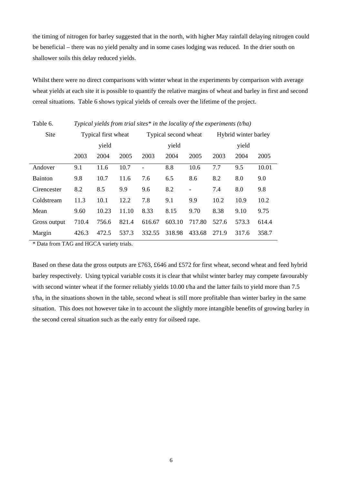the timing of nitrogen for barley suggested that in the north, with higher May rainfall delaying nitrogen could be beneficial – there was no yield penalty and in some cases lodging was reduced. In the drier south on shallower soils this delay reduced yields.

Whilst there were no direct comparisons with winter wheat in the experiments by comparison with average wheat yields at each site it is possible to quantify the relative margins of wheat and barley in first and second cereal situations. Table 6 shows typical yields of cereals over the lifetime of the project.

| Site           | Typical first wheat |       |       | Typical second wheat |        | Hybrid winter barley |       |       |       |  |
|----------------|---------------------|-------|-------|----------------------|--------|----------------------|-------|-------|-------|--|
|                |                     | yield |       |                      | yield  |                      |       | yield |       |  |
|                | 2003                | 2004  | 2005  | 2003                 | 2004   | 2005                 | 2003  | 2004  | 2005  |  |
| Andover        | 9.1                 | 11.6  | 10.7  |                      | 8.8    | 10.6                 | 7.7   | 9.5   | 10.01 |  |
| <b>Bainton</b> | 9.8                 | 10.7  | 11.6  | 7.6                  | 6.5    | 8.6                  | 8.2   | 8.0   | 9.0   |  |
| Cirencester    | 8.2                 | 8.5   | 9.9   | 9.6                  | 8.2    | $\frac{1}{2}$        | 7.4   | 8.0   | 9.8   |  |
| Coldstream     | 11.3                | 10.1  | 12.2  | 7.8                  | 9.1    | 9.9                  | 10.2  | 10.9  | 10.2  |  |
| Mean           | 9.60                | 10.23 | 11.10 | 8.33                 | 8.15   | 9.70                 | 8.38  | 9.10  | 9.75  |  |
| Gross output   | 710.4               | 756.6 | 821.4 | 616.67               | 603.10 | 717.80               | 527.6 | 573.3 | 614.4 |  |
| Margin         | 426.3               | 472.5 | 537.3 | 332.55               | 318.98 | 433.68               | 271.9 | 317.6 | 358.7 |  |

Table 6*. Typical yields from trial sites\* in the locality of the experiments (t/ha)* 

\* Data from TAG and HGCA variety trials.

Based on these data the gross outputs are £763, £646 and £572 for first wheat, second wheat and feed hybrid barley respectively. Using typical variable costs it is clear that whilst winter barley may compete favourably with second winter wheat if the former reliably yields 10.00 t/ha and the latter fails to yield more than 7.5 t/ha, in the situations shown in the table, second wheat is still more profitable than winter barley in the same situation. This does not however take in to account the slightly more intangible benefits of growing barley in the second cereal situation such as the early entry for oilseed rape.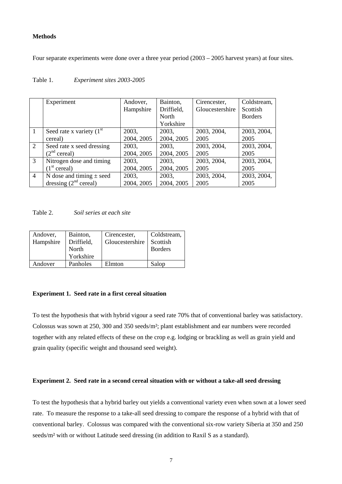#### **Methods**

Four separate experiments were done over a three year period (2003 – 2005 harvest years) at four sites.

|                | Experiment                   | Andover,   | Bainton,     | Cirencester,    | Coldstream,    |
|----------------|------------------------------|------------|--------------|-----------------|----------------|
|                |                              | Hampshire  | Driffield,   | Gloucestershire | Scottish       |
|                |                              |            | <b>North</b> |                 | <b>Borders</b> |
|                |                              |            | Yorkshire    |                 |                |
| $\mathbf{1}$   | Seed rate x variety $(1st)$  | 2003,      | 2003,        | 2003, 2004,     | 2003, 2004,    |
|                | cereal)                      | 2004, 2005 | 2004, 2005   | 2005            | 2005           |
| 2              | Seed rate x seed dressing    | 2003,      | 2003,        | 2003, 2004,     | 2003, 2004,    |
|                | (2 <sup>nd</sup> cereal)     | 2004, 2005 | 2004, 2005   | 2005            | 2005           |
| $\overline{3}$ | Nitrogen dose and timing     | 2003,      | 2003,        | 2003, 2004,     | 2003, 2004,    |
|                | (1 <sup>st</sup> cereal)     | 2004, 2005 | 2004, 2005   | 2005            | 2005           |
| $\overline{4}$ | N dose and timing $\pm$ seed | 2003,      | 2003,        | 2003, 2004,     | 2003, 2004,    |
|                | dressing $(2nd cereal)$      | 2004, 2005 | 2004, 2005   | 2005            | 2005           |

# Table 1. *Experiment sites 2003-2005*

Table 2. *Soil series at each site* 

| Andover,<br>Hampshire | Bainton,<br>Driffield,<br>North<br>Yorkshire | Cirencester,<br>Gloucestershire | Coldstream,<br>Scottish<br><b>Borders</b> |
|-----------------------|----------------------------------------------|---------------------------------|-------------------------------------------|
| Andover               | Panholes                                     | Elmton                          | Salop                                     |

#### **Experiment 1. Seed rate in a first cereal situation**

To test the hypothesis that with hybrid vigour a seed rate 70% that of conventional barley was satisfactory. Colossus was sown at 250, 300 and 350 seeds/m²; plant establishment and ear numbers were recorded together with any related effects of these on the crop e.g. lodging or brackling as well as grain yield and grain quality (specific weight and thousand seed weight).

#### **Experiment 2. Seed rate in a second cereal situation with or without a take-all seed dressing**

To test the hypothesis that a hybrid barley out yields a conventional variety even when sown at a lower seed rate. To measure the response to a take-all seed dressing to compare the response of a hybrid with that of conventional barley. Colossus was compared with the conventional six-row variety Siberia at 350 and 250 seeds/m² with or without Latitude seed dressing (in addition to Raxil S as a standard).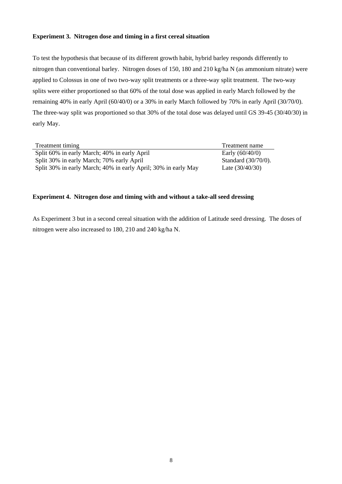# **Experiment 3. Nitrogen dose and timing in a first cereal situation**

To test the hypothesis that because of its different growth habit, hybrid barley responds differently to nitrogen than conventional barley. Nitrogen doses of 150, 180 and 210 kg/ha N (as ammonium nitrate) were applied to Colossus in one of two two-way split treatments or a three-way split treatment. The two-way splits were either proportioned so that 60% of the total dose was applied in early March followed by the remaining 40% in early April (60/40/0) or a 30% in early March followed by 70% in early April (30/70/0). The three-way split was proportioned so that 30% of the total dose was delayed until GS 39-45 (30/40/30) in early May.

| Treatment timing                                               | Treatment name         |
|----------------------------------------------------------------|------------------------|
| Split 60% in early March; 40% in early April                   | Early $(60/40/0)$      |
| Split 30% in early March; 70% early April                      | Standard $(30/70/0)$ . |
| Split 30% in early March; 40% in early April; 30% in early May | Late $(30/40/30)$      |

#### **Experiment 4. Nitrogen dose and timing with and without a take-all seed dressing**

As Experiment 3 but in a second cereal situation with the addition of Latitude seed dressing. The doses of nitrogen were also increased to 180, 210 and 240 kg/ha N.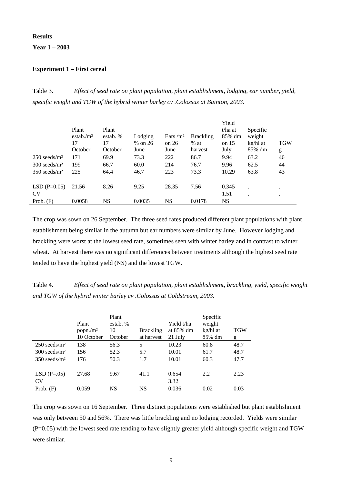#### **Results**

**Year 1 – 2003** 

#### **Experiment 1 – First cereal**

Table 3. *Effect of seed rate on plant population, plant establishment, lodging, ear number, yield, specific weight and TGW of the hybrid winter barley cv .Colossus at Bainton, 2003.* 

|                            | Plant<br>estab. $/m2$<br>17<br>October | Plant<br>estab. %<br>17<br>October | Lodging<br>% on 26<br>June | Ears $\rm /m^2$<br>on $26$<br>June | <b>Brackling</b><br>$%$ at<br>harvest | Yield<br>t/ha at<br>85% dm<br>on $15$<br>July | Specific<br>weight<br>kg/hl at<br>85% dm | <b>TGW</b><br>g |
|----------------------------|----------------------------------------|------------------------------------|----------------------------|------------------------------------|---------------------------------------|-----------------------------------------------|------------------------------------------|-----------------|
| $250$ seeds/m <sup>2</sup> | 171                                    | 69.9                               | 73.3                       | 222                                | 86.7                                  | 9.94                                          | 63.2                                     | 46              |
| $300$ seeds/m <sup>2</sup> | 199                                    | 66.7                               | 60.0                       | 214                                | 76.7                                  | 9.96                                          | 62.5                                     | 44              |
| $350$ seeds/m <sup>2</sup> | 225                                    | 64.4                               | 46.7                       | 223                                | 73.3                                  | 10.29                                         | 63.8                                     | 43              |
| $LSD(P=0.05)$              | 21.56                                  | 8.26                               | 9.25                       | 28.35                              | 7.56                                  | 0.345                                         |                                          | ٠               |
| CV                         |                                        |                                    |                            |                                    |                                       | 1.51                                          |                                          | ٠               |
| Prob. $(F)$                | 0.0058                                 | NS                                 | 0.0035                     | NS                                 | 0.0178                                | NS                                            |                                          |                 |

The crop was sown on 26 September. The three seed rates produced different plant populations with plant establishment being similar in the autumn but ear numbers were similar by June. However lodging and brackling were worst at the lowest seed rate, sometimes seen with winter barley and in contrast to winter wheat. At harvest there was no significant differences between treatments although the highest seed rate tended to have the highest yield (NS) and the lowest TGW.

Table 4. *Effect of seed rate on plant population, plant establishment, brackling, yield, specific weight and TGW of the hybrid winter barley cv .Colossus at Coldstream, 2003.* 

|                            | Plant<br>popn/m <sup>2</sup><br>10 October | Plant<br>estab. %<br>10<br>October | <b>Brackling</b><br>at harvest | Yield t/ha<br>at 85% dm<br>21 July | Specific<br>weight<br>kg/hl at<br>85% dm | TGW<br>g |
|----------------------------|--------------------------------------------|------------------------------------|--------------------------------|------------------------------------|------------------------------------------|----------|
| $250$ seeds/m <sup>2</sup> | 138                                        | 56.3                               | 5                              | 10.23                              | 60.8                                     | 48.7     |
| $300$ seeds/m <sup>2</sup> | 156                                        | 52.3                               | 5.7                            | 10.01                              | 61.7                                     | 48.7     |
| $350$ seeds/m <sup>2</sup> | 176                                        | 50.3                               | 1.7                            | 10.01                              | 60.3                                     | 47.7     |
|                            |                                            |                                    |                                |                                    |                                          |          |
| $LSD(P=.05)$               | 27.68                                      | 9.67                               | 41.1                           | 0.654                              | 2.2                                      | 2.23     |
| CV                         |                                            |                                    |                                | 3.32                               |                                          |          |
| Prob. $(F)$                | 0.059                                      | NS                                 | NS                             | 0.036                              | 0.02                                     | 0.03     |

The crop was sown on 16 September. Three distinct populations were established but plant establishment was only between 50 and 56%. There was little brackling and no lodging recorded. Yields were similar (P=0.05) with the lowest seed rate tending to have slightly greater yield although specific weight and TGW were similar.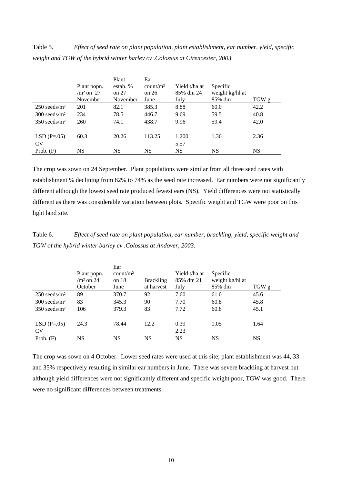Table 5. *Effect of seed rate on plant population, plant establishment, ear number, yield, specific weight and TGW of the hybrid winter barley cv .Colossus at Cirencester, 2003.* 

|                            |                      | Plant    | Ear                  |               |                 |       |
|----------------------------|----------------------|----------|----------------------|---------------|-----------------|-------|
|                            | Plant popn.          | estab. % | count/m <sup>2</sup> | Yield t/ha at | Specific        |       |
|                            | / $\text{m}^2$ on 27 | on $27$  | on $26$              | 85% dm 24     | weight kg/hl at |       |
|                            | November             | November | June                 | July          | 85% dm          | TGW g |
| $250$ seeds/m <sup>2</sup> | 201                  | 82.1     | 385.3                | 8.88          | 60.0            | 42.2  |
| $300$ seeds/m <sup>2</sup> | 234                  | 78.5     | 446.7                | 9.69          | 59.5            | 40.8  |
| $350$ seeds/m <sup>2</sup> | 260                  | 74.1     | 438.7                | 9.96          | 59.4            | 42.0  |
|                            |                      |          |                      |               |                 |       |
| $LSD(P=.05)$               | 60.3                 | 20.26    | 113.25               | 1.200         | 1.36            | 2.36  |
| CV                         |                      |          |                      | 5.57          |                 |       |
| Prob. $(F)$                | NS                   | NS       | NS                   | NS            | NS              | NS    |

The crop was sown on 24 September. Plant populations were similar from all three seed rates with establishment % declining from 82% to 74% as the seed rate increased. Ear numbers were not significantly different although the lowest seed rate produced fewest ears (NS). Yield differences were not statistically different as there was considerable variation between plots. Specific weight and TGW were poor on this light land site.

Table 6. *Effect of seed rate on plant population, ear number, brackling, yield, specific weight and TGW of the hybrid winter barley cv .Colossus at Andover, 2003.* 

|                            | Plant popn.<br>$\text{/m2}$ on 24<br>October | Ear<br>count/m <sup>2</sup><br>on $18$<br>June | <b>Brackling</b><br>at harvest | Yield t/ha at<br>85% dm 21<br>July | Specific<br>weight kg/hl at<br>85% dm | TGW g |
|----------------------------|----------------------------------------------|------------------------------------------------|--------------------------------|------------------------------------|---------------------------------------|-------|
| $250$ seeds/m <sup>2</sup> | 89                                           | 370.7                                          | 92                             | 7.60                               | 61.0                                  | 45.6  |
| $300$ seeds/m <sup>2</sup> | 83                                           | 345.3                                          | 90                             | 7.70                               | 60.8                                  | 45.8  |
| $350$ seeds/m <sup>2</sup> | 106                                          | 379.3                                          | 83                             | 7.72                               | 60.8                                  | 45.1  |
| $LSD(P=.05)$               | 24.3                                         | 78.44                                          | 12.2                           | 0.39                               | 1.05                                  | 1.64  |
| CV                         |                                              |                                                |                                | 2.23                               |                                       |       |
| Prob. $(F)$                | NS                                           | <b>NS</b>                                      | NS                             | <b>NS</b>                          | NS                                    | NS    |

The crop was sown on 4 October. Lower seed rates were used at this site; plant establishment was 44, 33 and 35% respectively resulting in similar ear numbers in June. There was severe brackling at harvest but although yield differences were not significantly different and specific weight poor, TGW was good. There were no significant differences between treatments.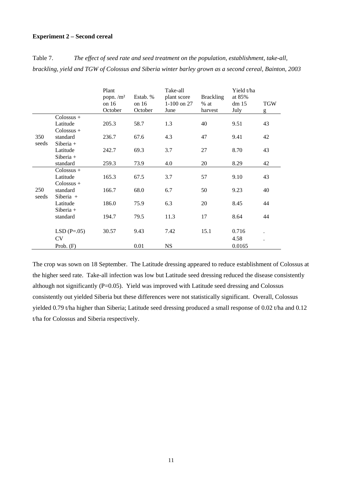# **Experiment 2 – Second cereal**

|       |                     | Plant<br>popn. $/m2$<br>on $16$<br>October | Estab. %<br>on $16$<br>October | Take-all<br>plant score<br>1-100 on 27<br>June | <b>Brackling</b><br>$%$ at<br>harvest | Yield t/ha<br>at 85%<br>dm 15<br>July | <b>TGW</b><br>g |
|-------|---------------------|--------------------------------------------|--------------------------------|------------------------------------------------|---------------------------------------|---------------------------------------|-----------------|
|       | $\text{Colossus} +$ |                                            |                                |                                                |                                       |                                       |                 |
|       | Latitude            | 205.3                                      | 58.7                           | 1.3                                            | 40                                    | 9.51                                  | 43              |
|       | $Colossus +$        |                                            |                                |                                                |                                       |                                       |                 |
| 350   | standard            | 236.7                                      | 67.6                           | 4.3                                            | 47                                    | 9.41                                  | 42              |
| seeds | $Siberia +$         |                                            |                                |                                                |                                       |                                       |                 |
|       | Latitude            | 242.7                                      | 69.3                           | 3.7                                            | 27                                    | 8.70                                  | 43              |
|       | $Siberia +$         |                                            |                                |                                                |                                       |                                       |                 |
|       | standard            | 259.3                                      | 73.9                           | 4.0                                            | 20                                    | 8.29                                  | 42              |
|       | Colossus +          |                                            |                                |                                                |                                       |                                       |                 |
|       | Latitude            | 165.3                                      | 67.5                           | 3.7                                            | 57                                    | 9.10                                  | 43              |
|       | $\text{Colossus} +$ |                                            |                                |                                                |                                       |                                       |                 |
| 250   | standard            | 166.7                                      | 68.0                           | 6.7                                            | 50                                    | 9.23                                  | 40              |
| seeds | Siberia $+$         |                                            |                                |                                                |                                       |                                       |                 |
|       | Latitude            | 186.0                                      | 75.9                           | 6.3                                            | 20                                    | 8.45                                  | 44              |
|       | $Siberia +$         |                                            |                                |                                                |                                       |                                       |                 |
|       | standard            | 194.7                                      | 79.5                           | 11.3                                           | 17                                    | 8.64                                  | 44              |
|       |                     |                                            |                                |                                                |                                       |                                       |                 |
|       | $LSD(P=.05)$        | 30.57                                      | 9.43                           | 7.42                                           | 15.1                                  | 0.716                                 |                 |
|       | <b>CV</b>           |                                            |                                |                                                |                                       | 4.58                                  |                 |
|       | Prob. $(F)$         |                                            | 0.01                           | <b>NS</b>                                      |                                       | 0.0165                                |                 |

Table 7. *The effect of seed rate and seed treatment on the population, establishment, take-all, brackling, yield and TGW of Colossus and Siberia winter barley grown as a second cereal, Bainton, 2003*

The crop was sown on 18 September. The Latitude dressing appeared to reduce establishment of Colossus at the higher seed rate. Take-all infection was low but Latitude seed dressing reduced the disease consistently although not significantly  $(P=0.05)$ . Yield was improved with Latitude seed dressing and Colossus consistently out yielded Siberia but these differences were not statistically significant. Overall, Colossus yielded 0.79 t/ha higher than Siberia; Latitude seed dressing produced a small response of 0.02 t/ha and 0.12 t/ha for Colossus and Siberia respectively.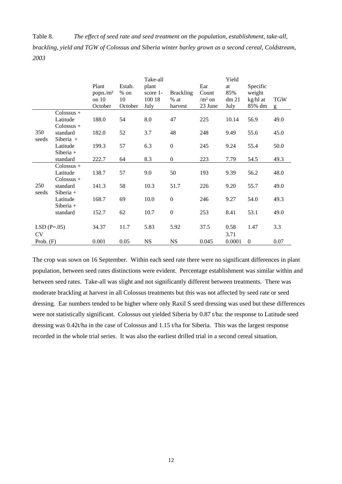Table 8. *The effect of seed rate and seed treatment on the population, establishment, take-all, brackling, yield and TGW of Colossus and Siberia winter barley grown as a second cereal, Coldstream, 2003*

|                           |                                          | Plant<br>popn./m <sup>2</sup><br>on 10<br>October | Estab.<br>$%$ on<br>10<br>October | Take-all<br>plant<br>score 1-<br>100 18<br>July | <b>Brackling</b><br>$%$ at<br>harvest | Ear<br>Count<br>$/m2$ on<br>23 June | Yield<br>at<br>85%<br>dm 21<br>July | Specific<br>weight<br>kg/hl at<br>85% dm | <b>TGW</b><br>g |
|---------------------------|------------------------------------------|---------------------------------------------------|-----------------------------------|-------------------------------------------------|---------------------------------------|-------------------------------------|-------------------------------------|------------------------------------------|-----------------|
|                           | Colossus +                               |                                                   |                                   |                                                 |                                       |                                     |                                     |                                          |                 |
|                           | Latitude<br>Colossus +                   | 188.0                                             | 54                                | 8.0                                             | 47                                    | 225                                 | 10.14                               | 56.9                                     | 49.0            |
| 350<br>seeds              | standard<br>Siberia +                    | 182.0                                             | 52                                | 3.7                                             | 48                                    | 248                                 | 9.49                                | 55.6                                     | 45.0            |
|                           | Latitude<br>$Siberia +$                  | 199.3                                             | 57                                | 6.3                                             | $\boldsymbol{0}$                      | 245                                 | 9.24                                | 55.4                                     | 50.0            |
|                           | standard                                 | 222.7                                             | 64                                | 8.3                                             | $\boldsymbol{0}$                      | 223                                 | 7.79                                | 54.5                                     | 49.3            |
|                           | $Colossus +$<br>Latitude<br>$Colossus +$ | 138.7                                             | 57                                | 9.0                                             | 50                                    | 193                                 | 9.39                                | 56.2                                     | 48.0            |
| 250<br>seeds              | standard<br>Siberia +                    | 141.3                                             | 58                                | 10.3                                            | 51.7                                  | 226                                 | 9.20                                | 55.7                                     | 49.0            |
|                           | Latitude<br>$Siberia +$                  | 168.7                                             | 69                                | 10.0                                            | $\overline{0}$                        | 246                                 | 9.27                                | 54.0                                     | 49.3            |
|                           | standard                                 | 152.7                                             | 62                                | 10.7                                            | $\boldsymbol{0}$                      | 253                                 | 8.41                                | 53.1                                     | 49.0            |
| $LSD(P=.05)$<br><b>CV</b> |                                          | 34.37                                             | 11.7                              | 5.83                                            | 5.92                                  | 37.5                                | 0.58<br>3.71                        | 1.47                                     | 3.3             |
| Prob. $(F)$               |                                          | 0.001                                             | 0.05                              | <b>NS</b>                                       | <b>NS</b>                             | 0.045                               | 0.0001                              | $\mathbf{0}$                             | 0.07            |

The crop was sown on 16 September. Within each seed rate there were no significant differences in plant population, between seed rates distinctions were evident. Percentage establishment was similar within and between seed rates. Take-all was slight and not significantly different between treatments. There was moderate brackling at harvest in all Colossus treatments but this was not affected by seed rate or seed dressing. Ear numbers tended to be higher where only Raxil S seed dressing was used but these differences were not statistically significant. Colossus out yielded Siberia by 0.87 t/ha: the response to Latitude seed dressing was 0.42t/ha in the case of Colossus and 1.15 t/ha for Siberia. This was the largest response recorded in the whole trial series. It was also the earliest drilled trial in a second cereal situation.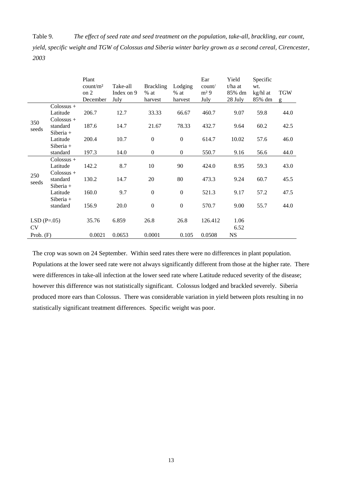Table 9. *The effect of seed rate and seed treatment on the population, take-all, brackling, ear count, yield, specific weight and TGW of Colossus and Siberia winter barley grown as a second cereal, Cirencester, 2003*

|              |                         | Plant<br>count/m <sup>2</sup><br>on 2<br>December | Take-all<br>Index on 9<br>July | <b>Brackling</b><br>$%$ at<br>harvest | Lodging<br>$%$ at<br>harvest | Ear<br>count/<br>m <sup>2</sup> 9<br>July | Yield<br>t/ha at<br>85% dm<br>28 July | Specific<br>wt.<br>kg/hl at<br>85% dm | <b>TGW</b><br>g |
|--------------|-------------------------|---------------------------------------------------|--------------------------------|---------------------------------------|------------------------------|-------------------------------------------|---------------------------------------|---------------------------------------|-----------------|
|              | $\text{Colossus} +$     |                                                   |                                |                                       |                              |                                           |                                       |                                       |                 |
|              | Latitude                | 206.7                                             | 12.7                           | 33.33                                 | 66.67                        | 460.7                                     | 9.07                                  | 59.8                                  | 44.0            |
| 350          | Colossus +              |                                                   |                                |                                       |                              |                                           |                                       |                                       |                 |
| seeds        | standard                | 187.6                                             | 14.7                           | 21.67                                 | 78.33                        | 432.7                                     | 9.64                                  | 60.2                                  | 42.5            |
|              | $Siberia +$             |                                                   |                                |                                       |                              |                                           |                                       |                                       |                 |
|              | Latitude                | 200.4                                             | 10.7                           | $\boldsymbol{0}$                      | $\boldsymbol{0}$             | 614.7                                     | 10.02                                 | 57.6                                  | 46.0            |
|              | $Siberia +$             |                                                   |                                |                                       |                              |                                           |                                       |                                       |                 |
|              | standard                | 197.3                                             | 14.0                           | $\boldsymbol{0}$                      | $\overline{0}$               | 550.7                                     | 9.16                                  | 56.6                                  | 44.0            |
|              | $\text{Colossus} +$     |                                                   |                                |                                       |                              |                                           |                                       |                                       |                 |
|              | Latitude                | 142.2                                             | 8.7                            | 10                                    | 90                           | 424.0                                     | 8.95                                  | 59.3                                  | 43.0            |
| 250          | Colossus +              |                                                   |                                |                                       |                              |                                           |                                       |                                       |                 |
| seeds        | standard                | 130.2                                             | 14.7                           | 20                                    | 80                           | 473.3                                     | 9.24                                  | 60.7                                  | 45.5            |
|              | $Siberia +$             | 160.0                                             | 9.7                            | $\boldsymbol{0}$                      | $\boldsymbol{0}$             |                                           |                                       | 57.2                                  | 47.5            |
|              | Latitude<br>Siberia $+$ |                                                   |                                |                                       |                              | 521.3                                     | 9.17                                  |                                       |                 |
|              | standard                | 156.9                                             | 20.0                           | $\boldsymbol{0}$                      | $\boldsymbol{0}$             | 570.7                                     | 9.00                                  | 55.7                                  | 44.0            |
|              |                         |                                                   |                                |                                       |                              |                                           |                                       |                                       |                 |
| $LSD(P=.05)$ |                         | 35.76                                             | 6.859                          | 26.8                                  | 26.8                         | 126.412                                   | 1.06                                  |                                       |                 |
| <b>CV</b>    |                         |                                                   |                                |                                       |                              |                                           | 6.52                                  |                                       |                 |
|              |                         | 0.0021                                            | 0.0653                         | 0.0001                                | 0.105                        | 0.0508                                    | <b>NS</b>                             |                                       |                 |
| Prob. $(F)$  |                         |                                                   |                                |                                       |                              |                                           |                                       |                                       |                 |

The crop was sown on 24 September. Within seed rates there were no differences in plant population. Populations at the lower seed rate were not always significantly different from those at the higher rate. There were differences in take-all infection at the lower seed rate where Latitude reduced severity of the disease; however this difference was not statistically significant. Colossus lodged and brackled severely. Siberia produced more ears than Colossus. There was considerable variation in yield between plots resulting in no statistically significant treatment differences. Specific weight was poor.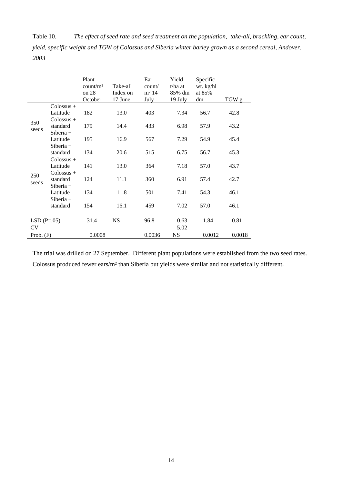Table 10. *The effect of seed rate and seed treatment on the population, take-all, brackling, ear count, yield, specific weight and TGW of Colossus and Siberia winter barley grown as a second cereal, Andover, 2003*

|              |                     | Plant<br>count/m <sup>2</sup><br>on 28<br>October | Take-all<br>Index on<br>17 June | Ear<br>count/<br>m <sup>2</sup> 14<br>July | Yield<br>t/ha at<br>85% dm<br>19 July | Specific<br>wt. kg/hl<br>at 85%<br>dm | TGW g  |
|--------------|---------------------|---------------------------------------------------|---------------------------------|--------------------------------------------|---------------------------------------|---------------------------------------|--------|
|              | Colossus +          |                                                   |                                 |                                            |                                       |                                       |        |
|              | Latitude            | 182                                               | 13.0                            | 403                                        | 7.34                                  | 56.7                                  | 42.8   |
| 350          | $Colossus +$        |                                                   |                                 |                                            |                                       |                                       |        |
| seeds        | standard            | 179                                               | 14.4                            | 433                                        | 6.98                                  | 57.9                                  | 43.2   |
|              | Siberia $+$         |                                                   |                                 |                                            |                                       |                                       |        |
|              | Latitude            | 195                                               | 16.9                            | 567                                        | 7.29                                  | 54.9                                  | 45.4   |
|              | $Siberia +$         |                                                   |                                 |                                            |                                       |                                       |        |
|              | standard            | 134                                               | 20.6                            | 515                                        | 6.75                                  | 56.7                                  | 45.3   |
|              | $\text{Colossus} +$ |                                                   |                                 |                                            |                                       |                                       |        |
|              | Latitude            | 141                                               | 13.0                            | 364                                        | 7.18                                  | 57.0                                  | 43.7   |
| 250          | $\text{Colossus} +$ |                                                   |                                 |                                            |                                       |                                       |        |
| seeds        | standard            | 124                                               | 11.1                            | 360                                        | 6.91                                  | 57.4                                  | 42.7   |
|              | $Siberia +$         |                                                   |                                 |                                            |                                       |                                       |        |
|              | Latitude            | 134                                               | 11.8                            | 501                                        | 7.41                                  | 54.3                                  | 46.1   |
|              | $Siberia +$         |                                                   |                                 |                                            |                                       |                                       |        |
|              | standard            | 154                                               | 16.1                            | 459                                        | 7.02                                  | 57.0                                  | 46.1   |
|              |                     | 31.4                                              | <b>NS</b>                       | 96.8                                       | 0.63                                  | 1.84                                  | 0.81   |
| $LSD(P=.05)$ |                     |                                                   |                                 |                                            |                                       |                                       |        |
| <b>CV</b>    |                     |                                                   |                                 |                                            | 5.02                                  |                                       |        |
| Prob. $(F)$  |                     | 0.0008                                            |                                 | 0.0036                                     | <b>NS</b>                             | 0.0012                                | 0.0018 |

The trial was drilled on 27 September. Different plant populations were established from the two seed rates. Colossus produced fewer ears/m² than Siberia but yields were similar and not statistically different.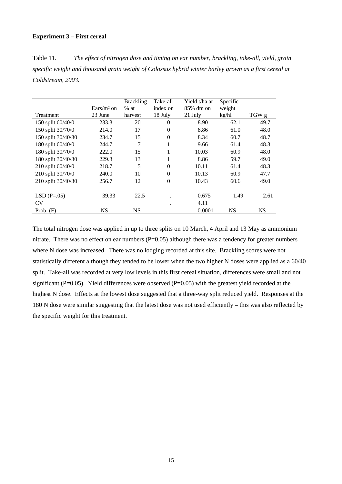#### **Experiment 3 – First cereal**

Table 11. *The effect of nitrogen dose and timing on ear number, brackling, take-all, yield, grain specific weight and thousand grain weight of Colossus hybrid winter barley grown as a first cereal at Coldstream, 2003.* 

|                    |                      | <b>Brackling</b> | Take-all       | Yield t/ha at | Specific  |           |
|--------------------|----------------------|------------------|----------------|---------------|-----------|-----------|
|                    | $\text{Ears/m}^2$ on | $%$ at           | index on       | 85% dm on     | weight    |           |
| Treatment          | 23 June              | harvest          | 18 July        | 21 July       | kg/hl     | TGW g     |
| 150 split 60/40/0  | 233.3                | 20               | $\Omega$       | 8.90          | 62.1      | 49.7      |
| 150 split 30/70/0  | 214.0                | 17               | $\theta$       | 8.86          | 61.0      | 48.0      |
| 150 split 30/40/30 | 234.7                | 15               | $\theta$       | 8.34          | 60.7      | 48.7      |
| 180 split 60/40/0  | 244.7                | 7                | 1              | 9.66          | 61.4      | 48.3      |
| 180 split 30/70/0  | 222.0                | 15               |                | 10.03         | 60.9      | 48.0      |
| 180 split 30/40/30 | 229.3                | 13               | 1              | 8.86          | 59.7      | 49.0      |
| 210 split 60/40/0  | 218.7                | 5                | $\mathbf{0}$   | 10.11         | 61.4      | 48.3      |
| 210 split 30/70/0  | 240.0                | 10               | $\theta$       | 10.13         | 60.9      | 47.7      |
| 210 split 30/40/30 | 256.7                | 12               | $\overline{0}$ | 10.43         | 60.6      | 49.0      |
|                    |                      |                  |                |               |           |           |
| $LSD(P=.05)$       | 39.33                | 22.5             |                | 0.675         | 1.49      | 2.61      |
| <b>CV</b>          |                      |                  | $\bullet$      | 4.11          |           |           |
| Prob. $(F)$        | <b>NS</b>            | <b>NS</b>        |                | 0.0001        | <b>NS</b> | <b>NS</b> |

The total nitrogen dose was applied in up to three splits on 10 March, 4 April and 13 May as ammonium nitrate. There was no effect on ear numbers (P=0.05) although there was a tendency for greater numbers where N dose was increased. There was no lodging recorded at this site. Brackling scores were not statistically different although they tended to be lower when the two higher N doses were applied as a 60/40 split. Take-all was recorded at very low levels in this first cereal situation, differences were small and not significant ( $P=0.05$ ). Yield differences were observed ( $P=0.05$ ) with the greatest yield recorded at the highest N dose. Effects at the lowest dose suggested that a three-way split reduced yield. Responses at the 180 N dose were similar suggesting that the latest dose was not used efficiently – this was also reflected by the specific weight for this treatment.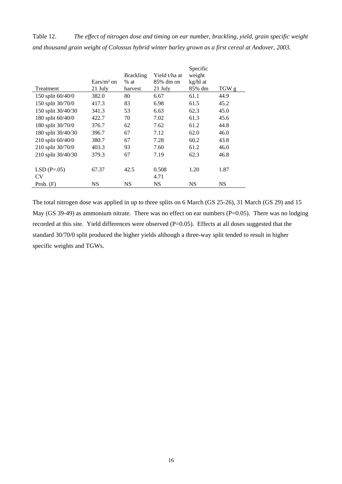Table 12. *The effect of nitrogen dose and timing on ear number, brackling, yield, grain specific weight and thousand grain weight of Colossus hybrid winter barley grown as a first cereal at Andover, 2003.* 

|                    |              | <b>Brackling</b> | Yield t/ha at | Specific<br>weight |           |
|--------------------|--------------|------------------|---------------|--------------------|-----------|
|                    | $Ears/m2$ on | $%$ at           | 85% dm on     | kg/hl at           |           |
| <b>Treatment</b>   | 21 July      | harvest          | 21 July       | 85% dm             | TGW g     |
| 150 split 60/40/0  | 382.0        | 80               | 6.67          | 61.1               | 44.9      |
| 150 split 30/70/0  | 417.3        | 83               | 6.98          | 61.5               | 45.2      |
| 150 split 30/40/30 | 341.3        | 53               | 6.63          | 62.3               | 45.0      |
| 180 split 60/40/0  | 422.7        | 70               | 7.02          | 61.3               | 45.6      |
| 180 split 30/70/0  | 376.7        | 62               | 7.62          | 61.2               | 44.8      |
| 180 split 30/40/30 | 396.7        | 67               | 7.12          | 62.0               | 46.0      |
| 210 split 60/40/0  | 380.7        | 67               | 7.28          | 60.2               | 43.8      |
| 210 split 30/70/0  | 403.3        | 93               | 7.60          | 61.2               | 46.0      |
| 210 split 30/40/30 | 379.3        | 67               | 7.19          | 62.3               | 46.8      |
|                    |              |                  |               |                    |           |
| $LSD(P=.05)$       | 67.37        | 42.5             | 0.508         | 1.20               | 1.87      |
| <b>CV</b>          |              |                  | 4.71          |                    |           |
| Prob. $(F)$        | NS           | <b>NS</b>        | <b>NS</b>     | <b>NS</b>          | <b>NS</b> |

The total nitrogen dose was applied in up to three splits on 6 March (GS 25-26), 31 March (GS 29) and 15 May (GS 39-49) as ammonium nitrate. There was no effect on ear numbers (P=0.05). There was no lodging recorded at this site. Yield differences were observed (P=0.05). Effects at all doses suggested that the standard 30/70/0 split produced the higher yields although a three-way split tended to result in higher specific weights and TGWs.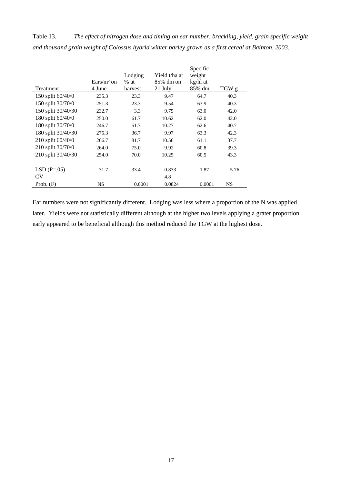Table 13. *The effect of nitrogen dose and timing on ear number, brackling, yield, grain specific weight and thousand grain weight of Colossus hybrid winter barley grown as a first cereal at Bainton, 2003.* 

|                     |              | Lodging | Yield t/ha at | Specific<br>weight |           |
|---------------------|--------------|---------|---------------|--------------------|-----------|
|                     | $Ears/m2$ on | $%$ at  | 85% dm on     | kg/hl at           |           |
| Treatment           | 4 June       | harvest | 21 July       | 85% dm             | TGW g     |
| 150 split 60/40/0   | 235.3        | 23.3    | 9.47          | 64.7               | 40.3      |
| 150 split 30/70/0   | 251.3        | 23.3    | 9.54          | 63.9               | 40.3      |
| 150 split 30/40/30  | 232.7        | 3.3     | 9.75          | 63.0               | 42.0      |
| 180 split 60/40/0   | 250.0        | 61.7    | 10.62         | 62.0               | 42.0      |
| 180 split 30/70/0   | 246.7        | 51.7    | 10.27         | 62.6               | 40.7      |
| 180 split 30/40/30  | 275.3        | 36.7    | 9.97          | 63.3               | 42.3      |
| 210 split $60/40/0$ | 266.7        | 81.7    | 10.56         | 61.1               | 37.7      |
| 210 split 30/70/0   | 264.0        | 75.0    | 9.92          | 60.8               | 39.3      |
| 210 split 30/40/30  | 254.0        | 70.0    | 10.25         | 60.5               | 43.3      |
|                     |              |         |               |                    |           |
| $LSD(P=.05)$        | 31.7         | 33.4    | 0.833         | 1.87               | 5.76      |
| CV                  |              |         | 4.8           |                    |           |
| Prob. $(F)$         | <b>NS</b>    | 0.0001  | 0.0824        | 0.0001             | <b>NS</b> |

Ear numbers were not significantly different. Lodging was less where a proportion of the N was applied later. Yields were not statistically different although at the higher two levels applying a grater proportion early appeared to be beneficial although this method reduced the TGW at the highest dose.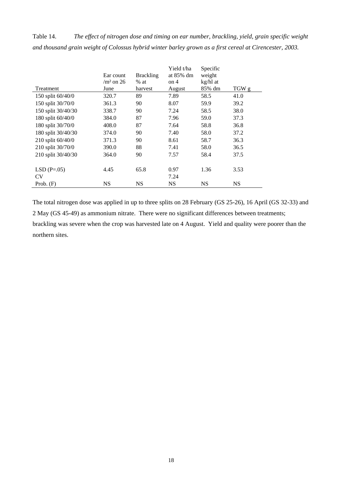Table 14. *The effect of nitrogen dose and timing on ear number, brackling, yield, grain specific weight and thousand grain weight of Colossus hybrid winter barley grown as a first cereal at Cirencester, 2003.*

| Treatment          | Ear count<br>$\text{/m}^2$ on 26<br>June | <b>Brackling</b><br>$%$ at<br>harvest | Yield t/ha<br>at 85% dm<br>on 4<br>August | Specific<br>weight<br>kg/hl at<br>85% dm | TGW g     |
|--------------------|------------------------------------------|---------------------------------------|-------------------------------------------|------------------------------------------|-----------|
| 150 split 60/40/0  | 320.7                                    | 89                                    | 7.89                                      | 58.5                                     | 41.0      |
| 150 split 30/70/0  | 361.3                                    | 90                                    | 8.07                                      | 59.9                                     | 39.2      |
| 150 split 30/40/30 | 338.7                                    | 90                                    | 7.24                                      | 58.5                                     | 38.0      |
| 180 split 60/40/0  | 384.0                                    | 87                                    | 7.96                                      | 59.0                                     | 37.3      |
| 180 split 30/70/0  | 408.0                                    | 87                                    | 7.64                                      | 58.8                                     | 36.8      |
| 180 split 30/40/30 | 374.0                                    | 90                                    | 7.40                                      | 58.0                                     | 37.2      |
| 210 split 60/40/0  | 371.3                                    | 90                                    | 8.61                                      | 58.7                                     | 36.3      |
| 210 split 30/70/0  | 390.0                                    | 88                                    | 7.41                                      | 58.0                                     | 36.5      |
| 210 split 30/40/30 | 364.0                                    | 90                                    | 7.57                                      | 58.4                                     | 37.5      |
|                    |                                          |                                       |                                           |                                          |           |
| $LSD(P=.05)$       | 4.45                                     | 65.8                                  | 0.97                                      | 1.36                                     | 3.53      |
| <b>CV</b>          |                                          |                                       | 7.24                                      |                                          |           |
| Prob. $(F)$        | <b>NS</b>                                | <b>NS</b>                             | NS                                        | NS                                       | <b>NS</b> |

The total nitrogen dose was applied in up to three splits on 28 February (GS 25-26), 16 April (GS 32-33) and 2 May (GS 45-49) as ammonium nitrate. There were no significant differences between treatments; brackling was severe when the crop was harvested late on 4 August. Yield and quality were poorer than the northern sites.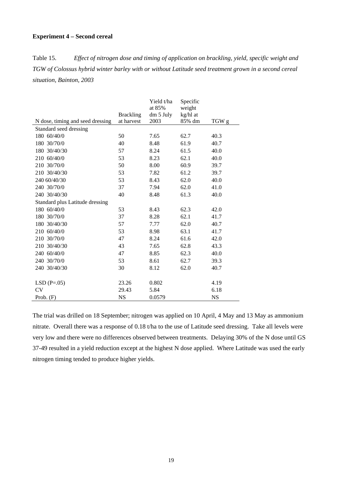# **Experiment 4 – Second cereal**

Table 15. *Effect of nitrogen dose and timing of application on brackling, yield, specific weight and TGW of Colossus hybrid winter barley with or without Latitude seed treatment grown in a second cereal situation, Bainton, 2003* 

|                                  |                  | Yield t/ha | Specific |           |
|----------------------------------|------------------|------------|----------|-----------|
|                                  |                  | at 85%     | weight   |           |
|                                  | <b>Brackling</b> | dm 5 July  | kg/hl at |           |
| N dose, timing and seed dressing | at harvest       | 2003       | 85% dm   | TGW g     |
| Standard seed dressing           |                  |            |          |           |
| 180 60/40/0                      | 50               | 7.65       | 62.7     | 40.3      |
| 180 30/70/0                      | 40               | 8.48       | 61.9     | 40.7      |
| 180 30/40/30                     | 57               | 8.24       | 61.5     | 40.0      |
| 210 60/40/0                      | 53               | 8.23       | 62.1     | 40.0      |
| 210 30/70/0                      | 50               | 8.00       | 60.9     | 39.7      |
| 210 30/40/30                     | 53               | 7.82       | 61.2     | 39.7      |
| 240 60/40/30                     | 53               | 8.43       | 62.0     | 40.0      |
| 240 30/70/0                      | 37               | 7.94       | 62.0     | 41.0      |
| 240 30/40/30                     | 40               | 8.48       | 61.3     | 40.0      |
| Standard plus Latitude dressing  |                  |            |          |           |
| 180 60/40/0                      | 53               | 8.43       | 62.3     | 42.0      |
| 180 30/70/0                      | 37               | 8.28       | 62.1     | 41.7      |
| 180 30/40/30                     | 57               | 7.77       | 62.0     | 40.7      |
| 210 60/40/0                      | 53               | 8.98       | 63.1     | 41.7      |
| 210 30/70/0                      | 47               | 8.24       | 61.6     | 42.0      |
| 210 30/40/30                     | 43               | 7.65       | 62.8     | 43.3      |
| 240 60/40/0                      | 47               | 8.85       | 62.3     | 40.0      |
| 240 30/70/0                      | 53               | 8.61       | 62.7     | 39.3      |
| 240 30/40/30                     | 30               | 8.12       | 62.0     | 40.7      |
|                                  |                  |            |          |           |
| $LSD(P=.05)$                     | 23.26            | 0.802      |          | 4.19      |
| <b>CV</b>                        | 29.43            | 5.84       |          | 6.18      |
| Prob. $(F)$                      | <b>NS</b>        | 0.0579     |          | <b>NS</b> |

The trial was drilled on 18 September; nitrogen was applied on 10 April, 4 May and 13 May as ammonium nitrate. Overall there was a response of 0.18 t/ha to the use of Latitude seed dressing. Take all levels were very low and there were no differences observed between treatments. Delaying 30% of the N dose until GS 37-49 resulted in a yield reduction except at the highest N dose applied. Where Latitude was used the early nitrogen timing tended to produce higher yields.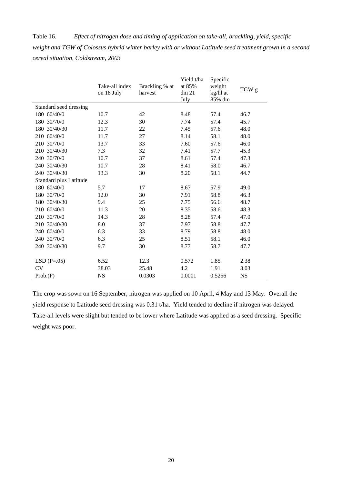Table 16. *Effect of nitrogen dose and timing of application on take-all, brackling, yield, specific weight and TGW of Colossus hybrid winter barley with or without Latitude seed treatment grown in a second cereal situation, Coldstream, 2003* 

|                        | Take-all index<br>on 18 July | Brackling % at<br>harvest | Yield t/ha<br>at 85%<br>dm <sub>21</sub><br>July | Specific<br>weight<br>kg/hl at<br>85% dm | TGW g     |
|------------------------|------------------------------|---------------------------|--------------------------------------------------|------------------------------------------|-----------|
| Standard seed dressing |                              |                           |                                                  |                                          |           |
| 180 60/40/0            | 10.7                         | 42                        | 8.48                                             | 57.4                                     | 46.7      |
| 180 30/70/0            | 12.3                         | 30                        | 7.74                                             | 57.4                                     | 45.7      |
| 180 30/40/30           | 11.7                         | 22                        | 7.45                                             | 57.6                                     | 48.0      |
| 210 60/40/0            | 11.7                         | 27                        | 8.14                                             | 58.1                                     | 48.0      |
| 210 30/70/0            | 13.7                         | 33                        | 7.60                                             | 57.6                                     | 46.0      |
| 210 30/40/30           | 7.3                          | 32                        | 7.41                                             | 57.7                                     | 45.3      |
| 240 30/70/0            | 10.7                         | 37                        | 8.61                                             | 57.4                                     | 47.3      |
| 240 30/40/30           | 10.7                         | 28                        | 8.41                                             | 58.0                                     | 46.7      |
| 240 30/40/30           | 13.3                         | 30                        | 8.20                                             | 58.1                                     | 44.7      |
| Standard plus Latitude |                              |                           |                                                  |                                          |           |
| 180 60/40/0            | 5.7                          | 17                        | 8.67                                             | 57.9                                     | 49.0      |
| 180 30/70/0            | 12.0                         | 30                        | 7.91                                             | 58.8                                     | 46.3      |
| 180 30/40/30           | 9.4                          | 25                        | 7.75                                             | 56.6                                     | 48.7      |
| 210 60/40/0            | 11.3                         | 20                        | 8.35                                             | 58.6                                     | 48.3      |
| 210 30/70/0            | 14.3                         | 28                        | 8.28                                             | 57.4                                     | 47.0      |
| 210 30/40/30           | 8.0                          | 37                        | 7.97                                             | 58.8                                     | 47.7      |
| 240 60/40/0            | 6.3                          | 33                        | 8.79                                             | 58.8                                     | 48.0      |
| 240 30/70/0            | 6.3                          | 25                        | 8.51                                             | 58.1                                     | 46.0      |
| 240 30/40/30           | 9.7                          | 30                        | 8.77                                             | 58.7                                     | 47.7      |
|                        |                              |                           |                                                  |                                          |           |
| $LSD(P=.05)$           | 6.52                         | 12.3                      | 0.572                                            | 1.85                                     | 2.38      |
| <b>CV</b>              | 38.03                        | 25.48                     | 4.2                                              | 1.91                                     | 3.03      |
| Prob(F)                | <b>NS</b>                    | 0.0303                    | 0.0001                                           | 0.5256                                   | <b>NS</b> |

The crop was sown on 16 September; nitrogen was applied on 10 April, 4 May and 13 May. Overall the yield response to Latitude seed dressing was 0.31 t/ha. Yield tended to decline if nitrogen was delayed. Take-all levels were slight but tended to be lower where Latitude was applied as a seed dressing. Specific weight was poor.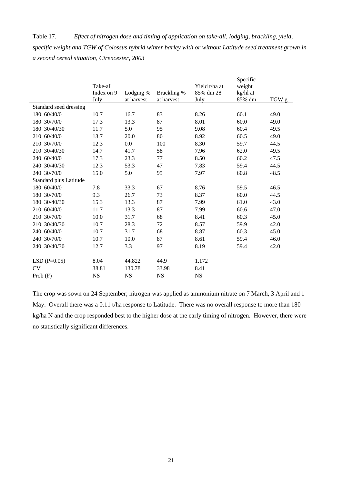Table 17. *Effect of nitrogen dose and timing of application on take-all, lodging, brackling, yield, specific weight and TGW of Colossus hybrid winter barley with or without Latitude seed treatment grown in a second cereal situation, Cirencester, 2003*

|                        |            |            |             |               | Specific |       |
|------------------------|------------|------------|-------------|---------------|----------|-------|
|                        | Take-all   |            |             | Yield t/ha at | weight   |       |
|                        | Index on 9 | Lodging %  | Brackling % | 85% dm 28     | kg/hl at |       |
|                        | July       | at harvest | at harvest  | July          | 85% dm   | TGW g |
| Standard seed dressing |            |            |             |               |          |       |
| 180 60/40/0            | 10.7       | 16.7       | 83          | 8.26          | 60.1     | 49.0  |
| 180 30/70/0            | 17.3       | 13.3       | 87          | 8.01          | 60.0     | 49.0  |
| 180 30/40/30           | 11.7       | 5.0        | 95          | 9.08          | 60.4     | 49.5  |
| 210 60/40/0            | 13.7       | 20.0       | 80          | 8.92          | 60.5     | 49.0  |
| 210 30/70/0            | 12.3       | 0.0        | 100         | 8.30          | 59.7     | 44.5  |
| 210 30/40/30           | 14.7       | 41.7       | 58          | 7.96          | 62.0     | 49.5  |
| 240 60/40/0            | 17.3       | 23.3       | 77          | 8.50          | 60.2     | 47.5  |
| 240 30/40/30           | 12.3       | 53.3       | 47          | 7.83          | 59.4     | 44.5  |
| 240 30/70/0            | 15.0       | 5.0        | 95          | 7.97          | 60.8     | 48.5  |
| Standard plus Latitude |            |            |             |               |          |       |
| 180 60/40/0            | 7.8        | 33.3       | 67          | 8.76          | 59.5     | 46.5  |
| 180 30/70/0            | 9.3        | 26.7       | 73          | 8.37          | 60.0     | 44.5  |
| 180 30/40/30           | 15.3       | 13.3       | 87          | 7.99          | 61.0     | 43.0  |
| 210 60/40/0            | 11.7       | 13.3       | 87          | 7.99          | 60.6     | 47.0  |
| 210 30/70/0            | 10.0       | 31.7       | 68          | 8.41          | 60.3     | 45.0  |
| 210 30/40/30           | 10.7       | 28.3       | 72          | 8.57          | 59.9     | 42.0  |
| 240 60/40/0            | 10.7       | 31.7       | 68          | 8.87          | 60.3     | 45.0  |
| 240 30/70/0            | 10.7       | 10.0       | 87          | 8.61          | 59.4     | 46.0  |
| 240 30/40/30           | 12.7       | 3.3        | 97          | 8.19          | 59.4     | 42.0  |
|                        |            |            |             |               |          |       |
| $LSD(P=0.05)$          | 8.04       | 44.822     | 44.9        | 1.172         |          |       |
| <b>CV</b>              | 38.81      | 130.78     | 33.98       | 8.41          |          |       |
| Prob $(F)$             | <b>NS</b>  | <b>NS</b>  | <b>NS</b>   | <b>NS</b>     |          |       |

The crop was sown on 24 September; nitrogen was applied as ammonium nitrate on 7 March, 3 April and 1 May. Overall there was a 0.11 t/ha response to Latitude. There was no overall response to more than 180 kg/ha N and the crop responded best to the higher dose at the early timing of nitrogen. However, there were no statistically significant differences.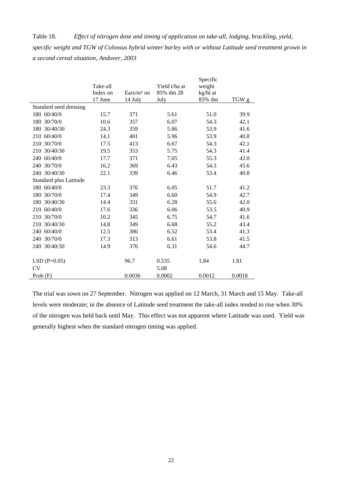Table 18. *Effect of nitrogen dose and timing of application on take-all, lodging, brackling, yield, specific weight and TGW of Colossus hybrid winter barley with or without Latitude seed treatment grown in a second cereal situation, Andover, 2003*

|                        |          |              |               | Specific |        |
|------------------------|----------|--------------|---------------|----------|--------|
|                        | Take-all |              | Yield t/ha at | weight   |        |
|                        | Index on | $Ears/m2$ on | 85% dm 28     | kg/hl at |        |
|                        | 17 June  | 14 July      | July          | 85% dm   | TGW g  |
| Standard seed dressing |          |              |               |          |        |
| 180 60/40/0            | 15.7     | 371          | 5.61          | 51.0     | 39.9   |
| 180 30/70/0            | 10.6     | 357          | 6.07          | 54.3     | 42.1   |
| 180 30/40/30           | 24.3     | 359          | 5.86          | 53.9     | 41.6   |
| 210 60/40/0            | 14.1     | 401          | 5.96          | 53.9     | 40.8   |
| 30/70/0<br>210         | 17.5     | 413          | 6.67          | 54.3     | 42.1   |
| 210 30/40/30           | 19.5     | 353          | 5.75          | 54.3     | 41.4   |
| 240 60/40/0            | 17.7     | 371          | 7.05          | 55.3     | 42.0   |
| 240 30/70/0            | 16.2     | 369          | 6.43          | 54.3     | 45.6   |
| 240 30/40/30           | 22.1     | 339          | 6.46          | 53.4     | 40.8   |
| Standard plus Latitude |          |              |               |          |        |
| 180 60/40/0            | 23.3     | 376          | 6.05          | 51.7     | 41.2   |
| 180 30/70/0            | 17.4     | 349          | 6.60          | 54.9     | 42.7   |
| 180 30/40/30           | 14.4     | 331          | 6.28          | 55.6     | 42.0   |
| 210 60/40/0            | 17.6     | 336          | 6.06          | 53.5     | 40.9   |
| 210 30/70/0            | 10.2     | 345          | 6.75          | 54.7     | 41.6   |
| 210 30/40/30           | 14.8     | 349          | 6.68          | 55.2     | 43.4   |
| 240 60/40/0            | 12.5     | 386          | 6.52          | 53.4     | 41.3   |
| 240 30/70/0            | 17.3     | 313          | 6.61          | 53.8     | 41.5   |
| 240 30/40/30           | 14.9     | 376          | 6.31          | 54.6     | 44.7   |
| $LSD(P=0.05)$          |          | 96.7         | 0.535         | 1.84     | 1.81   |
| <b>CV</b>              |          |              | 5.08          |          |        |
| Prob $(F)$             |          | 0.0036       | 0.0002        | 0.0012   | 0.0018 |

The trial was sown on 27 September. Nitrogen was applied on 12 March, 31 March and 15 May. Take-all levels were moderate; in the absence of Latitude seed treatment the take-all index tended to rise when 30% of the nitrogen was held back until May. This effect was not apparent where Latitude was used. Yield was generally highest when the standard nitrogen timing was applied.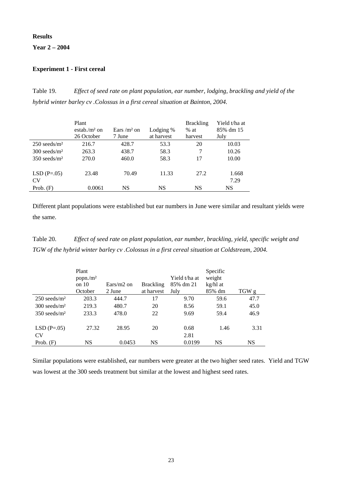# **Results**

# **Year 2 – 2004**

## **Experiment 1 - First cereal**

Table 19. *Effect of seed rate on plant population, ear number, lodging, brackling and yield of the hybrid winter barley cv .Colossus in a first cereal situation at Bainton, 2004.* 

|                            | Plant<br>$estab./m2$ on<br>26 October | Ears / $m2$ on<br>7 June | Lodging %<br>at harvest | <b>Brackling</b><br>$%$ at<br>harvest | Yield t/ha at<br>85% dm 15<br>July |
|----------------------------|---------------------------------------|--------------------------|-------------------------|---------------------------------------|------------------------------------|
| $250$ seeds/m <sup>2</sup> | 216.7                                 | 428.7                    | 53.3                    | 20                                    | 10.03                              |
| $300$ seeds/m <sup>2</sup> | 263.3                                 | 438.7                    | 58.3                    | 7                                     | 10.26                              |
| $350$ seeds/m <sup>2</sup> | 270.0                                 | 460.0                    | 58.3                    | 17                                    | 10.00                              |
| $LSD(P=.05)$<br>CV         | 23.48                                 | 70.49                    | 11.33                   | 27.2                                  | 1.668<br>7.29                      |
| Prob. $(F)$                | 0.0061                                | NS                       | NS                      | NS                                    | NS                                 |

Different plant populations were established but ear numbers in June were similar and resultant yields were the same.

Table 20. *Effect of seed rate on plant population, ear number, brackling, yield, specific weight and TGW of the hybrid winter barley cv .Colossus in a first cereal situation at Coldstream, 2004.* 

|                            | Plant<br>popn/m <sup>2</sup> | $Ears/m2$ on |                                | Yield t/ha at     | Specific<br>weight |           |
|----------------------------|------------------------------|--------------|--------------------------------|-------------------|--------------------|-----------|
|                            | on 10<br>October             | 2 June       | <b>Brackling</b><br>at harvest | 85% dm 21<br>July | kg/hl at<br>85% dm | TGW g     |
| $250$ seeds/m <sup>2</sup> | 203.3                        | 444.7        | 17                             | 9.70              | 59.6               | 47.7      |
| $300$ seeds/m <sup>2</sup> | 219.3                        | 480.7        | 20                             | 8.56              | 59.1               | 45.0      |
| $350$ seeds/m <sup>2</sup> | 233.3                        | 478.0        | 22                             | 9.69              | 59.4               | 46.9      |
| $LSD(P=.05)$<br>CV         | 27.32                        | 28.95        | 20                             | 0.68<br>2.81      | 1.46               | 3.31      |
| Prob. $(F)$                | <b>NS</b>                    | 0.0453       | NS                             | 0.0199            | NS                 | <b>NS</b> |

Similar populations were established, ear numbers were greater at the two higher seed rates. Yield and TGW was lowest at the 300 seeds treatment but similar at the lowest and highest seed rates.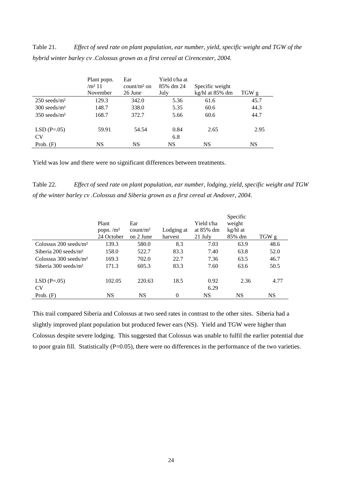Table 21. *Effect of seed rate on plant population, ear number, yield, specific weight and TGW of the hybrid winter barley cv .Colossus grown as a first cereal at Cirencester, 2004.* 

|                            | Plant popn.<br>/m <sup>2</sup> 11<br>November | Ear<br>$count/m2$ on<br>26 June | Yield t/ha at<br>85% dm 24<br>July | Specific weight<br>kg/hl at 85% dm | TGW g |
|----------------------------|-----------------------------------------------|---------------------------------|------------------------------------|------------------------------------|-------|
| $250$ seeds/m <sup>2</sup> | 129.3                                         | 342.0                           | 5.36                               | 61.6                               | 45.7  |
| $300$ seeds/m <sup>2</sup> | 148.7                                         | 338.0                           | 5.35                               | 60.6                               | 44.3  |
| $350$ seeds/m <sup>2</sup> | 168.7                                         | 372.7                           | 5.66                               | 60.6                               | 44.7  |
| $LSD(P=.05)$               | 59.91                                         | 54.54                           | 0.84                               | 2.65                               | 2.95  |
| CV <sub></sub>             |                                               |                                 | 6.8                                |                                    |       |
| Prob. $(F)$                | NS                                            | NS                              | NS                                 | NS                                 | NS    |

Yield was low and there were no significant differences between treatments.

Table 22. *Effect of seed rate on plant population, ear number, lodging, yield, specific weight and TGW of the winter barley cv .Colossus and Siberia grown as a first cereal at Andover, 2004.* 

|                                     | Plant<br>popn. $/m2$<br>24 October | Ear<br>count/m <sup>2</sup><br>on 2 June | Lodging at<br>harvest | Yield t/ha<br>at 85% dm<br>21 July | Specific<br>weight<br>kg/hl at<br>85% dm | TGW g |
|-------------------------------------|------------------------------------|------------------------------------------|-----------------------|------------------------------------|------------------------------------------|-------|
| Colossus $200$ seeds/m <sup>2</sup> | 139.3                              | 580.0                                    | 8.3                   | 7.03                               | 63.9                                     | 48.6  |
| Siberia $200$ seeds/m <sup>2</sup>  | 158.0                              | 522.7                                    | 83.3                  | 7.40                               | 63.8                                     | 52.0  |
| Colossus $300$ seeds/m <sup>2</sup> | 169.3                              | 702.0                                    | 22.7                  | 7.36                               | 63.5                                     | 46.7  |
| Siberia $300$ seeds/m <sup>2</sup>  | 171.3                              | 605.3                                    | 83.3                  | 7.60                               | 63.6                                     | 50.5  |
| $LSD(P=.05)$<br><b>CV</b>           | 102.05                             | 220.63                                   | 18.5                  | 0.92<br>6.29                       | 2.36                                     | 4.77  |
| Prob. $(F)$                         | NS                                 | NS                                       | $\theta$              | NS                                 | NS                                       | NS    |

This trail compared Siberia and Colossus at two seed rates in contrast to the other sites. Siberia had a slightly improved plant population but produced fewer ears (NS). Yield and TGW were higher than Colossus despite severe lodging. This suggested that Colossus was unable to fulfil the earlier potential due to poor grain fill. Statistically (P=0.05), there were no differences in the performance of the two varieties.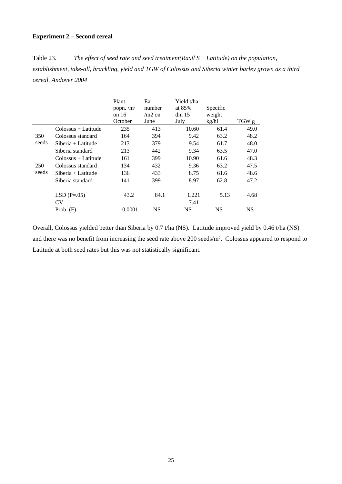# **Experiment 2 – Second cereal**

Table 23. *The effect of seed rate and seed treatment(Raxil S ± Latitude) on the population, establishment, take-all, brackling, yield and TGW of Colossus and Siberia winter barley grown as a third cereal, Andover 2004*

|       |                           | Plant<br>popn. $/m2$<br>on 16<br>October | Ear<br>number<br>$/m2$ on<br>June | Yield t/ha<br>at $85%$<br>dm <sub>15</sub><br>July | Specific<br>weight<br>kg/hl | TGW g     |
|-------|---------------------------|------------------------------------------|-----------------------------------|----------------------------------------------------|-----------------------------|-----------|
|       | Colossus + Latitude       | 235                                      | 413                               | 10.60                                              | 61.4                        | 49.0      |
| 350   | Colossus standard         | 164                                      | 394                               | 9.42                                               | 63.2                        | 48.2      |
| seeds | $Siberia + Latitude$      | 213                                      | 379                               | 9.54                                               | 61.7                        | 48.0      |
|       | Siberia standard          | 213                                      | 442                               | 9.34                                               | 63.5                        | 47.0      |
|       | Colossus + Latitude       | 161                                      | 399                               | 10.90                                              | 61.6                        | 48.3      |
| 250   | Colossus standard         | 134                                      | 432                               | 9.36                                               | 63.2                        | 47.5      |
| seeds | Siberia + Latitude        | 136                                      | 433                               | 8.75                                               | 61.6                        | 48.6      |
|       | Siberia standard          | 141                                      | 399                               | 8.97                                               | 62.8                        | 47.2      |
|       | $LSD(P=.05)$<br><b>CV</b> | 43.2                                     | 84.1                              | 1.221<br>7.41                                      | 5.13                        | 4.68      |
|       | Prob. $(F)$               | 0.0001                                   | <b>NS</b>                         | <b>NS</b>                                          | <b>NS</b>                   | <b>NS</b> |

Overall, Colossus yielded better than Siberia by 0.7 t/ha (NS). Latitude improved yield by 0.46 t/ha (NS) and there was no benefit from increasing the seed rate above 200 seeds/m². Colossus appeared to respond to Latitude at both seed rates but this was not statistically significant.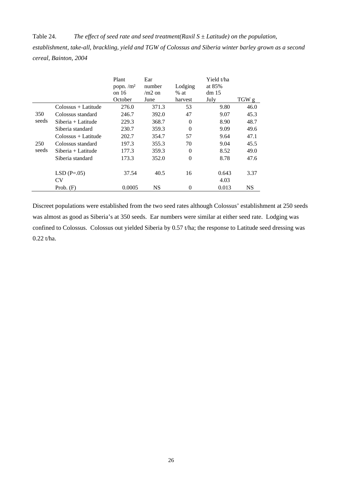Table 24. *The effect of seed rate and seed treatment(Raxil S ± Latitude) on the population, establishment, take-all, brackling, yield and TGW of Colossus and Siberia winter barley grown as a second cereal, Bainton, 2004*

|       |                                     | Plant<br>popn. $/m2$<br>on $16$<br>October | Ear<br>number<br>$/m2$ on<br>June | Lodging<br>$%$ at<br>harvest | Yield t/ha<br>at 85%<br>dm <sub>15</sub><br>July | TGW g     |
|-------|-------------------------------------|--------------------------------------------|-----------------------------------|------------------------------|--------------------------------------------------|-----------|
|       | $\text{Colossus} + \text{Latitude}$ | 276.0                                      | 371.3                             | 53                           | 9.80                                             | 46.0      |
| 350   | Colossus standard                   | 246.7                                      | 392.0                             | 47                           | 9.07                                             | 45.3      |
| seeds | $Siberia + Latitude$                | 229.3                                      | 368.7                             | $\Omega$                     | 8.90                                             | 48.7      |
|       | Siberia standard                    | 230.7                                      | 359.3                             | $\Omega$                     | 9.09                                             | 49.6      |
|       | Colossus + Latitude                 | 202.7                                      | 354.7                             | 57                           | 9.64                                             | 47.1      |
| 250   | Colossus standard                   | 197.3                                      | 355.3                             | 70                           | 9.04                                             | 45.5      |
| seeds | $Siberia + Latitude$                | 177.3                                      | 359.3                             | $\Omega$                     | 8.52                                             | 49.0      |
|       | Siberia standard                    | 173.3                                      | 352.0                             | $\mathbf{0}$                 | 8.78                                             | 47.6      |
|       | $LSD(P=.05)$<br>CV                  | 37.54                                      | 40.5                              | 16                           | 0.643<br>4.03                                    | 3.37      |
|       | Prob. $(F)$                         | 0.0005                                     | <b>NS</b>                         | $\Omega$                     | 0.013                                            | <b>NS</b> |

Discreet populations were established from the two seed rates although Colossus' establishment at 250 seeds was almost as good as Siberia's at 350 seeds. Ear numbers were similar at either seed rate. Lodging was confined to Colossus. Colossus out yielded Siberia by 0.57 t/ha; the response to Latitude seed dressing was 0.22 t/ha.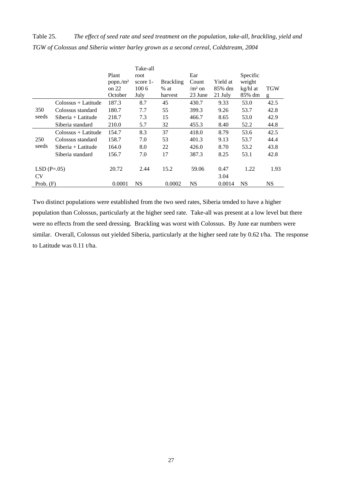Table 25. *The effect of seed rate and seed treatment on the population, take-all, brackling, yield and TGW of Colossus and Siberia winter barley grown as a second cereal, Coldstream, 2004*

|              |                                     | Plant                | Take-all         |                  | Ear       |          | Specific  |      |
|--------------|-------------------------------------|----------------------|------------------|------------------|-----------|----------|-----------|------|
|              |                                     | popn./m <sup>2</sup> | root<br>score 1- | <b>Brackling</b> | Count     | Yield at | weight    |      |
|              |                                     | on $22$              | 100 6            | $%$ at           | $/m2$ on  | 85% dm   | kg/hl at  | TGW  |
|              |                                     | October              | July             | harvest          | 23 June   | 21 July  | 85% dm    | g    |
|              | Colossus + Latitude                 | 187.3                | 8.7              | 45               | 430.7     | 9.33     | 53.0      | 42.5 |
| 350          | Colossus standard                   | 180.7                | 7.7              | 55               | 399.3     | 9.26     | 53.7      | 42.8 |
| seeds        | $Siberia + Latitude$                | 218.7                | 7.3              | 15               | 466.7     | 8.65     | 53.0      | 42.9 |
|              | Siberia standard                    | 210.0                | 5.7              | 32               | 455.3     | 8.40     | 52.2      | 44.8 |
|              | $\text{Colossus} + \text{Latitude}$ | 154.7                | 8.3              | 37               | 418.0     | 8.79     | 53.6      | 42.5 |
| 250          | Colossus standard                   | 158.7                | 7.0              | 53               | 401.3     | 9.13     | 53.7      | 44.4 |
| seeds        | $Siberia + Latitude$                | 164.0                | 8.0              | 22               | 426.0     | 8.70     | 53.2      | 43.8 |
|              | Siberia standard                    | 156.7                | 7.0              | 17               | 387.3     | 8.25     | 53.1      | 42.8 |
|              |                                     |                      |                  |                  |           |          |           |      |
| $LSD(P=.05)$ |                                     | 20.72                | 2.44             | 15.2             | 59.06     | 0.47     | 1.22      | 1.93 |
| <b>CV</b>    |                                     |                      |                  |                  |           | 3.04     |           |      |
| Prob. $(F)$  |                                     | 0.0001               | <b>NS</b>        | 0.0002           | <b>NS</b> | 0.0014   | <b>NS</b> | NS   |

Two distinct populations were established from the two seed rates, Siberia tended to have a higher population than Colossus, particularly at the higher seed rate. Take-all was present at a low level but there were no effects from the seed dressing. Brackling was worst with Colossus. By June ear numbers were similar. Overall, Colossus out yielded Siberia, particularly at the higher seed rate by 0.62 t/ha. The response to Latitude was 0.11 t/ha.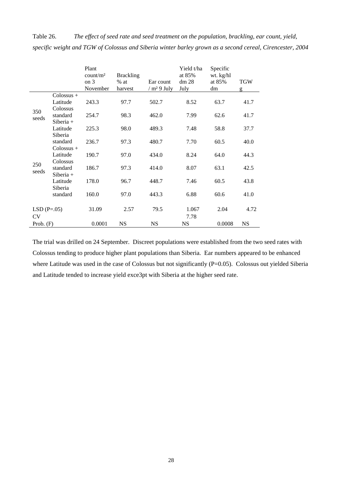|              |              | Plant<br>count/m <sup>2</sup><br>on 3<br>November | <b>Brackling</b><br>$%$ at<br>harvest | Ear count<br>/m <sup>2</sup> 9 July | Yield t/ha<br>at 85%<br>dm <sub>28</sub><br>July | Specific<br>wt. kg/hl<br>at 85%<br>dm | <b>TGW</b><br>g |
|--------------|--------------|---------------------------------------------------|---------------------------------------|-------------------------------------|--------------------------------------------------|---------------------------------------|-----------------|
|              | $Colossus +$ |                                                   |                                       |                                     |                                                  |                                       |                 |
| 350<br>seeds | Latitude     | 243.3                                             | 97.7                                  | 502.7                               | 8.52                                             | 63.7                                  | 41.7            |
|              | Colossus     |                                                   |                                       |                                     |                                                  |                                       |                 |
|              | standard     | 254.7                                             | 98.3                                  | 462.0                               | 7.99                                             | 62.6                                  | 41.7            |
|              | $Siberia +$  |                                                   |                                       |                                     |                                                  |                                       |                 |
|              | Latitude     | 225.3                                             | 98.0                                  | 489.3                               | 7.48                                             | 58.8                                  | 37.7            |
|              | Siberia      |                                                   |                                       |                                     |                                                  |                                       |                 |
|              | standard     | 236.7                                             | 97.3                                  | 480.7                               | 7.70                                             | 60.5                                  | 40.0            |
|              | Colossus +   |                                                   |                                       |                                     |                                                  |                                       |                 |
|              | Latitude     | 190.7                                             | 97.0                                  | 434.0                               | 8.24                                             | 64.0                                  | 44.3            |
| 250          | Colossus     |                                                   |                                       |                                     |                                                  |                                       |                 |
| seeds        | standard     | 186.7                                             | 97.3                                  | 414.0                               | 8.07                                             | 63.1                                  | 42.5            |
|              | $Siberia +$  |                                                   |                                       |                                     |                                                  |                                       |                 |
|              | Latitude     | 178.0                                             | 96.7                                  | 448.7                               | 7.46                                             | 60.5                                  | 43.8            |
|              | Siberia      |                                                   |                                       |                                     |                                                  |                                       |                 |
|              | standard     | 160.0                                             | 97.0                                  | 443.3                               | 6.88                                             | 60.6                                  | 41.0            |
| $LSD(P=.05)$ |              | 31.09                                             | 2.57                                  | 79.5                                | 1.067                                            | 2.04                                  | 4.72            |
| <b>CV</b>    |              |                                                   |                                       |                                     | 7.78                                             |                                       |                 |
| Prob. $(F)$  |              | 0.0001                                            | <b>NS</b>                             | <b>NS</b>                           | <b>NS</b>                                        | 0.0008                                | <b>NS</b>       |

Table 26. *The effect of seed rate and seed treatment on the population, brackling, ear count, yield, specific weight and TGW of Colossus and Siberia winter barley grown as a second cereal, Cirencester, 2004*

The trial was drilled on 24 September. Discreet populations were established from the two seed rates with Colossus tending to produce higher plant populations than Siberia. Ear numbers appeared to be enhanced where Latitude was used in the case of Colossus but not significantly (P=0.05). Colossus out yielded Siberia and Latitude tended to increase yield exce3pt with Siberia at the higher seed rate.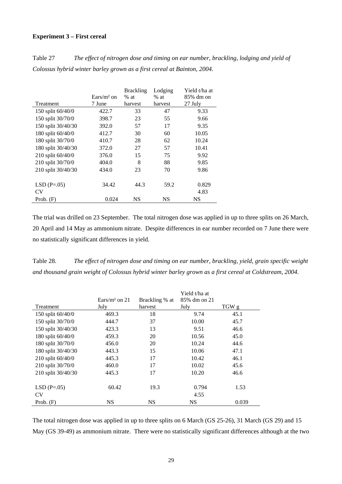#### **Experiment 3 – First cereal**

Table 27 *The effect of nitrogen dose and timing on ear number, brackling, lodging and yield of Colossus hybrid winter barley grown as a first cereal at Bainton, 2004.* 

|                    |              | <b>Brackling</b> | Lodging   | Yield t/ha at |
|--------------------|--------------|------------------|-----------|---------------|
|                    | $Ears/m2$ on | $%$ at           | $%$ at    | 85% dm on     |
| <b>Treatment</b>   | 7 June       | harvest          | harvest   | 27 July       |
| 150 split 60/40/0  | 422.7        | 33               | 47        | 9.33          |
| 150 split 30/70/0  | 398.7        | 23               | 55        | 9.66          |
| 150 split 30/40/30 | 392.0        | 57               | 17        | 9.35          |
| 180 split 60/40/0  | 412.7        | 30               | 60        | 10.05         |
| 180 split 30/70/0  | 410.7        | 28               | 62        | 10.24         |
| 180 split 30/40/30 | 372.0        | 27               | 57        | 10.41         |
| 210 split 60/40/0  | 376.0        | 15               | 75        | 9.92          |
| 210 split 30/70/0  | 404.0        | 8                | 88        | 9.85          |
| 210 split 30/40/30 | 434.0        | 23               | 70        | 9.86          |
|                    |              |                  |           |               |
| $LSD(P=.05)$       | 34.42        | 44.3             | 59.2      | 0.829         |
| CV                 |              |                  |           | 4.83          |
| Prob. $(F)$        | 0.024        | <b>NS</b>        | <b>NS</b> | NS            |

The trial was drilled on 23 September. The total nitrogen dose was applied in up to three splits on 26 March, 20 April and 14 May as ammonium nitrate. Despite differences in ear number recorded on 7 June there were no statistically significant differences in yield.

Table 28. *The effect of nitrogen dose and timing on ear number, brackling, yield, grain specific weight and thousand grain weight of Colossus hybrid winter barley grown as a first cereal at Coldstream, 2004.* 

|                    |                  |                | Yield t/ha at |       |
|--------------------|------------------|----------------|---------------|-------|
|                    | Ears/ $m2$ on 21 | Brackling % at | 85% dm on 21  |       |
| Treatment          | July             | harvest        | July          | TGW g |
| 150 split 60/40/0  | 469.3            | 18             | 9.74          | 45.1  |
| 150 split 30/70/0  | 444.7            | 37             | 10.00         | 45.7  |
| 150 split 30/40/30 | 423.3            | 13             | 9.51          | 46.6  |
| 180 split 60/40/0  | 459.3            | 20             | 10.56         | 45.0  |
| 180 split 30/70/0  | 456.0            | 20             | 10.24         | 44.6  |
| 180 split 30/40/30 | 443.3            | 15             | 10.06         | 47.1  |
| 210 split 60/40/0  | 445.3            | 17             | 10.42         | 46.1  |
| 210 split 30/70/0  | 460.0            | 17             | 10.02         | 45.6  |
| 210 split 30/40/30 | 445.3            | 17             | 10.20         | 46.6  |
| $LSD(P=.05)$       | 60.42            | 19.3           | 0.794         | 1.53  |
| <b>CV</b>          |                  |                | 4.55          |       |
| Prob. $(F)$        | <b>NS</b>        | <b>NS</b>      | <b>NS</b>     | 0.039 |

The total nitrogen dose was applied in up to three splits on 6 March (GS 25-26), 31 March (GS 29) and 15 May (GS 39-49) as ammonium nitrate. There were no statistically significant differences although at the two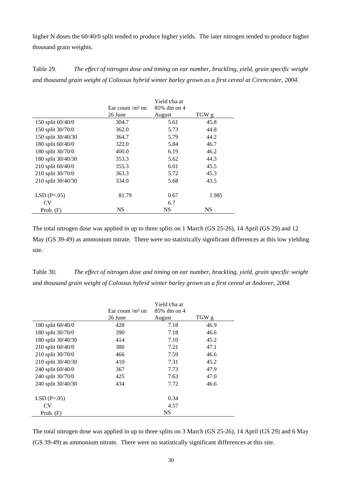higher N doses the 60/40/0 split tended to produce higher yields. The later nitrogen tended to produce higher thousand grain weights.

Table 29. *The effect of nitrogen dose and timing on ear number, brackling, yield, grain specific weight and thousand grain weight of Colossus hybrid winter barley grown as a first cereal at Cirencester, 2004.*

|                    |                     | Yield t/ha at |           |
|--------------------|---------------------|---------------|-----------|
|                    | Ear count / $m2$ on | 85% dm on 4   |           |
|                    | 26 June             | August        | TGW g     |
| 150 split 60/40/0  | 304.7               | 5.61          | 45.8      |
| 150 split 30/70/0  | 362.0               | 5.73          | 44.8      |
| 150 split 30/40/30 | 364.7               | 5.79          | 44.2      |
| 180 split 60/40/0  | 322.0               | 5.84          | 46.7      |
| 180 split 30/70/0  | 400.0               | 6.19          | 46.2      |
| 180 split 30/40/30 | 353.3               | 5.62          | 44.3      |
| 210 split 60/40/0  | 355.3               | 6.01          | 45.5      |
| 210 split 30/70/0  | 363.3               | 5.72          | 45.3      |
| 210 split 30/40/30 | 334.0               | 5.68          | 43.5      |
| $LSD(P=.05)$       | 81.79               | 0.67          | 1.985     |
| <b>CV</b>          |                     | 6.7           |           |
| Prob. $(F)$        | <b>NS</b>           | <b>NS</b>     | <b>NS</b> |

The total nitrogen dose was applied in up to three splits on 1 March (GS 25-26), 14 April (GS 29) and 12 May (GS 39-49) as ammonium nitrate. There were no statistically significant differences at this low yielding site.

Table 30. *The effect of nitrogen dose and timing on ear number, brackling, yield, grain specific weight and thousand grain weight of Colossus hybrid winter barley grown as a first cereal at Andover, 2004.*

|                    |                     | Yield t/ha at |       |
|--------------------|---------------------|---------------|-------|
|                    | Ear count / $m2$ on | 85% dm on 4   |       |
|                    | 26 June             | August        | TGW g |
| 180 split 60/40/0  | 428                 | 7.18          | 46.9  |
| 180 split 30/70/0  | 390                 | 7.18          | 46.6  |
| 180 split 30/40/30 | 414                 | 7.10          | 45.2  |
| 210 split 60/40/0  | 380                 | 7.21          | 47.1  |
| 210 split 30/70/0  | 466                 | 7.59          | 46.6  |
| 210 split 30/40/30 | 410                 | 7.31          | 45.2  |
| 240 split 60/40/0  | 367                 | 7.73          | 47.9  |
| 240 split 30/70/0  | 425                 | 7.63          | 47.0  |
| 240 split 30/40/30 | 434                 | 7.72          | 46.6  |
| $LSD(P=.05)$       |                     | 0.34          |       |
| CV                 |                     | 4.57          |       |
| Prob. $(F)$        |                     | <b>NS</b>     |       |

The total nitrogen dose was applied in up to three splits on 3 March (GS 25-26), 14 April (GS 29) and 6 May (GS 39-49) as ammonium nitrate. There were no statistically significant differences at this site.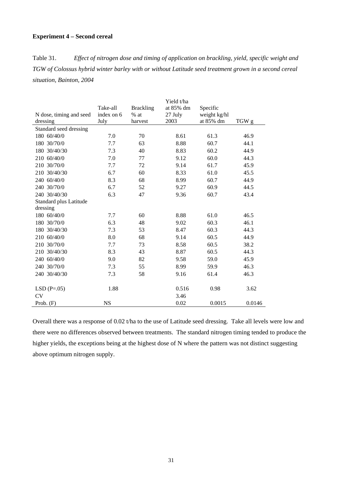# **Experiment 4 – Second cereal**

Table 31. *Effect of nitrogen dose and timing of application on brackling, yield, specific weight and TGW of Colossus hybrid winter barley with or without Latitude seed treatment grown in a second cereal situation, Bainton, 2004*

|                         |            |                  | Yield t/ha |              |                  |
|-------------------------|------------|------------------|------------|--------------|------------------|
|                         | Take-all   | <b>Brackling</b> | at 85% dm  | Specific     |                  |
| N dose, timing and seed | index on 6 | $%$ at           | 27 July    | weight kg/hl |                  |
| dressing                | July       | harvest          | 2003       | at 85% dm    | TGW <sub>g</sub> |
| Standard seed dressing  |            |                  |            |              |                  |
| 180 60/40/0             | 7.0        | 70               | 8.61       | 61.3         | 46.9             |
| 180 30/70/0             | 7.7        | 63               | 8.88       | 60.7         | 44.1             |
| 180 30/40/30            | 7.3        | 40               | 8.83       | 60.2         | 44.9             |
| 210 60/40/0             | 7.0        | 77               | 9.12       | 60.0         | 44.3             |
| 210 30/70/0             | 7.7        | 72               | 9.14       | 61.7         | 45.9             |
| 210 30/40/30            | 6.7        | 60               | 8.33       | 61.0         | 45.5             |
| 240 60/40/0             | 8.3        | 68               | 8.99       | 60.7         | 44.9             |
| 240 30/70/0             | 6.7        | 52               | 9.27       | 60.9         | 44.5             |
| 240 30/40/30            | 6.3        | 47               | 9.36       | 60.7         | 43.4             |
| Standard plus Latitude  |            |                  |            |              |                  |
| dressing                |            |                  |            |              |                  |
| 180 60/40/0             | 7.7        | 60               | 8.88       | 61.0         | 46.5             |
| 180 30/70/0             | 6.3        | 48               | 9.02       | 60.3         | 46.1             |
| 180 30/40/30            | 7.3        | 53               | 8.47       | 60.3         | 44.3             |
| 210 60/40/0             | 8.0        | 68               | 9.14       | 60.5         | 44.9             |
| 210 30/70/0             | 7.7        | 73               | 8.58       | 60.5         | 38.2             |
| 210 30/40/30            | 8.3        | 43               | 8.87       | 60.5         | 44.3             |
| 240 60/40/0             | 9.0        | 82               | 9.58       | 59.0         | 45.9             |
| 240 30/70/0             | 7.3        | 55               | 8.99       | 59.9         | 46.3             |
| 240 30/40/30            | 7.3        | 58               | 9.16       | 61.4         | 46.3             |
|                         |            |                  |            |              |                  |
| $LSD(P=.05)$            | 1.88       |                  | 0.516      | 0.98         | 3.62             |
| <b>CV</b>               |            |                  | 3.46       |              |                  |
| Prob. $(F)$             | <b>NS</b>  |                  | 0.02       | 0.0015       | 0.0146           |

Overall there was a response of 0.02 t/ha to the use of Latitude seed dressing. Take all levels were low and there were no differences observed between treatments. The standard nitrogen timing tended to produce the higher yields, the exceptions being at the highest dose of N where the pattern was not distinct suggesting above optimum nitrogen supply.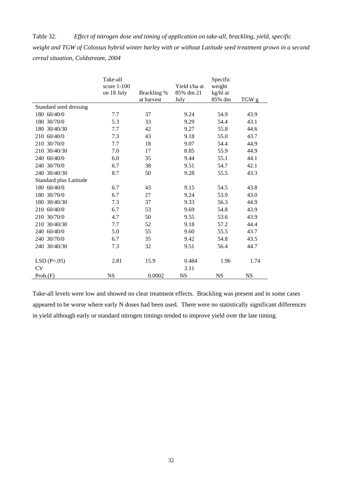Table 32. *Effect of nitrogen dose and timing of application on take-all, brackling, yield, specific weight and TGW of Colossus hybrid winter barley with or without Latitude seed treatment grown in a second cereal situation, Coldstream, 2004* 

|                           | Take-all<br>score $1-100$<br>on 18 July | Brackling %<br>at harvest | Yield t/ha at<br>85% dm 21<br>July | Specific<br>weight<br>kg/hl at<br>85% dm | TGW g     |
|---------------------------|-----------------------------------------|---------------------------|------------------------------------|------------------------------------------|-----------|
| Standard seed dressing    |                                         |                           |                                    |                                          |           |
| 180 60/40/0               | 7.7                                     | 37                        | 9.24                               | 54.9                                     | 43.9      |
| 180 30/70/0               | 5.3                                     | 33                        | 9.29                               | 54.4                                     | 43.1      |
| 180 30/40/30              | 7.7                                     | 42                        | 9.27                               | 55.8                                     | 44.6      |
| 210 60/40/0               | 7.3                                     | 43                        | 9.18                               | 55.0                                     | 43.7      |
| 210 30/70/0               | 7.7                                     | 18                        | 9.07                               | 54.4                                     | 44.9      |
| 210 30/40/30              | 7.0                                     | 17                        | 8.85                               | 55.9                                     | 44.9      |
| 240 60/40/0               | 6.0                                     | 35                        | 9.44                               | 55.1                                     | 44.1      |
| 240 30/70/0               | 6.7                                     | 38                        | 9.51                               | 54.7                                     | 42.1      |
| 240 30/40/30              | 8.7                                     | 50                        | 9.28                               | 55.5                                     | 43.3      |
| Standard plus Latitude    |                                         |                           |                                    |                                          |           |
| 180 60/40/0               | 6.7                                     | 43                        | 9.15                               | 54.5                                     | 43.8      |
| 180 30/70/0               | 6.7                                     | 27                        | 9.24                               | 53.9                                     | 43.0      |
| 180 30/40/30              | 7.3                                     | 37                        | 9.33                               | 56.3                                     | 44.9      |
| 210 60/40/0               | 6.7                                     | 53                        | 9.69                               | 54.8                                     | 43.9      |
| 210 30/70/0               | 4.7                                     | 50                        | 9.55                               | 53.6                                     | 43.9      |
| 210 30/40/30              | 7.7                                     | 52                        | 9.18                               | 57.2                                     | 44.4      |
| 240 60/40/0               | 5.0                                     | 55                        | 9.60                               | 55.5                                     | 43.7      |
| 240 30/70/0               | 6.7                                     | 35                        | 9.42                               | 54.8                                     | 43.5      |
| 240 30/40/30              | 7.3                                     | 32                        | 9.51                               | 56.4                                     | 44.7      |
| $LSD(P=.05)$<br><b>CV</b> | 2.81                                    | 15.9                      | 0.484<br>3.11                      | 1.96                                     | 1.74      |
| Prob(F)                   | <b>NS</b>                               | 0.0002                    | <b>NS</b>                          | <b>NS</b>                                | <b>NS</b> |

Take-all levels were low and showed no clear treatment effects. Brackling was present and in some cases appeared to be worse where early N doses had been used. There were no statistically significant differences in yield although early or standard nitrogen timings tended to improve yield over the late timing.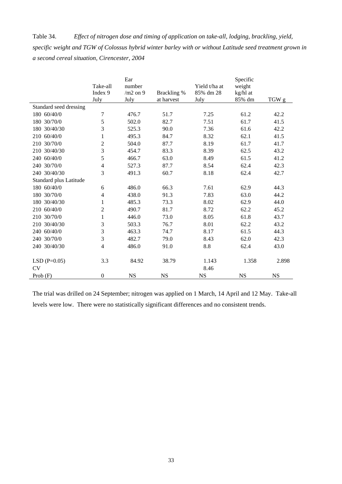Table 34. *Effect of nitrogen dose and timing of application on take-all, lodging, brackling, yield, specific weight and TGW of Colossus hybrid winter barley with or without Latitude seed treatment grown in a second cereal situation, Cirencester, 2004* 

|                            | Take-all<br>Index 9<br>July | Ear<br>number<br>$/m2$ on 9<br>July | Brackling %<br>at harvest | Yield t/ha at<br>85% dm 28<br>July | Specific<br>weight<br>kg/hl at<br>85% dm | TGW g     |
|----------------------------|-----------------------------|-------------------------------------|---------------------------|------------------------------------|------------------------------------------|-----------|
| Standard seed dressing     |                             |                                     |                           |                                    |                                          |           |
| 180 60/40/0                | 7                           | 476.7                               | 51.7                      | 7.25                               | 61.2                                     | 42.2      |
| 180 30/70/0                | 5                           | 502.0                               | 82.7                      | 7.51                               | 61.7                                     | 41.5      |
| 180 30/40/30               | 3                           | 525.3                               | 90.0                      | 7.36                               | 61.6                                     | 42.2      |
| 210 60/40/0                | $\mathbf{1}$                | 495.3                               | 84.7                      | 8.32                               | 62.1                                     | 41.5      |
| 210 30/70/0                | $\sqrt{2}$                  | 504.0                               | 87.7                      | 8.19                               | 61.7                                     | 41.7      |
| 210 30/40/30               | 3                           | 454.7                               | 83.3                      | 8.39                               | 62.5                                     | 43.2      |
| 240 60/40/0                | 5                           | 466.7                               | 63.0                      | 8.49                               | 61.5                                     | 41.2      |
| 240 30/70/0                | $\overline{4}$              | 527.3                               | 87.7                      | 8.54                               | 62.4                                     | 42.3      |
| 240 30/40/30               | 3                           | 491.3                               | 60.7                      | 8.18                               | 62.4                                     | 42.7      |
| Standard plus Latitude     |                             |                                     |                           |                                    |                                          |           |
| 180 60/40/0                | 6                           | 486.0                               | 66.3                      | 7.61                               | 62.9                                     | 44.3      |
| 180 30/70/0                | $\overline{4}$              | 438.0                               | 91.3                      | 7.83                               | 63.0                                     | 44.2      |
| 180 30/40/30               | 1                           | 485.3                               | 73.3                      | 8.02                               | 62.9                                     | 44.0      |
| 210 60/40/0                | $\mathfrak{2}$              | 490.7                               | 81.7                      | 8.72                               | 62.2                                     | 45.2      |
| 210 30/70/0                | $\mathbf{1}$                | 446.0                               | 73.0                      | 8.05                               | 61.8                                     | 43.7      |
| 210 30/40/30               | 3                           | 503.3                               | 76.7                      | 8.01                               | 62.2                                     | 43.2      |
| 240 60/40/0                | 3                           | 463.3                               | 74.7                      | 8.17                               | 61.5                                     | 44.3      |
| 240 30/70/0                | 3                           | 482.7                               | 79.0                      | 8.43                               | 62.0                                     | 42.3      |
| 240 30/40/30               | $\overline{4}$              | 486.0                               | 91.0                      | 8.8                                | 62.4                                     | 43.0      |
| $LSD(P=0.05)$<br><b>CV</b> | 3.3                         | 84.92                               | 38.79                     | 1.143<br>8.46                      | 1.358                                    | 2.898     |
| Prob $(F)$                 | $\boldsymbol{0}$            | <b>NS</b>                           | <b>NS</b>                 | <b>NS</b>                          | <b>NS</b>                                | <b>NS</b> |

The trial was drilled on 24 September; nitrogen was applied on 1 March, 14 April and 12 May. Take-all levels were low. There were no statistically significant differences and no consistent trends.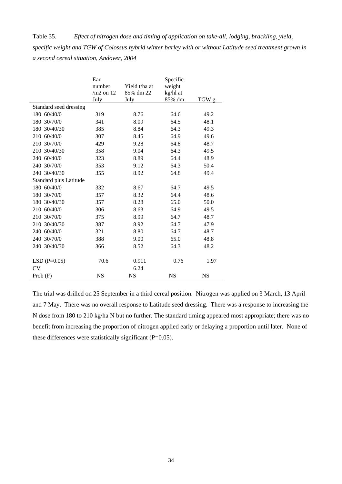Table 35. *Effect of nitrogen dose and timing of application on take-all, lodging, brackling, yield, specific weight and TGW of Colossus hybrid winter barley with or without Latitude seed treatment grown in a second cereal situation, Andover, 2004* 

|                            | Ear<br>number<br>$/m2$ on 12<br>July | Yield t/ha at<br>85% dm 22<br>July | Specific<br>weight<br>kg/hl at<br>85% dm | TGW g |
|----------------------------|--------------------------------------|------------------------------------|------------------------------------------|-------|
| Standard seed dressing     |                                      |                                    |                                          |       |
| 180 60/40/0                | 319                                  | 8.76                               | 64.6                                     | 49.2  |
| 180 30/70/0                | 341                                  | 8.09                               | 64.5                                     | 48.1  |
| 180 30/40/30               | 385                                  | 8.84                               | 64.3                                     | 49.3  |
| 210 60/40/0                | 307                                  | 8.45                               | 64.9                                     | 49.6  |
| 210 30/70/0                | 429                                  | 9.28                               | 64.8                                     | 48.7  |
| 210 30/40/30               | 358                                  | 9.04                               | 64.3                                     | 49.5  |
| 240 60/40/0                | 323                                  | 8.89                               | 64.4                                     | 48.9  |
| 240 30/70/0                | 353                                  | 9.12                               | 64.3                                     | 50.4  |
| 240 30/40/30               | 355                                  | 8.92                               | 64.8                                     | 49.4  |
| Standard plus Latitude     |                                      |                                    |                                          |       |
| 180 60/40/0                | 332                                  | 8.67                               | 64.7                                     | 49.5  |
| 180 30/70/0                | 357                                  | 8.32                               | 64.4                                     | 48.6  |
| 180 30/40/30               | 357                                  | 8.28                               | 65.0                                     | 50.0  |
| 210 60/40/0                | 306                                  | 8.63                               | 64.9                                     | 49.5  |
| 210 30/70/0                | 375                                  | 8.99                               | 64.7                                     | 48.7  |
| 210 30/40/30               | 387                                  | 8.92                               | 64.7                                     | 47.9  |
| 240 60/40/0                | 321                                  | 8.80                               | 64.7                                     | 48.7  |
| 240 30/70/0                | 388                                  | 9.00                               | 65.0                                     | 48.8  |
| 240 30/40/30               | 366                                  | 8.52                               | 64.3                                     | 48.2  |
| $LSD(P=0.05)$<br><b>CV</b> | 70.6                                 | 0.911<br>6.24                      | 0.76                                     | 1.97  |
| Prob(F)                    | <b>NS</b>                            | <b>NS</b>                          | NS                                       | NS    |

The trial was drilled on 25 September in a third cereal position. Nitrogen was applied on 3 March, 13 April and 7 May. There was no overall response to Latitude seed dressing. There was a response to increasing the N dose from 180 to 210 kg/ha N but no further. The standard timing appeared most appropriate; there was no benefit from increasing the proportion of nitrogen applied early or delaying a proportion until later. None of these differences were statistically significant  $(P=0.05)$ .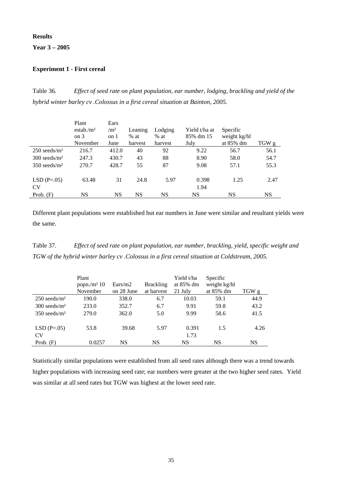# **Results**

**Year 3 – 2005** 

# **Experiment 1 - First cereal**

Table 36. *Effect of seed rate on plant population, ear number, lodging, brackling and yield of the hybrid winter barley cv .Colossus in a first cereal situation at Bainton, 2005.* 

|                            | Plant                | Ears       |         |         |               |              |       |
|----------------------------|----------------------|------------|---------|---------|---------------|--------------|-------|
|                            | estab/m <sup>2</sup> | $\rm /m^2$ | Leaning | Lodging | Yield t/ha at | Specific     |       |
|                            | $\circ$ 0 $\circ$    | on 1       | $%$ at  | $%$ at  | 85% dm 15     | weight kg/hl |       |
|                            | November             | June       | harvest | harvest | July          | at 85% dm    | TGW g |
| $250$ seeds/m <sup>2</sup> | 216.7                | 412.0      | 40      | 92      | 9.22          | 56.7         | 56.1  |
| $300$ seeds/m <sup>2</sup> | 247.3                | 430.7      | 43      | 88      | 8.90          | 58.0         | 54.7  |
| $350$ seeds/m <sup>2</sup> | 270.7                | 428.7      | 55      | 87      | 9.08          | 57.1         | 55.3  |
| $LSD(P=.05)$               | 63.48                | 31         | 24.8    | 5.97    | 0.398         | 1.25         | 2.47  |
| <b>CV</b>                  |                      |            |         |         | 1.94          |              |       |
| Prob. $(F)$                | NS                   | <b>NS</b>  | NS      | NS      | NS            | NS           | NS    |

Different plant populations were established but ear numbers in June were similar and resultant yields were the same.

Table 37. *Effect of seed rate on plant population, ear number, brackling, yield, specific weight and TGW of the hybrid winter barley cv .Colossus in a first cereal situation at Coldstream, 2005.* 

|                            | Plant<br>popn./ $m2$ 10<br>November | Ears/m2<br>on 28 June | <b>Brackling</b><br>at harvest | Yield t/ha<br>at 85% dm<br>21 July | Specific<br>weight kg/hl<br>at 85% dm | TGW g     |
|----------------------------|-------------------------------------|-----------------------|--------------------------------|------------------------------------|---------------------------------------|-----------|
| $250$ seeds/m <sup>2</sup> | 190.0                               | 338.0                 | 6.7                            | 10.03                              | 59.1                                  | 44.9      |
| $300$ seeds/m <sup>2</sup> | 233.0                               | 352.7                 | 6.7                            | 9.91                               | 59.8                                  | 43.2      |
| $350$ seeds/m <sup>2</sup> | 279.0                               | 362.0                 | 5.0                            | 9.99                               | 58.6                                  | 41.5      |
| $LSD(P=.05)$<br><b>CV</b>  | 53.8                                | 39.68                 | 5.97                           | 0.391<br>1.73                      | 1.5                                   | 4.26      |
| Prob. $(F)$                | 0.0257                              | NS                    | NS                             | <b>NS</b>                          | NS                                    | <b>NS</b> |

Statistically similar populations were established from all seed rates although there was a trend towards higher populations with increasing seed rate; ear numbers were greater at the two higher seed rates. Yield was similar at all seed rates but TGW was highest at the lower seed rate.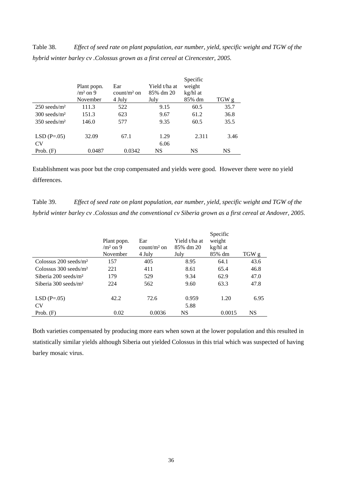Table 38. *Effect of seed rate on plant population, ear number, yield, specific weight and TGW of the hybrid winter barley cv .Colossus grown as a first cereal at Cirencester, 2005.* 

|                            | Plant popn.<br>$/m2$ on 9<br>November | Ear<br>$\text{count/m}^2$ on<br>4 July | Yield t/ha at<br>85% dm 20<br>July | Specific<br>weight<br>kg/hl at<br>85% dm | TGW g |
|----------------------------|---------------------------------------|----------------------------------------|------------------------------------|------------------------------------------|-------|
| $250$ seeds/m <sup>2</sup> | 111.3                                 | 522                                    | 9.15                               | 60.5                                     | 35.7  |
| $300$ seeds/m <sup>2</sup> | 151.3                                 | 623                                    | 9.67                               | 61.2                                     | 36.8  |
| $350$ seeds/m <sup>2</sup> | 146.0                                 | 577                                    | 9.35                               | 60.5                                     | 35.5  |
| $LSD(P=.05)$<br>CV         | 32.09                                 | 67.1                                   | 1.29<br>6.06                       | 2.311                                    | 3.46  |
| Prob. $(F)$                | 0.0487                                | 0.0342                                 | NS                                 | <b>NS</b>                                | NS    |

Establishment was poor but the crop compensated and yields were good. However there were no yield differences.

Table 39. *Effect of seed rate on plant population, ear number, yield, specific weight and TGW of the hybrid winter barley cv .Colossus and the conventional cv Siberia grown as a first cereal at Andover, 2005.* 

|                                     | Plant popn.<br>$/m2$ on 9<br>November | Ear<br>$count/m2$ on<br>4 July | Yield t/ha at<br>85% dm 20<br>July | Specific<br>weight<br>kg/hl at<br>85% dm | TGW g     |
|-------------------------------------|---------------------------------------|--------------------------------|------------------------------------|------------------------------------------|-----------|
| Colossus $200$ seeds/m <sup>2</sup> | 157                                   | 405                            | 8.95                               | 64.1                                     | 43.6      |
| Colossus $300$ seeds/m <sup>2</sup> | 221                                   | 411                            | 8.61                               | 65.4                                     | 46.8      |
| Siberia $200$ seeds/m <sup>2</sup>  | 179                                   | 529                            | 9.34                               | 62.9                                     | 47.0      |
| Siberia $300$ seeds/m <sup>2</sup>  | 224                                   | 562                            | 9.60                               | 63.3                                     | 47.8      |
| $LSD(P=.05)$                        | 42.2                                  | 72.6                           | 0.959                              | 1.20                                     | 6.95      |
| <b>CV</b>                           |                                       |                                | 5.88                               |                                          |           |
| Prob. $(F)$                         | 0.02                                  | 0.0036                         | NS                                 | 0.0015                                   | <b>NS</b> |

Both varieties compensated by producing more ears when sown at the lower population and this resulted in statistically similar yields although Siberia out yielded Colossus in this trial which was suspected of having barley mosaic virus.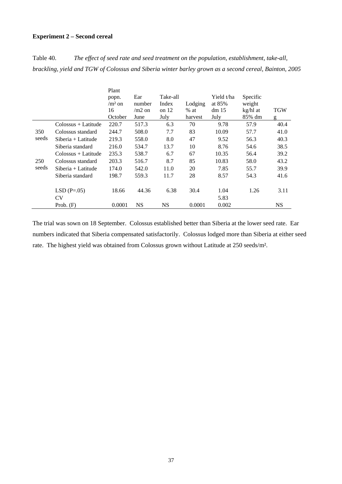#### **Experiment 2 – Second cereal**

Table 40. *The effect of seed rate and seed treatment on the population, establishment, take-all, brackling, yield and TGW of Colossus and Siberia winter barley grown as a second cereal, Bainton, 2005*

|       |                                     | Plant    |           |           |         |                  |          |            |
|-------|-------------------------------------|----------|-----------|-----------|---------|------------------|----------|------------|
|       |                                     | popn.    | Ear       | Take-all  |         | Yield t/ha       | Specific |            |
|       |                                     | $/m2$ on | number    | Index     | Lodging | at 85%           | weight   |            |
|       |                                     | 16       | $/m2$ on  | on $12$   | $%$ at  | dm <sub>15</sub> | kg/hl at | <b>TGW</b> |
|       |                                     | October  | June      | July      | harvest | July             | 85% dm   | g          |
|       | $\text{Colossus} + \text{Latitude}$ | 220.7    | 517.3     | 6.3       | 70      | 9.78             | 57.9     | 40.4       |
| 350   | Colossus standard                   | 244.7    | 508.0     | 7.7       | 83      | 10.09            | 57.7     | 41.0       |
| seeds | $Siberia + Latitude$                | 219.3    | 558.0     | 8.0       | 47      | 9.52             | 56.3     | 40.3       |
|       | Siberia standard                    | 216.0    | 534.7     | 13.7      | 10      | 8.76             | 54.6     | 38.5       |
|       | Colossus + Latitude                 | 235.3    | 538.7     | 6.7       | 67      | 10.35            | 56.4     | 39.2       |
| 250   | Colossus standard                   | 203.3    | 516.7     | 8.7       | 85      | 10.83            | 58.0     | 43.2       |
| seeds | $Siberia + Latitude$                | 174.0    | 542.0     | 11.0      | 20      | 7.85             | 55.7     | 39.9       |
|       | Siberia standard                    | 198.7    | 559.3     | 11.7      | 28      | 8.57             | 54.3     | 41.6       |
|       | $LSD(P=.05)$                        | 18.66    | 44.36     | 6.38      | 30.4    | 1.04             | 1.26     | 3.11       |
|       | CV                                  |          |           |           |         | 5.83             |          |            |
|       | Prob. $(F)$                         | 0.0001   | <b>NS</b> | <b>NS</b> | 0.0001  | 0.002            |          | <b>NS</b>  |

The trial was sown on 18 September. Colossus established better than Siberia at the lower seed rate. Ear numbers indicated that Siberia compensated satisfactorily. Colossus lodged more than Siberia at either seed rate. The highest yield was obtained from Colossus grown without Latitude at 250 seeds/m².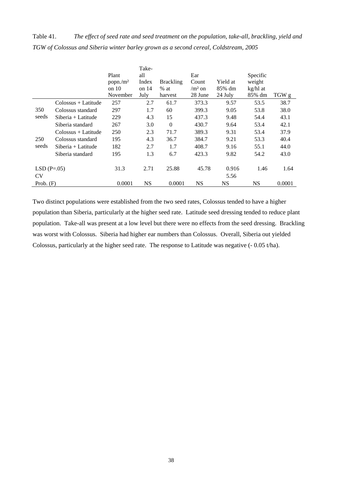Table 41. *The effect of seed rate and seed treatment on the population, take-all, brackling, yield and TGW of Colossus and Siberia winter barley grown as a second cereal, Coldstream, 2005*

|              |                                     | Plant<br>popn./m <sup>2</sup><br>on 10 | Take-<br>all<br>Index<br>on $14$ | <b>Brackling</b><br>$%$ at | Ear<br>Count<br>$/m2$ on | Yield at<br>85% dm | Specific<br>weight<br>kg/hl at |        |
|--------------|-------------------------------------|----------------------------------------|----------------------------------|----------------------------|--------------------------|--------------------|--------------------------------|--------|
|              |                                     | November                               | July                             | harvest                    | 28 June                  | 24 July            | 85% dm                         | TGW g  |
|              | $\text{Colossus} + \text{Latitude}$ | 257                                    | 2.7                              | 61.7                       | 373.3                    | 9.57               | 53.5                           | 38.7   |
| 350          | Colossus standard                   | 297                                    | 1.7                              | 60                         | 399.3                    | 9.05               | 53.8                           | 38.0   |
| seeds        | $Siberia + Latitude$                | 229                                    | 4.3                              | 15                         | 437.3                    | 9.48               | 54.4                           | 43.1   |
|              | Siberia standard                    | 267                                    | 3.0                              | $\mathbf{0}$               | 430.7                    | 9.64               | 53.4                           | 42.1   |
|              | $Colossus + Latitude$               | 250                                    | 2.3                              | 71.7                       | 389.3                    | 9.31               | 53.4                           | 37.9   |
| 250          | Colossus standard                   | 195                                    | 4.3                              | 36.7                       | 384.7                    | 9.21               | 53.3                           | 40.4   |
| seeds        | $Siberia + Latitude$                | 182                                    | 2.7                              | 1.7                        | 408.7                    | 9.16               | 55.1                           | 44.0   |
|              | Siberia standard                    | 195                                    | 1.3                              | 6.7                        | 423.3                    | 9.82               | 54.2                           | 43.0   |
| $LSD(P=.05)$ |                                     | 31.3                                   | 2.71                             | 25.88                      | 45.78                    | 0.916              | 1.46                           | 1.64   |
| <b>CV</b>    |                                     |                                        |                                  |                            |                          | 5.56               |                                |        |
| Prob. $(F)$  |                                     | 0.0001                                 | <b>NS</b>                        | 0.0001                     | <b>NS</b>                | <b>NS</b>          | <b>NS</b>                      | 0.0001 |

Two distinct populations were established from the two seed rates, Colossus tended to have a higher population than Siberia, particularly at the higher seed rate. Latitude seed dressing tended to reduce plant population. Take-all was present at a low level but there were no effects from the seed dressing. Brackling was worst with Colossus. Siberia had higher ear numbers than Colossus. Overall, Siberia out yielded Colossus, particularly at the higher seed rate. The response to Latitude was negative (- 0.05 t/ha).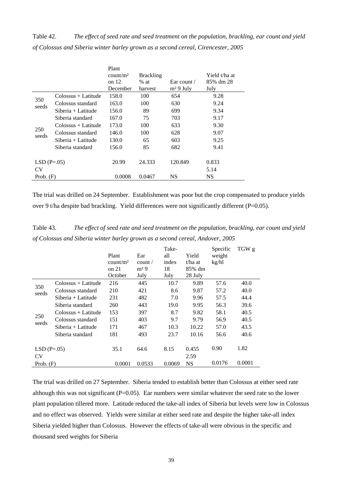Table 42. *The effect of seed rate and seed treatment on the population, brackling, ear count and yield of Colossus and Siberia winter barley grown as a second cereal, Cirencester, 2005*

|              |                      | Plant<br>count/m <sup>2</sup> | <b>Brackling</b> |                  | Yield t/ha at |
|--------------|----------------------|-------------------------------|------------------|------------------|---------------|
|              |                      | on $12$                       | $%$ at           | Ear count $\ell$ | 85% dm 28     |
|              |                      | December                      | harvest          | $m2 9$ July      | July          |
| 350          | Colossus + Latitude  | 158.0                         | 100              | 654              | 9.28          |
| seeds        | Colossus standard    | 163.0                         | 100              | 630              | 9.24          |
|              | $Siberia + Latitude$ | 156.0                         | 89               | 699              | 9.34          |
|              | Siberia standard     | 167.0                         | 75               | 703              | 9.17          |
|              | Colossus + Latitude  | 173.0                         | 100              | 633              | 9.30          |
| 250<br>seeds | Colossus standard    | 146.0                         | 100              | 628              | 9.07          |
|              | $Siberia + Latitude$ | 130.0                         | 65               | 603              | 9.25          |
|              | Siberia standard     | 156.0                         | 85               | 682              | 9.41          |
| $LSD(P=.05)$ |                      | 20.99                         | 24.333           | 120.849          | 0.833         |
| CV           |                      |                               |                  |                  | 5.14          |
| Prob. $(F)$  |                      | 0.0008                        | 0.0467           | NS               | <b>NS</b>     |

The trial was drilled on 24 September. Establishment was poor but the crop compensated to produce yields over 9 t/ha despite bad brackling. Yield differences were not significantly different (P=0.05).

Table 43. *The effect of seed rate and seed treatment on the population, brackling, ear count and yield of Colossus and Siberia winter barley grown as a second cereal, Andover, 2005*

|                           |                     | Plant<br>count/m <sup>2</sup><br>on $21$<br>October | Ear<br>count/<br>m <sup>2</sup> 9<br>July | Take-<br>all<br>index<br>18<br>July | Yield<br>t/ha at<br>85% dm<br>28 July | Specific<br>weight<br>kg/hl | TGW g  |
|---------------------------|---------------------|-----------------------------------------------------|-------------------------------------------|-------------------------------------|---------------------------------------|-----------------------------|--------|
| 350                       | Colossus + Latitude | 216                                                 | 445                                       | 10.7                                | 9.89                                  | 57.6                        | 40.0   |
| seeds                     | Colossus standard   | 210                                                 | 421                                       | 8.6                                 | 9.87                                  | 57.2                        | 40.0   |
|                           | Siberia + Latitude  | 231                                                 | 482                                       | 7.0                                 | 9.96                                  | 57.5                        | 44.4   |
|                           | Siberia standard    | 260                                                 | 443                                       | 19.0                                | 9.95                                  | 56.3                        | 39.6   |
|                           | Colossus + Latitude | 153                                                 | 397                                       | 8.7                                 | 9.82                                  | 58.1                        | 40.5   |
| 250<br>seeds              | Colossus standard   | 151                                                 | 403                                       | 9.7                                 | 9.79                                  | 56.9                        | 40.5   |
|                           | Siberia + Latitude  | 171                                                 | 467                                       | 10.3                                | 10.22                                 | 57.0                        | 43.5   |
|                           | Siberia standard    | 181                                                 | 493                                       | 23.7                                | 10.16                                 | 56.6                        | 40.6   |
| $LSD(P=.05)$<br><b>CV</b> |                     | 35.1                                                | 64.6                                      | 8.15                                | 0.455<br>2.59                         | 0.90                        | 1.82   |
| Prob. $(F)$               |                     | 0.0001                                              | 0.0533                                    | 0.0069                              | <b>NS</b>                             | 0.0176                      | 0.0001 |

The trial was drilled on 27 September. Siberia tended to establish better than Colossus at either seed rate although this was not significant  $(P=0.05)$ . Ear numbers were similar whatever the seed rate so the lower plant population tillered more. Latitude reduced the take-all index of Siberia but levels were low in Colossus and no effect was observed. Yields were similar at either seed rate and despite the higher take-all index Siberia yielded higher than Colossus. However the effects of take-all were obvious in the specific and thousand seed weights for Siberia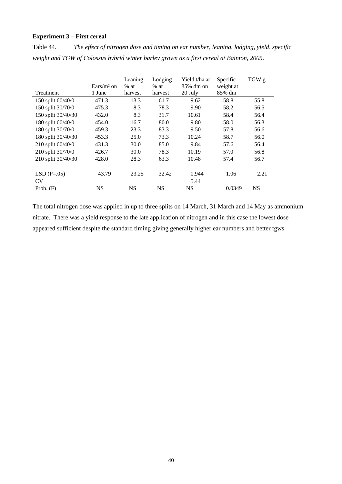## **Experiment 3 – First cereal**

Table 44. *The effect of nitrogen dose and timing on ear number, leaning, lodging, yield, specific weight and TGW of Colossus hybrid winter barley grown as a first cereal at Bainton, 2005.* 

|                    | Ears/ $m2$ on | Leaning<br>$%$ at | Lodging<br>$%$ at | Yield t/ha at<br>85% dm on | Specific<br>weight at | TGW g     |
|--------------------|---------------|-------------------|-------------------|----------------------------|-----------------------|-----------|
| Treatment          | 1 June        | harvest           | harvest           | 20 July                    | 85% dm                |           |
| 150 split 60/40/0  | 471.3         | 13.3              | 61.7              | 9.62                       | 58.8                  | 55.8      |
| 150 split 30/70/0  | 475.3         | 8.3               | 78.3              | 9.90                       | 58.2                  | 56.5      |
| 150 split 30/40/30 | 432.0         | 8.3               | 31.7              | 10.61                      | 58.4                  | 56.4      |
| 180 split 60/40/0  | 454.0         | 16.7              | 80.0              | 9.80                       | 58.0                  | 56.3      |
| 180 split 30/70/0  | 459.3         | 23.3              | 83.3              | 9.50                       | 57.8                  | 56.6      |
| 180 split 30/40/30 | 453.3         | 25.0              | 73.3              | 10.24                      | 58.7                  | 56.0      |
| 210 split 60/40/0  | 431.3         | 30.0              | 85.0              | 9.84                       | 57.6                  | 56.4      |
| 210 split 30/70/0  | 426.7         | 30.0              | 78.3              | 10.19                      | 57.0                  | 56.8      |
| 210 split 30/40/30 | 428.0         | 28.3              | 63.3              | 10.48                      | 57.4                  | 56.7      |
| $LSD(P=.05)$       | 43.79         | 23.25             | 32.42             | 0.944                      | 1.06                  | 2.21      |
| <b>CV</b>          |               |                   |                   | 5.44                       |                       |           |
| Prob. $(F)$        | <b>NS</b>     | <b>NS</b>         | <b>NS</b>         | <b>NS</b>                  | 0.0349                | <b>NS</b> |

The total nitrogen dose was applied in up to three splits on 14 March, 31 March and 14 May as ammonium nitrate. There was a yield response to the late application of nitrogen and in this case the lowest dose appeared sufficient despite the standard timing giving generally higher ear numbers and better tgws.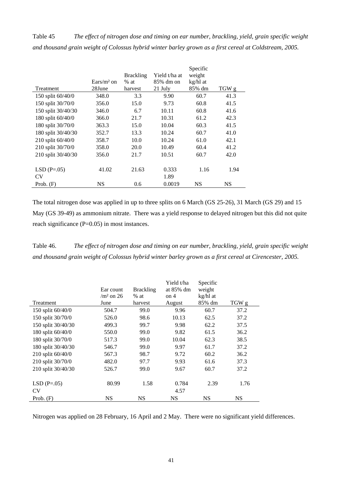Table 45 *The effect of nitrogen dose and timing on ear number, brackling, yield, grain specific weight and thousand grain weight of Colossus hybrid winter barley grown as a first cereal at Coldstream, 2005.* 

|                    |              |                  |               | Specific |       |
|--------------------|--------------|------------------|---------------|----------|-------|
|                    |              | <b>Brackling</b> | Yield t/ha at | weight   |       |
|                    | $Ears/m2$ on | $%$ at           | 85% dm on     | kg/hl at |       |
| Treatment          | 28June       | harvest          | 21 July       | 85% dm   | TGW g |
| 150 split 60/40/0  | 348.0        | 3.3              | 9.90          | 60.7     | 41.3  |
| 150 split 30/70/0  | 356.0        | 15.0             | 9.73          | 60.8     | 41.5  |
| 150 split 30/40/30 | 346.0        | 6.7              | 10.11         | 60.8     | 41.6  |
| 180 split 60/40/0  | 366.0        | 21.7             | 10.31         | 61.2     | 42.3  |
| 180 split 30/70/0  | 363.3        | 15.0             | 10.04         | 60.3     | 41.5  |
| 180 split 30/40/30 | 352.7        | 13.3             | 10.24         | 60.7     | 41.0  |
| 210 split 60/40/0  | 358.7        | 10.0             | 10.24         | 61.0     | 42.1  |
| 210 split 30/70/0  | 358.0        | 20.0             | 10.49         | 60.4     | 41.2  |
| 210 split 30/40/30 | 356.0        | 21.7             | 10.51         | 60.7     | 42.0  |
|                    |              |                  |               |          |       |
| $LSD(P=.05)$       | 41.02        | 21.63            | 0.333         | 1.16     | 1.94  |
| <b>CV</b>          |              |                  | 1.89          |          |       |
| Prob. $(F)$        | NS           | 0.6              | 0.0019        | NS       | NS    |

The total nitrogen dose was applied in up to three splits on 6 March (GS 25-26), 31 March (GS 29) and 15 May (GS 39-49) as ammonium nitrate. There was a yield response to delayed nitrogen but this did not quite reach significance (P=0.05) in most instances.

Table 46. *The effect of nitrogen dose and timing on ear number, brackling, yield, grain specific weight and thousand grain weight of Colossus hybrid winter barley grown as a first cereal at Cirencester, 2005.*

|                           | Ear count<br>$/m2$ on 26 | <b>Brackling</b><br>$%$ at | Yield t/ha<br>at 85% dm<br>on 4 | Specific<br>weight<br>kg/hl at |           |
|---------------------------|--------------------------|----------------------------|---------------------------------|--------------------------------|-----------|
| Treatment                 | June                     | harvest                    | August                          | 85% dm                         | TGW g     |
| 150 split 60/40/0         | 504.7                    | 99.0                       | 9.96                            | 60.7                           | 37.2      |
| 150 split 30/70/0         | 526.0                    | 98.6                       | 10.13                           | 62.5                           | 37.2      |
| 150 split 30/40/30        | 499.3                    | 99.7                       | 9.98                            | 62.2                           | 37.5      |
| 180 split 60/40/0         | 550.0                    | 99.0                       | 9.82                            | 61.5                           | 36.2      |
| 180 split 30/70/0         | 517.3                    | 99.0                       | 10.04                           | 62.3                           | 38.5      |
| 180 split 30/40/30        | 546.7                    | 99.0                       | 9.97                            | 61.7                           | 37.2      |
| 210 split 60/40/0         | 567.3                    | 98.7                       | 9.72                            | 60.2                           | 36.2      |
| 210 split 30/70/0         | 482.0                    | 97.7                       | 9.93                            | 61.6                           | 37.3      |
| 210 split 30/40/30        | 526.7                    | 99.0                       | 9.67                            | 60.7                           | 37.2      |
| $LSD(P=.05)$<br><b>CV</b> | 80.99                    | 1.58                       | 0.784<br>4.57                   | 2.39                           | 1.76      |
| Prob. $(F)$               | <b>NS</b>                | <b>NS</b>                  | <b>NS</b>                       | <b>NS</b>                      | <b>NS</b> |

Nitrogen was applied on 28 February, 16 April and 2 May. There were no significant yield differences.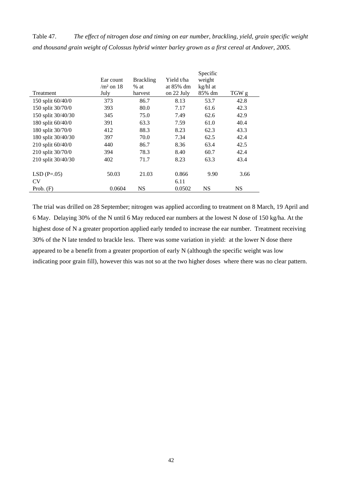Table 47. *The effect of nitrogen dose and timing on ear number, brackling, yield, grain specific weight and thousand grain weight of Colossus hybrid winter barley grown as a first cereal at Andover, 2005.*

|                    | Ear count   | <b>Brackling</b> | Yield t∕ha | Specific<br>weight |           |
|--------------------|-------------|------------------|------------|--------------------|-----------|
|                    | $/m2$ on 18 | $%$ at           | at 85% dm  | kg/hl at           |           |
| Treatment          | July        | harvest          | on 22 July | 85% dm             | TGW g     |
| 150 split 60/40/0  | 373         | 86.7             | 8.13       | 53.7               | 42.8      |
| 150 split 30/70/0  | 393         | 80.0             | 7.17       | 61.6               | 42.3      |
| 150 split 30/40/30 | 345         | 75.0             | 7.49       | 62.6               | 42.9      |
| 180 split 60/40/0  | 391         | 63.3             | 7.59       | 61.0               | 40.4      |
| 180 split 30/70/0  | 412         | 88.3             | 8.23       | 62.3               | 43.3      |
| 180 split 30/40/30 | 397         | 70.0             | 7.34       | 62.5               | 42.4      |
| 210 split 60/40/0  | 440         | 86.7             | 8.36       | 63.4               | 42.5      |
| 210 split 30/70/0  | 394         | 78.3             | 8.40       | 60.7               | 42.4      |
| 210 split 30/40/30 | 402         | 71.7             | 8.23       | 63.3               | 43.4      |
| $LSD(P=.05)$       | 50.03       | 21.03            | 0.866      | 9.90               | 3.66      |
| <b>CV</b>          |             |                  | 6.11       |                    |           |
| Prob. $(F)$        | 0.0604      | <b>NS</b>        | 0.0502     | <b>NS</b>          | <b>NS</b> |

The trial was drilled on 28 September; nitrogen was applied according to treatment on 8 March, 19 April and 6 May. Delaying 30% of the N until 6 May reduced ear numbers at the lowest N dose of 150 kg/ha. At the highest dose of N a greater proportion applied early tended to increase the ear number. Treatment receiving 30% of the N late tended to brackle less. There was some variation in yield: at the lower N dose there appeared to be a benefit from a greater proportion of early N (although the specific weight was low indicating poor grain fill), however this was not so at the two higher doses where there was no clear pattern.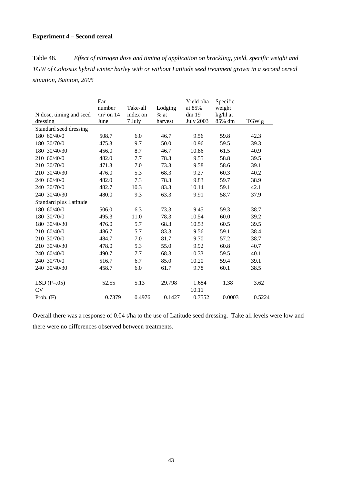#### **Experiment 4 – Second cereal**

Table 48. *Effect of nitrogen dose and timing of application on brackling, yield, specific weight and TGW of Colossus hybrid winter barley with or without Latitude seed treatment grown in a second cereal situation, Bainton, 2005*

|                         | Ear         |          |         | Yield t/ha       | Specific |        |
|-------------------------|-------------|----------|---------|------------------|----------|--------|
|                         | number      | Take-all | Lodging | at 85%           | weight   |        |
| N dose, timing and seed | $/m2$ on 14 | index on | $%$ at  | dm 19            | kg/hl at |        |
| dressing                | June        | 7 July   | harvest | <b>July 2003</b> | 85% dm   | TGW g  |
| Standard seed dressing  |             |          |         |                  |          |        |
| 180 60/40/0             | 508.7       | 6.0      | 46.7    | 9.56             | 59.8     | 42.3   |
| 180 30/70/0             | 475.3       | 9.7      | 50.0    | 10.96            | 59.5     | 39.3   |
| 180 30/40/30            | 456.0       | 8.7      | 46.7    | 10.86            | 61.5     | 40.9   |
| 210 60/40/0             | 482.0       | 7.7      | 78.3    | 9.55             | 58.8     | 39.5   |
| 210 30/70/0             | 471.3       | 7.0      | 73.3    | 9.58             | 58.6     | 39.1   |
| 210 30/40/30            | 476.0       | 5.3      | 68.3    | 9.27             | 60.3     | 40.2   |
| 240 60/40/0             | 482.0       | 7.3      | 78.3    | 9.83             | 59.7     | 38.9   |
| 240 30/70/0             | 482.7       | 10.3     | 83.3    | 10.14            | 59.1     | 42.1   |
| 240 30/40/30            | 480.0       | 9.3      | 63.3    | 9.91             | 58.7     | 37.9   |
| Standard plus Latitude  |             |          |         |                  |          |        |
| 180 60/40/0             | 506.0       | 6.3      | 73.3    | 9.45             | 59.3     | 38.7   |
| 180 30/70/0             | 495.3       | 11.0     | 78.3    | 10.54            | 60.0     | 39.2   |
| 180 30/40/30            | 476.0       | 5.7      | 68.3    | 10.53            | 60.5     | 39.5   |
| 210 60/40/0             | 486.7       | 5.7      | 83.3    | 9.56             | 59.1     | 38.4   |
| 210 30/70/0             | 484.7       | 7.0      | 81.7    | 9.70             | 57.2     | 38.7   |
| 210 30/40/30            | 478.0       | 5.3      | 55.0    | 9.92             | 60.8     | 40.7   |
| 240 60/40/0             | 490.7       | 7.7      | 68.3    | 10.33            | 59.5     | 40.1   |
| 240 30/70/0             | 516.7       | 6.7      | 85.0    | 10.20            | 59.4     | 39.1   |
| 240 30/40/30            | 458.7       | 6.0      | 61.7    | 9.78             | 60.1     | 38.5   |
|                         |             |          |         |                  |          |        |
| $LSD(P=.05)$            | 52.55       | 5.13     | 29.798  | 1.684            | 1.38     | 3.62   |
| <b>CV</b>               |             |          |         | 10.11            |          |        |
| Prob. $(F)$             | 0.7379      | 0.4976   | 0.1427  | 0.7552           | 0.0003   | 0.5224 |

Overall there was a response of 0.04 t/ha to the use of Latitude seed dressing. Take all levels were low and there were no differences observed between treatments.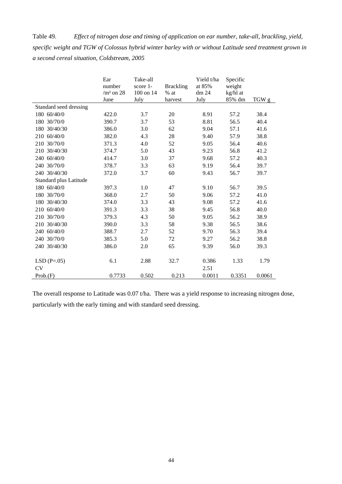Table 49. *Effect of nitrogen dose and timing of application on ear number, take-all, brackling, yield, specific weight and TGW of Colossus hybrid winter barley with or without Latitude seed treatment grown in a second cereal situation, Coldstream, 2005* 

|                        | Ear<br>number<br>$/m2$ on 28 | Take-all<br>score 1-<br>100 on 14 | <b>Brackling</b><br>$%$ at | Yield t/ha<br>at 85%<br>dm 24 | Specific<br>weight<br>kg/hl at |        |
|------------------------|------------------------------|-----------------------------------|----------------------------|-------------------------------|--------------------------------|--------|
|                        | June                         | July                              | harvest                    | July                          | 85% dm                         | TGW g  |
| Standard seed dressing |                              |                                   |                            |                               |                                |        |
| 180 60/40/0            | 422.0                        | 3.7                               | 20                         | 8.91                          | 57.2                           | 38.4   |
| 180 30/70/0            | 390.7                        | 3.7                               | 53                         | 8.81                          | 56.5                           | 40.4   |
| 180 30/40/30           | 386.0                        | 3.0                               | 62                         | 9.04                          | 57.1                           | 41.6   |
| 210 60/40/0            | 382.0                        | 4.3                               | 28                         | 9.40                          | 57.9                           | 38.8   |
| 210 30/70/0            | 371.3                        | 4.0                               | 52                         | 9.05                          | 56.4                           | 40.6   |
| 210 30/40/30           | 374.7                        | 5.0                               | 43                         | 9.23                          | 56.8                           | 41.2   |
| 240 60/40/0            | 414.7                        | 3.0                               | 37                         | 9.68                          | 57.2                           | 40.3   |
| 240 30/70/0            | 378.7                        | 3.3                               | 63                         | 9.19                          | 56.4                           | 39.7   |
| 240 30/40/30           | 372.0                        | 3.7                               | 60                         | 9.43                          | 56.7                           | 39.7   |
| Standard plus Latitude |                              |                                   |                            |                               |                                |        |
| 180 60/40/0            | 397.3                        | 1.0                               | 47                         | 9.10                          | 56.7                           | 39.5   |
| 180 30/70/0            | 368.0                        | 2.7                               | 50                         | 9.06                          | 57.2                           | 41.0   |
| 180 30/40/30           | 374.0                        | 3.3                               | 43                         | 9.08                          | 57.2                           | 41.6   |
| 210 60/40/0            | 391.3                        | 3.3                               | 38                         | 9.45                          | 56.8                           | 40.0   |
| 210 30/70/0            | 379.3                        | 4.3                               | 50                         | 9.05                          | 56.2                           | 38.9   |
| 210 30/40/30           | 390.0                        | 3.3                               | 58                         | 9.38                          | 56.5                           | 38.6   |
| 240 60/40/0            | 388.7                        | 2.7                               | 52                         | 9.70                          | 56.3                           | 39.4   |
| 240 30/70/0            | 385.3                        | 5.0                               | 72                         | 9.27                          | 56.2                           | 38.8   |
| 240 30/40/30           | 386.0                        | 2.0                               | 65                         | 9.39                          | 56.0                           | 39.3   |
|                        |                              |                                   |                            |                               |                                |        |
| $LSD(P=.05)$           | 6.1                          | 2.88                              | 32.7                       | 0.386                         | 1.33                           | 1.79   |
| <b>CV</b>              |                              |                                   |                            | 2.51                          |                                |        |
| Prob(F)                | 0.7733                       | 0.502                             | 0.213                      | 0.0011                        | 0.3351                         | 0.0061 |

The overall response to Latitude was 0.07 t/ha. There was a yield response to increasing nitrogen dose, particularly with the early timing and with standard seed dressing.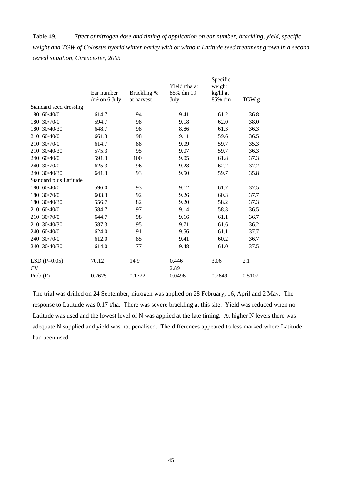Table 49. *Effect of nitrogen dose and timing of application on ear number, brackling, yield, specific weight and TGW of Colossus hybrid winter barley with or without Latitude seed treatment grown in a second cereal situation, Cirencester, 2005* 

|                        |                 |             |               | Specific |        |
|------------------------|-----------------|-------------|---------------|----------|--------|
|                        |                 |             | Yield t/ha at | weight   |        |
|                        | Ear number      | Brackling % | 85% dm 19     | kg/hl at |        |
|                        | $/m2$ on 6 July | at harvest  | July          | 85% dm   | TGW g  |
| Standard seed dressing |                 |             |               |          |        |
| 180 60/40/0            | 614.7           | 94          | 9.41          | 61.2     | 36.8   |
| 180 30/70/0            | 594.7           | 98          | 9.18          | 62.0     | 38.0   |
| 180 30/40/30           | 648.7           | 98          | 8.86          | 61.3     | 36.3   |
| 210 60/40/0            | 661.3           | 98          | 9.11          | 59.6     | 36.5   |
| 210 30/70/0            | 614.7           | 88          | 9.09          | 59.7     | 35.3   |
| 210 30/40/30           | 575.3           | 95          | 9.07          | 59.7     | 36.3   |
| 240 60/40/0            | 591.3           | 100         | 9.05          | 61.8     | 37.3   |
| 240 30/70/0            | 625.3           | 96          | 9.28          | 62.2     | 37.2   |
| 240 30/40/30           | 641.3           | 93          | 9.50          | 59.7     | 35.8   |
| Standard plus Latitude |                 |             |               |          |        |
| 180 60/40/0            | 596.0           | 93          | 9.12          | 61.7     | 37.5   |
| 180 30/70/0            | 603.3           | 92          | 9.26          | 60.3     | 37.7   |
| 180 30/40/30           | 556.7           | 82          | 9.20          | 58.2     | 37.3   |
| 210 60/40/0            | 584.7           | 97          | 9.14          | 58.3     | 36.5   |
| 210 30/70/0            | 644.7           | 98          | 9.16          | 61.1     | 36.7   |
| 210 30/40/30           | 587.3           | 95          | 9.71          | 61.6     | 36.2   |
| 240 60/40/0            | 624.0           | 91          | 9.56          | 61.1     | 37.7   |
| 240 30/70/0            | 612.0           | 85          | 9.41          | 60.2     | 36.7   |
| 240 30/40/30           | 614.0           | 77          | 9.48          | 61.0     | 37.5   |
|                        |                 |             |               |          |        |
| $LSD(P=0.05)$          | 70.12           | 14.9        | 0.446         | 3.06     | 2.1    |
| <b>CV</b>              |                 |             | 2.89          |          |        |
| Prob $(F)$             | 0.2625          | 0.1722      | 0.0496        | 0.2649   | 0.5107 |

The trial was drilled on 24 September; nitrogen was applied on 28 February, 16, April and 2 May. The response to Latitude was 0.17 t/ha. There was severe brackling at this site. Yield was reduced when no Latitude was used and the lowest level of N was applied at the late timing. At higher N levels there was adequate N supplied and yield was not penalised. The differences appeared to less marked where Latitude had been used.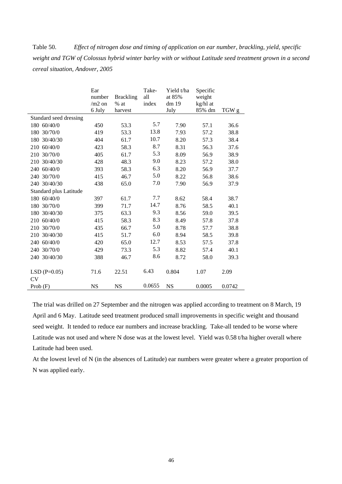Table 50. *Effect of nitrogen dose and timing of application on ear number, brackling, yield, specific weight and TGW of Colossus hybrid winter barley with or without Latitude seed treatment grown in a second cereal situation, Andover, 2005* 

|                        | Ear       |                  | Take-  | Yield t/ha | Specific |        |
|------------------------|-----------|------------------|--------|------------|----------|--------|
|                        | number    | <b>Brackling</b> | all    | at 85%     | weight   |        |
|                        | $/m2$ on  | $%$ at           | index  | dm 19      | kg/hl at |        |
|                        | 6 July    | harvest          |        | July       | 85% dm   | TGW g  |
| Standard seed dressing |           |                  |        |            |          |        |
| 180 60/40/0            | 450       | 53.3             | 5.7    | 7.90       | 57.1     | 36.6   |
| 180 30/70/0            | 419       | 53.3             | 13.8   | 7.93       | 57.2     | 38.8   |
| 180 30/40/30           | 404       | 61.7             | 10.7   | 8.20       | 57.3     | 38.4   |
| 210 60/40/0            | 423       | 58.3             | 8.7    | 8.31       | 56.3     | 37.6   |
| 210 30/70/0            | 405       | 61.7             | 5.3    | 8.09       | 56.9     | 38.9   |
| 210 30/40/30           | 428       | 48.3             | 9.0    | 8.23       | 57.2     | 38.0   |
| 240 60/40/0            | 393       | 58.3             | 6.3    | 8.20       | 56.9     | 37.7   |
| 240 30/70/0            | 415       | 46.7             | 5.0    | 8.22       | 56.8     | 38.6   |
| 240 30/40/30           | 438       | 65.0             | 7.0    | 7.90       | 56.9     | 37.9   |
| Standard plus Latitude |           |                  |        |            |          |        |
| 180 60/40/0            | 397       | 61.7             | 7.7    | 8.62       | 58.4     | 38.7   |
| 180 30/70/0            | 399       | 71.7             | 14.7   | 8.76       | 58.5     | 40.1   |
| 180 30/40/30           | 375       | 63.3             | 9.3    | 8.56       | 59.0     | 39.5   |
| 210 60/40/0            | 415       | 58.3             | 8.3    | 8.49       | 57.8     | 37.8   |
| 210 30/70/0            | 435       | 66.7             | 5.0    | 8.78       | 57.7     | 38.8   |
| 210 30/40/30           | 415       | 51.7             | 6.0    | 8.94       | 58.5     | 39.8   |
| 240 60/40/0            | 420       | 65.0             | 12.7   | 8.53       | 57.5     | 37.8   |
| 240 30/70/0            | 429       | 73.3             | 5.3    | 8.82       | 57.4     | 40.1   |
| 240 30/40/30           | 388       | 46.7             | 8.6    | 8.72       | 58.0     | 39.3   |
|                        |           |                  |        |            |          |        |
| $LSD$ (P=0.05)         | 71.6      | 22.51            | 6.43   | 0.804      | 1.07     | 2.09   |
| CV                     |           |                  |        |            |          |        |
| Prob $(F)$             | <b>NS</b> | <b>NS</b>        | 0.0655 | <b>NS</b>  | 0.0005   | 0.0742 |

The trial was drilled on 27 September and the nitrogen was applied according to treatment on 8 March, 19 April and 6 May. Latitude seed treatment produced small improvements in specific weight and thousand seed weight. It tended to reduce ear numbers and increase brackling. Take-all tended to be worse where Latitude was not used and where N dose was at the lowest level. Yield was 0.58 t/ha higher overall where Latitude had been used.

At the lowest level of N (in the absences of Latitude) ear numbers were greater where a greater proportion of N was applied early.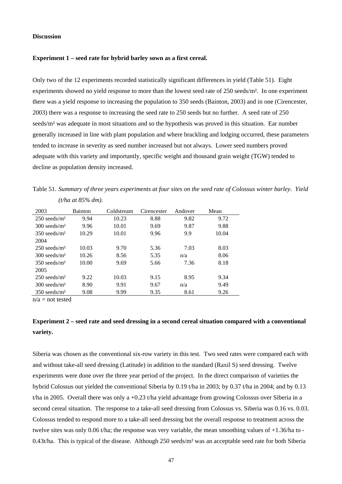#### **Discussion**

#### **Experiment 1 – seed rate for hybrid barley sown as a first cereal.**

Only two of the 12 experiments recorded statistically significant differences in yield (Table 51). Eight experiments showed no yield response to more than the lowest seed rate of 250 seeds/m². In one experiment there was a yield response to increasing the population to 350 seeds (Bainton, 2003) and in one (Cirencester, 2003) there was a response to increasing the seed rate to 250 seeds but no further. A seed rate of 250 seeds/m² was adequate in most situations and so the hypothesis was proved in this situation. Ear number generally increased in line with plant population and where brackling and lodging occurred, these parameters tended to increase in severity as seed number increased but not always. Lower seed numbers proved adequate with this variety and importantly, specific weight and thousand grain weight (TGW) tended to decline as population density increased.

Table 51. *Summary of three years experiments at four sites on the seed rate of Colossus winter barley. Yield (t/ha at 85% dm).* 

| 2003                       | <b>Bainton</b> | Coldstream | Cirencester | Andover | Mean  |
|----------------------------|----------------|------------|-------------|---------|-------|
| $250$ seeds/m <sup>2</sup> | 9.94           | 10.23      | 8.88        | 9.82    | 9.72  |
| $300$ seeds/m <sup>2</sup> | 9.96           | 10.01      | 9.69        | 9.87    | 9.88  |
| $350$ seeds/m <sup>2</sup> | 10.29          | 10.01      | 9.96        | 9.9     | 10.04 |
| 2004                       |                |            |             |         |       |
| $250$ seeds/m <sup>2</sup> | 10.03          | 9.70       | 5.36        | 7.03    | 8.03  |
| $300$ seeds/m <sup>2</sup> | 10.26          | 8.56       | 5.35        | n/a     | 8.06  |
| $350$ seeds/m <sup>2</sup> | 10.00          | 9.69       | 5.66        | 7.36    | 8.18  |
| 2005                       |                |            |             |         |       |
| $250$ seeds/m <sup>2</sup> | 9.22           | 10.03      | 9.15        | 8.95    | 9.34  |
| $300$ seeds/m <sup>2</sup> | 8.90           | 9.91       | 9.67        | n/a     | 9.49  |
| $350$ seeds/m <sup>2</sup> | 9.08           | 9.99       | 9.35        | 8.61    | 9.26  |

 $n/a$  = not tested

# **Experiment 2 – seed rate and seed dressing in a second cereal situation compared with a conventional variety.**

Siberia was chosen as the conventional six-row variety in this test. Two seed rates were compared each with and without take-all seed dressing (Latitude) in addition to the standard (Raxil S) seed dressing. Twelve experiments were done over the three year period of the project. In the direct comparison of varieties the hybrid Colossus out yielded the conventional Siberia by 0.19 t/ha in 2003; by 0.37 t/ha in 2004; and by 0.13 t/ha in 2005. Overall there was only a +0.23 t/ha yield advantage from growing Colossus over Siberia in a second cereal situation. The response to a take-all seed dressing from Colossus vs. Siberia was 0.16 vs. 0.03. Colossus tended to respond more to a take-all seed dressing but the overall response to treatment across the twelve sites was only 0.06 t/ha; the response was very variable, the mean smoothing values of +1.36/ha to - 0.43t/ha. This is typical of the disease. Although 250 seeds/m² was an acceptable seed rate for both Siberia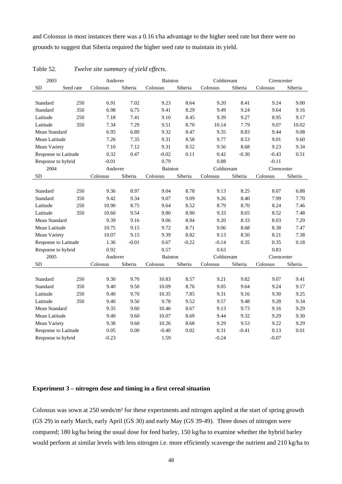and Colossus in most instances there was a 0.16 t/ha advantage to the higher seed rate but there were no grounds to suggest that Siberia required the higher seed rate to maintain its yield.

| 2003                 |           | Andover  |         | Bainton        |         | Coldstream |         | Cirencester |         |
|----------------------|-----------|----------|---------|----------------|---------|------------|---------|-------------|---------|
| <b>SD</b>            | Seed rate | Colossus | Siberia | Colossus       | Siberia | Colossus   | Siberia | Colossus    | Siberia |
|                      |           |          |         |                |         |            |         |             |         |
| Standard             | 250       | 6.91     | 7.02    | 9.23           | 8.64    | 9.20       | 8.41    | 9.24        | 9.00    |
| Standard             | 350       | 6.98     | 6.75    | 9.41           | 8.29    | 9.49       | 9.24    | 9.64        | 9.16    |
| Latitude             | 250       | 7.18     | 7.41    | 9.10           | 8.45    | 9.39       | 9.27    | 8.95        | 9.17    |
| Latitude             | 350       | 7.34     | 7.29    | 9.51           | 8.70    | 10.14      | 7.79    | 9.07        | 10.02   |
| Mean Standard        |           | 6.95     | 6.89    | 9.32           | 8.47    | 9.35       | 8.83    | 9.44        | 9.08    |
| Mean Latitude        |           | 7.26     | 7.35    | 9.31           | 8.58    | 9.77       | 8.53    | 9.01        | 9.60    |
| Mean Variety         |           | 7.10     | 7.12    | 9.31           | 8.52    | 9.56       | 8.68    | 9.23        | 9.34    |
| Response to Latitude |           | 0.32     | 0.47    | $-0.02$        | 0.11    | 0.42       | $-0.30$ | $-0.43$     | 0.51    |
| Response to hybrid   |           | $-0.01$  |         | 0.79           |         | 0.88       |         | $-0.11$     |         |
| 2004                 |           | Andover  |         | <b>Bainton</b> |         | Coldstream |         | Cirencester |         |
| <b>SD</b>            |           | Colossus | Siberia | Colossus       | Siberia | Colossus   | Siberia | Colossus    | Siberia |
|                      |           |          |         |                |         |            |         |             |         |
| Standard             | 250       | 9.36     | 8.97    | 9.04           | 8.78    | 9.13       | 8.25    | 8.07        | 6.88    |
| Standard             | 350       | 9.42     | 9.34    | 9.07           | 9.09    | 9.26       | 8.40    | 7.99        | 7.70    |
| Latitude             | 250       | 10.90    | 8.75    | 9.64           | 8.52    | 8.79       | 8.70    | 8.24        | 7.46    |
| Latitude             | 350       | 10.60    | 9.54    | 9.80           | 8.90    | 9.33       | 8.65    | 8.52        | 7.48    |
| Mean Standard        |           | 9.39     | 9.16    | 9.06           | 8.94    | 9.20       | 8.33    | 8.03        | 7.29    |
| Mean Latitude        |           | 10.75    | 9.15    | 9.72           | 8.71    | 9.06       | 8.68    | 8.38        | 7.47    |
| Mean Variety         |           | 10.07    | 9.15    | 9.39           | 8.82    | 9.13       | 8.50    | 8.21        | 7.38    |
| Response to Latitude |           | 1.36     | $-0.01$ | 0.67           | $-0.22$ | $-0.14$    | 0.35    | 0.35        | 0.18    |
| Response to hybrid   |           | 0.92     |         | 0.57           |         | 0.63       |         | 0.83        |         |
| 2005                 |           | Andover  |         | Bainton        |         | Coldstream |         | Cirencester |         |
| <b>SD</b>            |           | Colossus | Siberia | Colossus       | Siberia | Colossus   | Siberia | Colossus    | Siberia |
|                      |           |          |         |                |         |            |         |             |         |
| Standard             | 250       | 9.30     | 9.70    | 10.83          | 8.57    | 9.21       | 9.82    | 9.07        | 9.41    |
| Standard             | 350       | 9.40     | 9.50    | 10.09          | 8.76    | 9.05       | 9.64    | 9.24        | 9.17    |
| Latitude             | 250       | 9.40     | 9.70    | 10.35          | 7.85    | 9.31       | 9.16    | 9.30        | 9.25    |
| Latitude             | 350       | 9.40     | 9.50    | 9.78           | 9.52    | 9.57       | 9.48    | 9.28        | 9.34    |
| Mean Standard        |           | 9.35     | 9.60    | 10.46          | 8.67    | 9.13       | 9.73    | 9.16        | 9.29    |
| Mean Latitude        |           | 9.40     | 9.60    | 10.07          | 8.69    | 9.44       | 9.32    | 9.29        | 9.30    |
| Mean Variety         |           | 9.38     | 9.60    | 10.26          | 8.68    | 9.29       | 9.53    | 9.22        | 9.29    |
| Response to Latitude |           | 0.05     | 0.00    | $-0.40$        | 0.02    | 0.31       | $-0.41$ | 0.13        | 0.01    |
| Response to hybrid   |           | $-0.23$  |         | 1.59           |         | $-0.24$    |         | $-0.07$     |         |

Table 52. *Twelve site summary of yield effects.*

## **Experiment 3 – nitrogen dose and timing in a first cereal situation**

Colossus was sown at 250 seeds/m² for these experiments and nitrogen applied at the start of spring growth (GS 29) in early March, early April (GS 30) and early May (GS 39-49). Three doses of nitrogen were compared; 180 kg/ha being the usual dose for feed barley, 150 kg/ha to examine whether the hybrid barley would perform at similar levels with less nitrogen i.e. more efficiently scavenge the nutrient and 210 kg/ha to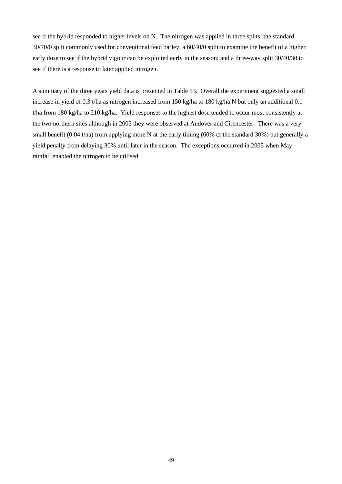see if the hybrid responded to higher levels on N. The nitrogen was applied in three splits; the standard 30/70/0 split commonly used for conventional feed barley, a 60/40/0 split to examine the benefit of a higher early dose to see if the hybrid vigour can be exploited early in the season; and a three-way split 30/40/30 to see if there is a response to later applied nitrogen.

A summary of the three years yield data is presented in Table 53. Overall the experiment suggested a small increase in yield of 0.3 t/ha as nitrogen increased from 150 kg/ha to 180 kg/ha N but only an additional 0.1 t/ha from 180 kg/ha to 210 kg/ha. Yield responses to the highest dose tended to occur most consistently at the two northern sites although in 2003 they were observed at Andover and Cirencester. There was a very small benefit (0.04 t/ha) from applying more N at the early timing (60% cf the standard 30%) but generally a yield penalty from delaying 30% until later in the season. The exceptions occurred in 2005 when May rainfall enabled the nitrogen to be utilised.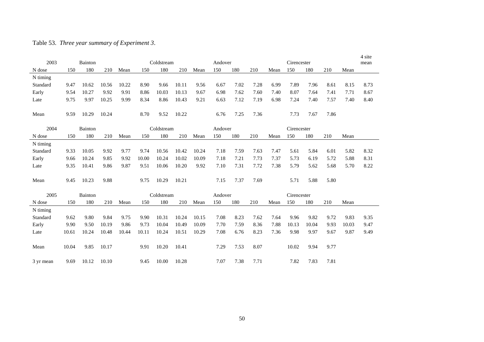# Table 53. *Three year summary of Experiment 3*.

|           |       |         |       |       |       |            |       |       |         |      |      |      |             |       |      |       | 4 site |
|-----------|-------|---------|-------|-------|-------|------------|-------|-------|---------|------|------|------|-------------|-------|------|-------|--------|
| 2003      |       | Bainton |       |       |       | Coldstream |       |       | Andover |      |      |      | Cirencester |       |      |       | mean   |
| N dose    | 150   | 180     | 210   | Mean  | 150   | 180        | 210   | Mean  | 150     | 180  | 210  | Mean | 150         | 180   | 210  | Mean  |        |
| N timing  |       |         |       |       |       |            |       |       |         |      |      |      |             |       |      |       |        |
| Standard  | 9.47  | 10.62   | 10.56 | 10.22 | 8.90  | 9.66       | 10.11 | 9.56  | 6.67    | 7.02 | 7.28 | 6.99 | 7.89        | 7.96  | 8.61 | 8.15  | 8.73   |
| Early     | 9.54  | 10.27   | 9.92  | 9.91  | 8.86  | 10.03      | 10.13 | 9.67  | 6.98    | 7.62 | 7.60 | 7.40 | 8.07        | 7.64  | 7.41 | 7.71  | 8.67   |
| Late      | 9.75  | 9.97    | 10.25 | 9.99  | 8.34  | 8.86       | 10.43 | 9.21  | 6.63    | 7.12 | 7.19 | 6.98 | 7.24        | 7.40  | 7.57 | 7.40  | 8.40   |
|           |       |         |       |       |       |            |       |       |         |      |      |      |             |       |      |       |        |
| Mean      | 9.59  | 10.29   | 10.24 |       | 8.70  | 9.52       | 10.22 |       | 6.76    | 7.25 | 7.36 |      | 7.73        | 7.67  | 7.86 |       |        |
|           |       |         |       |       |       |            |       |       |         |      |      |      |             |       |      |       |        |
| 2004      |       | Bainton |       |       |       | Coldstream |       |       | Andover |      |      |      | Cirencester |       |      |       |        |
| N dose    | 150   | 180     | 210   | Mean  | 150   | 180        | 210   | Mean  | 150     | 180  | 210  | Mean | 150         | 180   | 210  | Mean  |        |
| N timing  |       |         |       |       |       |            |       |       |         |      |      |      |             |       |      |       |        |
| Standard  | 9.33  | 10.05   | 9.92  | 9.77  | 9.74  | 10.56      | 10.42 | 10.24 | 7.18    | 7.59 | 7.63 | 7.47 | 5.61        | 5.84  | 6.01 | 5.82  | 8.32   |
| Early     | 9.66  | 10.24   | 9.85  | 9.92  | 10.00 | 10.24      | 10.02 | 10.09 | 7.18    | 7.21 | 7.73 | 7.37 | 5.73        | 6.19  | 5.72 | 5.88  | 8.31   |
| Late      | 9.35  | 10.41   | 9.86  | 9.87  | 9.51  | 10.06      | 10.20 | 9.92  | 7.10    | 7.31 | 7.72 | 7.38 | 5.79        | 5.62  | 5.68 | 5.70  | 8.22   |
|           |       |         |       |       |       |            |       |       |         |      |      |      |             |       |      |       |        |
| Mean      | 9.45  | 10.23   | 9.88  |       | 9.75  | 10.29      | 10.21 |       | 7.15    | 7.37 | 7.69 |      | 5.71        | 5.88  | 5.80 |       |        |
|           |       |         |       |       |       |            |       |       |         |      |      |      |             |       |      |       |        |
| 2005      |       | Bainton |       |       |       | Coldstream |       |       | Andover |      |      |      | Cirencester |       |      |       |        |
| N dose    | 150   | 180     | 210   | Mean  | 150   | 180        | 210   | Mean  | 150     | 180  | 210  | Mean | 150         | 180   | 210  | Mean  |        |
| N timing  |       |         |       |       |       |            |       |       |         |      |      |      |             |       |      |       |        |
| Standard  | 9.62  | 9.80    | 9.84  | 9.75  | 9.90  | 10.31      | 10.24 | 10.15 | 7.08    | 8.23 | 7.62 | 7.64 | 9.96        | 9.82  | 9.72 | 9.83  | 9.35   |
| Early     | 9.90  | 9.50    | 10.19 | 9.86  | 9.73  | 10.04      | 10.49 | 10.09 | 7.70    | 7.59 | 8.36 | 7.88 | 10.13       | 10.04 | 9.93 | 10.03 | 9.47   |
| Late      | 10.61 | 10.24   | 10.48 | 10.44 | 10.11 | 10.24      | 10.51 | 10.29 | 7.08    | 6.76 | 8.23 | 7.36 | 9.98        | 9.97  | 9.67 | 9.87  | 9.49   |
|           |       |         |       |       |       |            |       |       |         |      |      |      |             |       |      |       |        |
| Mean      | 10.04 | 9.85    | 10.17 |       | 9.91  | 10.20      | 10.41 |       | 7.29    | 7.53 | 8.07 |      | 10.02       | 9.94  | 9.77 |       |        |
|           |       |         |       |       |       |            |       |       |         |      |      |      |             |       |      |       |        |
| 3 yr mean | 9.69  | 10.12   | 10.10 |       | 9.45  | 10.00      | 10.28 |       | 7.07    | 7.38 | 7.71 |      | 7.82        | 7.83  | 7.81 |       |        |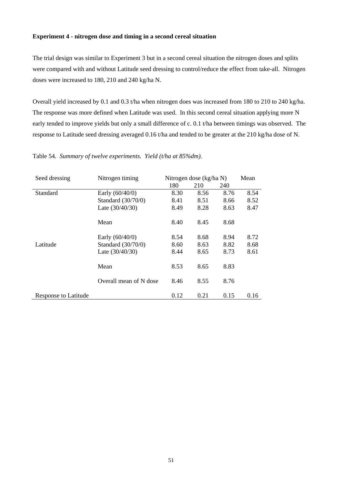#### **Experiment 4 - nitrogen dose and timing in a second cereal situation**

The trial design was similar to Experiment 3 but in a second cereal situation the nitrogen doses and splits were compared with and without Latitude seed dressing to control/reduce the effect from take-all. Nitrogen doses were increased to 180, 210 and 240 kg/ha N.

Overall yield increased by 0.1 and 0.3 t/ha when nitrogen does was increased from 180 to 210 to 240 kg/ha. The response was more defined when Latitude was used. In this second cereal situation applying more N early tended to improve yields but only a small difference of c. 0.1 t/ha between timings was observed. The response to Latitude seed dressing averaged 0.16 t/ha and tended to be greater at the 210 kg/ha dose of N.

| Seed dressing               | Nitrogen timing        |      | Nitrogen dose (kg/ha N) |      | Mean |
|-----------------------------|------------------------|------|-------------------------|------|------|
|                             |                        | 180  | 210                     | 240  |      |
| Standard                    | Early (60/40/0)        | 8.30 | 8.56                    | 8.76 | 8.54 |
|                             | Standard (30/70/0)     | 8.41 | 8.51                    | 8.66 | 8.52 |
|                             | Late $(30/40/30)$      | 8.49 | 8.28                    | 8.63 | 8.47 |
|                             | Mean                   | 8.40 | 8.45                    | 8.68 |      |
|                             | Early $(60/40/0)$      | 8.54 | 8.68                    | 8.94 | 8.72 |
| Latitude                    | Standard (30/70/0)     | 8.60 | 8.63                    | 8.82 | 8.68 |
|                             | Late $(30/40/30)$      | 8.44 | 8.65                    | 8.73 | 8.61 |
|                             | Mean                   | 8.53 | 8.65                    | 8.83 |      |
|                             | Overall mean of N dose | 8.46 | 8.55                    | 8.76 |      |
| <b>Response to Latitude</b> |                        | 0.12 | 0.21                    | 0.15 | 0.16 |

Table 54*. Summary of twelve experiments. Yield (t/ha at 85%dm).*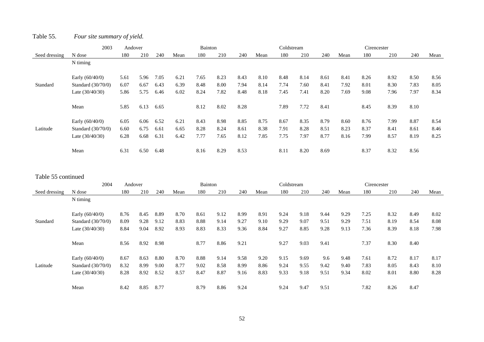# Table 55. *Four site summary of yield.*

|               | 2003                 | Andover |      |      |      | Bainton |      |      |      | Coldstream |      |      |      | Cirencester |      |      |      |
|---------------|----------------------|---------|------|------|------|---------|------|------|------|------------|------|------|------|-------------|------|------|------|
| Seed dressing | N dose               | 180     | 210  | 240  | Mean | 180     | 210  | 240  | Mean | 180        | 210  | 240  | Mean | 180         | 210  | 240  | Mean |
|               | N timing             |         |      |      |      |         |      |      |      |            |      |      |      |             |      |      |      |
|               | Early $(60/40/0)$    | 5.61    | 5.96 | 7.05 | 6.21 | 7.65    | 8.23 | 8.43 | 8.10 | 8.48       | 8.14 | 8.61 | 8.41 | 8.26        | 8.92 | 8.50 | 8.56 |
| Standard      | Standard $(30/70/0)$ | 6.07    | 6.67 | 6.43 | 6.39 | 8.48    | 8.00 | 7.94 | 8.14 | 7.74       | 7.60 | 8.41 | 7.92 | 8.01        | 8.30 | 7.83 | 8.05 |
|               | Late $(30/40/30)$    | 5.86    | 5.75 | 6.46 | 6.02 | 8.24    | 7.82 | 8.48 | 8.18 | 7.45       | 7.41 | 8.20 | 7.69 | 9.08        | 7.96 | 7.97 | 8.34 |
|               | Mean                 | 5.85    | 6.13 | 6.65 |      | 8.12    | 8.02 | 8.28 |      | 7.89       | 7.72 | 8.41 |      | 8.45        | 8.39 | 8.10 |      |
|               | Early $(60/40/0)$    | 6.05    | 6.06 | 6.52 | 6.21 | 8.43    | 8.98 | 8.85 | 8.75 | 8.67       | 8.35 | 8.79 | 8.60 | 8.76        | 7.99 | 8.87 | 8.54 |
| Latitude      | Standard $(30/70/0)$ | 6.60    | 6.75 | 6.61 | 6.65 | 8.28    | 8.24 | 8.61 | 8.38 | 7.91       | 8.28 | 8.51 | 8.23 | 8.37        | 8.41 | 8.61 | 8.46 |
|               | Late $(30/40/30)$    | 6.28    | 6.68 | 6.31 | 6.42 | 7.77    | 7.65 | 8.12 | 7.85 | 7.75       | 7.97 | 8.77 | 8.16 | 7.99        | 8.57 | 8.19 | 8.25 |
|               | Mean                 | 6.31    | 6.50 | 6.48 |      | 8.16    | 8.29 | 8.53 |      | 8.11       | 8.20 | 8.69 |      | 8.37        | 8.32 | 8.56 |      |

#### Table 55 continued

|               | 2004                 | Andover |      |      |      | Bainton |      |      |      | Coldstream |      |      |      | Cirencester |      |      |      |
|---------------|----------------------|---------|------|------|------|---------|------|------|------|------------|------|------|------|-------------|------|------|------|
| Seed dressing | N dose               | 180     | 210  | 240  | Mean | 180     | 210  | 240  | Mean | 180        | 210  | 240  | Mean | 180         | 210  | 240  | Mean |
|               | N timing             |         |      |      |      |         |      |      |      |            |      |      |      |             |      |      |      |
|               | Early $(60/40/0)$    | 8.76    | 8.45 | 8.89 | 8.70 | 8.61    | 9.12 | 8.99 | 8.91 | 9.24       | 9.18 | 9.44 | 9.29 | 7.25        | 8.32 | 8.49 | 8.02 |
| Standard      | Standard $(30/70/0)$ | 8.09    | 9.28 | 9.12 | 8.83 | 8.88    | 9.14 | 9.27 | 9.10 | 9.29       | 9.07 | 9.51 | 9.29 | 7.51        | 8.19 | 8.54 | 8.08 |
|               | Late $(30/40/30)$    | 8.84    | 9.04 | 8.92 | 8.93 | 8.83    | 8.33 | 9.36 | 8.84 | 9.27       | 8.85 | 9.28 | 9.13 | 7.36        | 8.39 | 8.18 | 7.98 |
|               | Mean                 | 8.56    | 8.92 | 8.98 |      | 8.77    | 8.86 | 9.21 |      | 9.27       | 9.03 | 9.41 |      | 7.37        | 8.30 | 8.40 |      |
|               | Early $(60/40/0)$    | 8.67    | 8.63 | 8.80 | 8.70 | 8.88    | 9.14 | 9.58 | 9.20 | 9.15       | 9.69 | 9.6  | 9.48 | 7.61        | 8.72 | 8.17 | 8.17 |
| Latitude      | Standard $(30/70/0)$ | 8.32    | 8.99 | 9.00 | 8.77 | 9.02    | 8.58 | 8.99 | 8.86 | 9.24       | 9.55 | 9.42 | 9.40 | 7.83        | 8.05 | 8.43 | 8.10 |
|               | Late $(30/40/30)$    | 8.28    | 8.92 | 8.52 | 8.57 | 8.47    | 8.87 | 9.16 | 8.83 | 9.33       | 9.18 | 9.51 | 9.34 | 8.02        | 8.01 | 8.80 | 8.28 |
|               | Mean                 | 8.42    | 8.85 | 8.77 |      | 8.79    | 8.86 | 9.24 |      | 9.24       | 9.47 | 9.51 |      | 7.82        | 8.26 | 8.47 |      |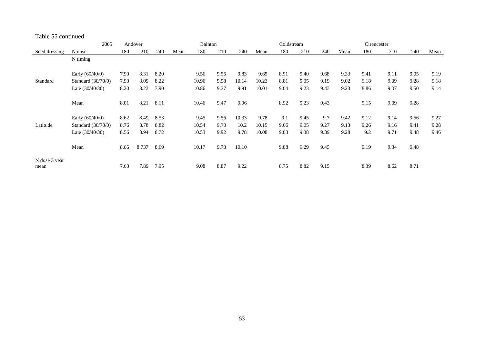#### Table 55 continued

|               | 2005                 |      | Andover |      |      | <b>Bainton</b> |      |       |       | Coldstream |      |      |      | Cirencester |      |      |      |
|---------------|----------------------|------|---------|------|------|----------------|------|-------|-------|------------|------|------|------|-------------|------|------|------|
| Seed dressing | N dose               | 180  | 210     | 240  | Mean | 180            | 210  | 240   | Mean  | 180        | 210  | 240  | Mean | 180         | 210  | 240  | Mean |
|               | N timing             |      |         |      |      |                |      |       |       |            |      |      |      |             |      |      |      |
|               |                      |      |         |      |      |                |      |       |       |            |      |      |      |             |      |      |      |
|               | Early $(60/40/0)$    | 7.90 | 8.31    | 8.20 |      | 9.56           | 9.55 | 9.83  | 9.65  | 8.91       | 9.40 | 9.68 | 9.33 | 9.41        | 9.11 | 9.05 | 9.19 |
| Standard      | Standard $(30/70/0)$ | 7.93 | 8.09    | 8.22 |      | 10.96          | 9.58 | 10.14 | 10.23 | 8.81       | 9.05 | 9.19 | 9.02 | 9.18        | 9.09 | 9.28 | 9.18 |
|               | Late $(30/40/30)$    | 8.20 | 8.23    | 7.90 |      | 10.86          | 9.27 | 9.91  | 10.01 | 9.04       | 9.23 | 9.43 | 9.23 | 8.86        | 9.07 | 9.50 | 9.14 |
|               |                      |      |         |      |      |                |      |       |       |            |      |      |      |             |      |      |      |
|               | Mean                 | 8.01 | 8.21    | 8.11 |      | 10.46          | 9.47 | 9.96  |       | 8.92       | 9.23 | 9.43 |      | 9.15        | 9.09 | 9.28 |      |
|               | Early $(60/40/0)$    | 8.62 | 8.49    | 8.53 |      | 9.45           | 9.56 | 10.33 | 9.78  | 9.1        | 9.45 | 9.7  | 9.42 | 9.12        | 9.14 | 9.56 | 9.27 |
|               |                      |      |         |      |      |                |      |       |       |            |      |      |      |             |      |      |      |
| Latitude      | Standard $(30/70/0)$ | 8.76 | 8.78    | 8.82 |      | 10.54          | 9.70 | 10.2  | 10.15 | 9.06       | 9.05 | 9.27 | 9.13 | 9.26        | 9.16 | 9.41 | 9.28 |
|               | Late $(30/40/30)$    | 8.56 | 8.94    | 8.72 |      | 10.53          | 9.92 | 9.78  | 10.08 | 9.08       | 9.38 | 9.39 | 9.28 | 9.2         | 9.71 | 9.48 | 9.46 |
|               | Mean                 | 8.65 | 8.737   | 8.69 |      | 10.17          | 9.73 | 10.10 |       | 9.08       | 9.29 | 9.45 |      | 9.19        | 9.34 | 9.48 |      |
| N dose 3 year |                      |      |         |      |      |                |      |       |       |            |      |      |      |             |      |      |      |
| mean          |                      | 7.63 | 7.89    | 7.95 |      | 9.08           | 8.87 | 9.22  |       | 8.75       | 8.82 | 9.15 |      | 8.39        | 8.62 | 8.71 |      |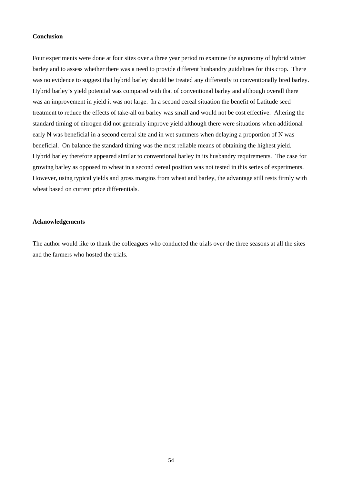#### **Conclusion**

Four experiments were done at four sites over a three year period to examine the agronomy of hybrid winter barley and to assess whether there was a need to provide different husbandry guidelines for this crop. There was no evidence to suggest that hybrid barley should be treated any differently to conventionally bred barley. Hybrid barley's yield potential was compared with that of conventional barley and although overall there was an improvement in yield it was not large. In a second cereal situation the benefit of Latitude seed treatment to reduce the effects of take-all on barley was small and would not be cost effective. Altering the standard timing of nitrogen did not generally improve yield although there were situations when additional early N was beneficial in a second cereal site and in wet summers when delaying a proportion of N was beneficial. On balance the standard timing was the most reliable means of obtaining the highest yield. Hybrid barley therefore appeared similar to conventional barley in its husbandry requirements. The case for growing barley as opposed to wheat in a second cereal position was not tested in this series of experiments. However, using typical yields and gross margins from wheat and barley, the advantage still rests firmly with wheat based on current price differentials.

#### **Acknowledgements**

The author would like to thank the colleagues who conducted the trials over the three seasons at all the sites and the farmers who hosted the trials.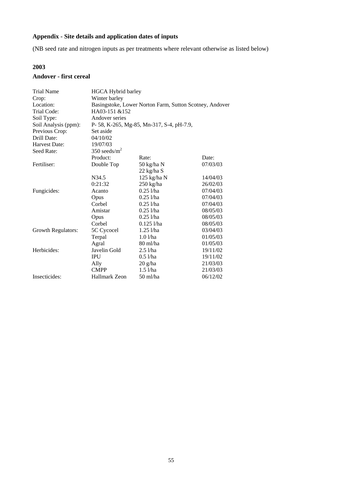# **Appendix - Site details and application dates of inputs**

(NB seed rate and nitrogen inputs as per treatments where relevant otherwise as listed below)

#### **2003**

# **Andover - first cereal**

| <b>Trial Name</b>    | <b>HGCA Hybrid barley</b> |                                                         |          |  |  |  |  |  |  |  |
|----------------------|---------------------------|---------------------------------------------------------|----------|--|--|--|--|--|--|--|
| Crop:                | Winter barley             |                                                         |          |  |  |  |  |  |  |  |
| Location:            |                           | Basingstoke, Lower Norton Farm, Sutton Scotney, Andover |          |  |  |  |  |  |  |  |
| Trial Code:          | HA03-151 &152             |                                                         |          |  |  |  |  |  |  |  |
| Soil Type:           | Andover series            |                                                         |          |  |  |  |  |  |  |  |
| Soil Analysis (ppm): |                           | P- 58, K-265, Mg-85, Mn-317, S-4, pH-7.9,               |          |  |  |  |  |  |  |  |
| Previous Crop:       | Set aside                 |                                                         |          |  |  |  |  |  |  |  |
| Drill Date:          | 04/10/02                  |                                                         |          |  |  |  |  |  |  |  |
| Harvest Date:        | 19/07/03                  |                                                         |          |  |  |  |  |  |  |  |
| Seed Rate:           | 350 seeds/ $m^2$          |                                                         |          |  |  |  |  |  |  |  |
|                      | Product:                  | Rate:                                                   | Date:    |  |  |  |  |  |  |  |
| Fertiliser:          | Double Top                | 50 kg/ha N                                              | 07/03/03 |  |  |  |  |  |  |  |
|                      |                           | $22$ kg/ha S                                            |          |  |  |  |  |  |  |  |
|                      | N34.5                     | $125$ kg/ha N                                           | 14/04/03 |  |  |  |  |  |  |  |
|                      | 0:21:32                   | $250$ kg/ha                                             | 26/02/03 |  |  |  |  |  |  |  |
| Fungicides:          | Acanto                    | $0.25$ <i>l</i> /ha                                     | 07/04/03 |  |  |  |  |  |  |  |
|                      | Opus                      | $0.25$ l/ha                                             | 07/04/03 |  |  |  |  |  |  |  |
|                      | Corbel                    | $0.25$ l/ha                                             | 07/04/03 |  |  |  |  |  |  |  |
|                      | Amistar                   | $0.25$ l/ha                                             | 08/05/03 |  |  |  |  |  |  |  |
|                      | Opus                      | $0.25$ l/ha                                             | 08/05/03 |  |  |  |  |  |  |  |
|                      | Corbel                    | $0.125$ l/ha                                            | 08/05/03 |  |  |  |  |  |  |  |
| Growth Regulators:   | 5C Cycocel                | $1.25$ $1$ /ha                                          | 03/04/03 |  |  |  |  |  |  |  |
|                      | Terpal                    | $1.0$ $1/ha$                                            | 01/05/03 |  |  |  |  |  |  |  |
|                      | Agral                     | 80 ml/ha                                                | 01/05/03 |  |  |  |  |  |  |  |
| Herbicides:          | Javelin Gold              | $2.5$ l/ha                                              | 19/11/02 |  |  |  |  |  |  |  |
|                      | <b>IPU</b>                | $0.5$ l/ha                                              | 19/11/02 |  |  |  |  |  |  |  |
|                      | Ally                      | $20$ g/ha                                               | 21/03/03 |  |  |  |  |  |  |  |
|                      | <b>CMPP</b>               | $1.5$ $1/ha$                                            | 21/03/03 |  |  |  |  |  |  |  |
| Insecticides:        | Hallmark Zeon             | 50 ml/ha                                                | 06/12/02 |  |  |  |  |  |  |  |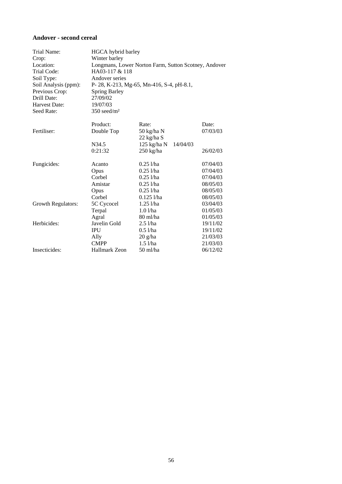#### **Andover - second cereal**

| Trial Name:          | HGCA hybrid barley        |                                                      |          |  |  |  |  |  |  |
|----------------------|---------------------------|------------------------------------------------------|----------|--|--|--|--|--|--|
| Crop:                | Winter barley             |                                                      |          |  |  |  |  |  |  |
| Location:            |                           | Longmans, Lower Norton Farm, Sutton Scotney, Andover |          |  |  |  |  |  |  |
| Trial Code:          | HA03-117 & 118            |                                                      |          |  |  |  |  |  |  |
| Soil Type:           | Andover series            |                                                      |          |  |  |  |  |  |  |
| Soil Analysis (ppm): |                           | P-28, K-213, Mg-65, Mn-416, S-4, pH-8.1,             |          |  |  |  |  |  |  |
| Previous Crop:       | <b>Spring Barley</b>      |                                                      |          |  |  |  |  |  |  |
| Drill Date:          | 27/09/02                  |                                                      |          |  |  |  |  |  |  |
| Harvest Date:        | 19/07/03                  |                                                      |          |  |  |  |  |  |  |
| Seed Rate:           | $350$ seed/m <sup>2</sup> |                                                      |          |  |  |  |  |  |  |
|                      | Product:                  | Rate:                                                | Date:    |  |  |  |  |  |  |
| Fertiliser:          | Double Top                | 50 kg/ha N                                           | 07/03/03 |  |  |  |  |  |  |
|                      |                           | $22$ kg/ha S                                         |          |  |  |  |  |  |  |
|                      | N34.5                     | $125$ kg/ha N<br>14/04/03                            |          |  |  |  |  |  |  |
|                      | 0:21:32                   | $250 \text{ kg/ha}$                                  | 26/02/03 |  |  |  |  |  |  |
| Fungicides:          | Acanto                    | $0.25$ l/ha                                          | 07/04/03 |  |  |  |  |  |  |
|                      | Opus                      | $0.25$ l/ha                                          | 07/04/03 |  |  |  |  |  |  |
|                      | Corbel                    | $0.25$ l/ha                                          | 07/04/03 |  |  |  |  |  |  |
|                      | Amistar                   | $0.25$ l/ha                                          | 08/05/03 |  |  |  |  |  |  |
|                      | Opus                      | $0.25$ l/ha                                          | 08/05/03 |  |  |  |  |  |  |
|                      | Corbel                    | $0.125$ l/ha                                         | 08/05/03 |  |  |  |  |  |  |
| Growth Regulators:   | 5C Cycocel                | $1.25$ $1/ha$                                        | 03/04/03 |  |  |  |  |  |  |
|                      | Terpal                    | $1.0$ $1/ha$                                         | 01/05/03 |  |  |  |  |  |  |
|                      | Agral                     | 80 ml/ha                                             | 01/05/03 |  |  |  |  |  |  |
| Herbicides:          | Javelin Gold              | $2.5$ l/ha                                           | 19/11/02 |  |  |  |  |  |  |
|                      | <b>IPU</b>                | $0.5$ l/ha                                           | 19/11/02 |  |  |  |  |  |  |
|                      | Ally                      | $20 \frac{\text{g}}{\text{h}}$ a                     | 21/03/03 |  |  |  |  |  |  |
|                      | <b>CMPP</b>               | $1.5$ $1/ha$                                         | 21/03/03 |  |  |  |  |  |  |
| Insecticides:        | Hallmark Zeon             | 50 ml/ha                                             | 06/12/02 |  |  |  |  |  |  |
|                      |                           |                                                      |          |  |  |  |  |  |  |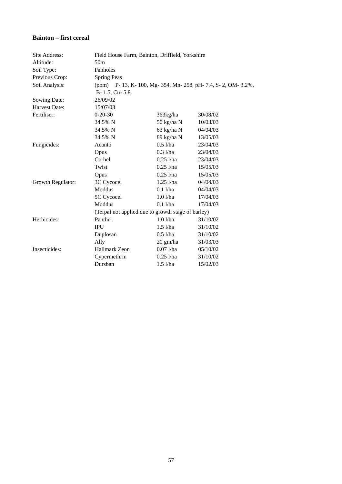#### **Bainton – first cereal**

| Site Address:     | Field House Farm, Bainton, Driffield, Yorkshire    |                    |                                                                 |  |  |  |  |  |
|-------------------|----------------------------------------------------|--------------------|-----------------------------------------------------------------|--|--|--|--|--|
| Altitude:         | 50 <sub>m</sub>                                    |                    |                                                                 |  |  |  |  |  |
| Soil Type:        | Panholes                                           |                    |                                                                 |  |  |  |  |  |
| Previous Crop:    | <b>Spring Peas</b>                                 |                    |                                                                 |  |  |  |  |  |
| Soil Analysis:    |                                                    |                    | (ppm) P- 13, K- 100, Mg- 354, Mn- 258, pH- 7.4, S- 2, OM- 3.2%, |  |  |  |  |  |
|                   | B-1.5, Cu-5.8                                      |                    |                                                                 |  |  |  |  |  |
| Sowing Date:      | 26/09/02                                           |                    |                                                                 |  |  |  |  |  |
| Harvest Date:     | 15/07/03                                           |                    |                                                                 |  |  |  |  |  |
| Fertiliser:       | $0-20-30$                                          | 363kg/ha           | 30/08/02                                                        |  |  |  |  |  |
|                   | 34.5% N                                            | 50 kg/ha N         | 10/03/03                                                        |  |  |  |  |  |
|                   | 34.5% N                                            | 63 kg/ha N         | 04/04/03                                                        |  |  |  |  |  |
|                   | 34.5% N                                            | 89 kg/ha N         | 13/05/03                                                        |  |  |  |  |  |
| Fungicides:       | Acanto                                             | $0.5$ l/ha         | 23/04/03                                                        |  |  |  |  |  |
|                   | Opus                                               | $0.3$ l/ha         | 23/04/03                                                        |  |  |  |  |  |
|                   | Corbel                                             | $0.25$ l/ha        | 23/04/03                                                        |  |  |  |  |  |
|                   | Twist                                              | $0.25$ l/ha        | 15/05/03                                                        |  |  |  |  |  |
|                   | Opus                                               | $0.25$ l/ha        | 15/05/03                                                        |  |  |  |  |  |
| Growth Regulator: | 3C Cycocel                                         | $1.25$ l/ha        | 04/04/03                                                        |  |  |  |  |  |
|                   | Moddus                                             | $0.1$ l/ha         | 04/04/03                                                        |  |  |  |  |  |
|                   | 5C Cycocel                                         | $1.0$ $1/ha$       | 17/04/03                                                        |  |  |  |  |  |
|                   | Moddus                                             | $0.1$ $1/ha$       | 17/04/03                                                        |  |  |  |  |  |
|                   | (Terpal not applied due to growth stage of barley) |                    |                                                                 |  |  |  |  |  |
| Herbicides:       | Panther                                            | $1.0$ l/ha         | 31/10/02                                                        |  |  |  |  |  |
|                   | <b>IPU</b>                                         | $1.5$ l/ha         | 31/10/02                                                        |  |  |  |  |  |
|                   | Duplosan                                           | $0.5$ l/ha         | 31/10/02                                                        |  |  |  |  |  |
|                   | Ally                                               | $20 \text{ gm/ha}$ | 31/03/03                                                        |  |  |  |  |  |
| Insecticides:     | Hallmark Zeon                                      | $0.071$ /ha        | 05/10/02                                                        |  |  |  |  |  |
|                   | Cypermethrin                                       | $0.25$ l/ha        | 31/10/02                                                        |  |  |  |  |  |
|                   | Dursban                                            | $1.5$ l/ha         | 15/02/03                                                        |  |  |  |  |  |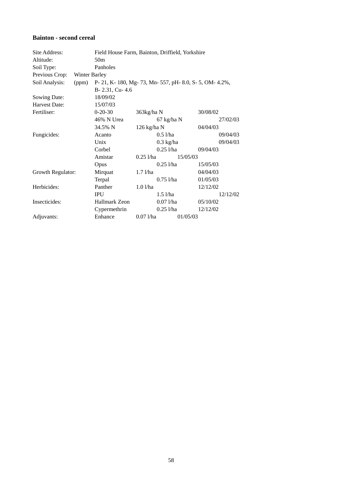#### **Bainton - second cereal**

| Site Address:     |               | Field House Farm, Bainton, Driffield, Yorkshire          |               |                     |          |          |          |
|-------------------|---------------|----------------------------------------------------------|---------------|---------------------|----------|----------|----------|
| Altitude:         |               | 50 <sub>m</sub>                                          |               |                     |          |          |          |
| Soil Type:        |               | Panholes                                                 |               |                     |          |          |          |
| Previous Crop:    | Winter Barley |                                                          |               |                     |          |          |          |
| Soil Analysis:    | (ppm)         | P- 21, K- 180, Mg- 73, Mn- 557, pH- 8.0, S- 5, OM- 4.2%, |               |                     |          |          |          |
|                   |               | B-2.31, Cu-4.6                                           |               |                     |          |          |          |
| Sowing Date:      |               | 18/09/02                                                 |               |                     |          |          |          |
| Harvest Date:     |               | 15/07/03                                                 |               |                     |          |          |          |
| Fertiliser:       |               | $0-20-30$                                                | 363kg/ha N    |                     |          | 30/08/02 |          |
|                   |               | 46% N Urea                                               |               | 67 kg/ha N          |          |          | 27/02/03 |
|                   |               | 34.5% N                                                  | 126 kg/ha N   |                     |          | 04/04/03 |          |
| Fungicides:       |               | Acanto                                                   |               | $0.5$ l/ha          |          |          | 09/04/03 |
|                   |               | Unix                                                     |               | $0.3 \text{ kg/ha}$ |          |          | 09/04/03 |
|                   |               | Corbel                                                   |               | $0.25$ l/ha         |          | 09/04/03 |          |
|                   |               | Amistar                                                  | $0.25$ l/ha   |                     | 15/05/03 |          |          |
|                   |               | Opus                                                     |               | $0.25$ l/ha         |          | 15/05/03 |          |
| Growth Regulator: |               | Mirquat                                                  | $1.7$ $1/ha$  |                     |          | 04/04/03 |          |
|                   |               | Terpal                                                   |               | $0.75$ l/ha         |          | 01/05/03 |          |
| Herbicides:       |               | Panther                                                  | $1.0$ $1$ /ha |                     |          | 12/12/02 |          |
|                   |               | <b>IPU</b>                                               |               | $1.5$ l/ha          |          |          | 12/12/02 |
| Insecticides:     |               | <b>Hallmark Zeon</b>                                     |               | $0.07$ <i>l</i> /ha |          | 05/10/02 |          |
|                   |               | Cypermethrin                                             |               | $0.25$ l/ha         |          | 12/12/02 |          |
| Adjuvants:        |               | Enhance                                                  | $0.071$ /ha   |                     | 01/05/03 |          |          |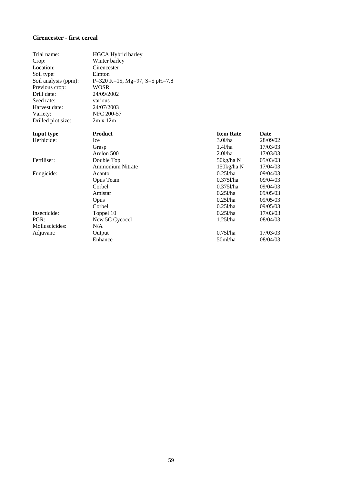#### **Cirencester - first cereal**

| Trial name:          | HGCA Hybrid barley            |                  |          |
|----------------------|-------------------------------|------------------|----------|
| Crop:                | Winter barley                 |                  |          |
| Location:            | Cirencester                   |                  |          |
| Soil type:           | Elmton                        |                  |          |
| Soil analysis (ppm): | P=320 K=15, Mg=97, S=5 pH=7.8 |                  |          |
| Previous crop:       | <b>WOSR</b>                   |                  |          |
| Drill date:          | 24/09/2002                    |                  |          |
| Seed rate:           | various                       |                  |          |
| Harvest date:        | 24/07/2003                    |                  |          |
| Variety:             | <b>NFC 200-57</b>             |                  |          |
| Drilled plot size:   | $2m \times 12m$               |                  |          |
| Input type           | <b>Product</b>                | <b>Item Rate</b> | Date     |
| Herbicide:           | Ice                           | 3.01/ha          | 28/09/02 |
|                      | Grasp                         | 1.41/ha          | 17/03/03 |
|                      | Arelon 500                    | 2.01/ha          | 17/03/03 |
| Fertiliser:          | Double Top                    | 50kg/ha N        | 05/03/03 |
|                      | <b>Ammonium Nitrate</b>       | 150kg/ha N       | 17/04/03 |
| Fungicide:           | Acanto                        | 0.251/ha         | 09/04/03 |
|                      | Opus Team                     | $0.375$ l/ha     | 09/04/03 |
|                      | Corbel                        | $0.3751$ /ha     | 09/04/03 |
|                      | Amistar                       | $0.251$ /ha      | 09/05/03 |
|                      | Opus                          | $0.251$ /ha      | 09/05/03 |
|                      | Corbel                        | $0.251$ /ha      | 09/05/03 |
| Insecticide:         | Toppel 10                     | $0.251$ /ha      | 17/03/03 |
| PGR:                 | New 5C Cycocel                | 1.251/ha         | 08/04/03 |
| Molluscicides:       | N/A                           |                  |          |
| Adjuvant:            | Output                        | $0.751$ /ha      | 17/03/03 |
|                      | Enhance                       | 50ml/ha          | 08/04/03 |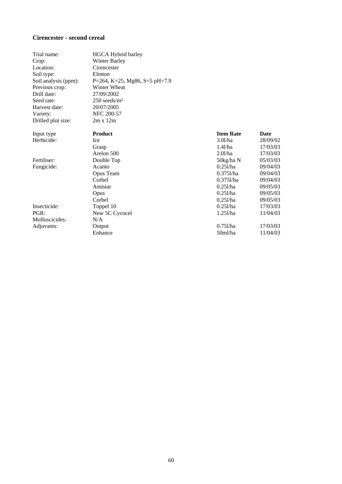#### **Cirencester - second cereal**

| Trial name:          | HGCA Hybrid barley            |                  |          |
|----------------------|-------------------------------|------------------|----------|
| Crop:                | <b>Winter Barley</b>          |                  |          |
| Location:            | Cirencester                   |                  |          |
| Soil type:           | Elmton                        |                  |          |
| Soil analysis (ppm): | P=264, K=25, Mg86, S=5 pH=7.9 |                  |          |
| Previous crop:       | Winter Wheat                  |                  |          |
| Drill date:          | 27/09/2002                    |                  |          |
| Seed rate:           | $250$ seeds/m <sup>2</sup>    |                  |          |
| Harvest date:        | 20/07/2005                    |                  |          |
| Variety:             | NFC 200-57                    |                  |          |
| Drilled plot size:   | $2m \times 12m$               |                  |          |
| Input type           | <b>Product</b>                | <b>Item Rate</b> | Date     |
| Herbicide:           | Ice                           | 3.01/ha          | 28/09/02 |
|                      | Grasp                         | 1.41/ha          | 17/03/03 |
|                      | Arelon 500                    | 2.01/ha          | 17/03/03 |
| Fertiliser:          | Double Top                    | 50kg/ha N        | 05/03/03 |
| Fungicide:           | Acanto                        | 0.251/ha         | 09/04/03 |
|                      | Opus Team                     | $0.3751$ /ha     | 09/04/03 |
|                      | Corbel                        | $0.3751$ /ha     | 09/04/03 |
|                      | Amistar                       | $0.251$ /ha      | 09/05/03 |
|                      | Opus                          | $0.251$ /ha      | 09/05/03 |
|                      | Corbel                        | $0.251$ /ha      | 09/05/03 |
| Insecticide:         | Toppel 10                     | 0.251/ha         | 17/03/03 |
| PGR:                 | New 5C Cycocel                | 1.251/ha         | 11/04/03 |
| Molluscicides:       | N/A                           |                  |          |
| Adjuvants:           | Output                        | $0.751$ /ha      | 17/03/03 |
|                      | Enhance                       | 50ml/ha          | 11/04/03 |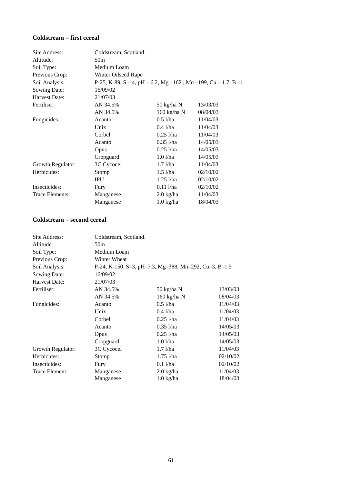#### **Coldstream – first cereal**

| Site Address:     | Coldstream, Scotland. |                     |                                                                  |
|-------------------|-----------------------|---------------------|------------------------------------------------------------------|
| Altitude:         | 50 <sub>m</sub>       |                     |                                                                  |
| Soil Type:        | Medium Loam           |                     |                                                                  |
| Previous Crop:    | Winter Oilseed Rape   |                     |                                                                  |
| Soil Analysis:    |                       |                     | P-25, K-89, S – 4, pH – 6.2, Mg – 162, Mn – 199, Cu – 1.7, B – 1 |
| Sowing Date:      | 16/09/02              |                     |                                                                  |
| Harvest Date:     | 21/07/03              |                     |                                                                  |
| Fertiliser:       | AN 34.5%              | 50 kg/ha N          | 13/03/03                                                         |
|                   | AN 34.5%              | 160 kg/ha N         | 08/04/03                                                         |
| Fungicides:       | Acanto                | $0.5$ l/ha          | 11/04/03                                                         |
|                   | Unix                  | $0.4$ l/ha          | 11/04/03                                                         |
|                   | Corbel                | $0.25$ l/ha         | 11/04/03                                                         |
|                   | Acanto                | $0.35$ <i>l/ha</i>  | 14/05/03                                                         |
|                   | Opus                  | $0.25$ <i>l</i> /ha | 14/05/03                                                         |
|                   | Cropguard             | $1.0$ $1/ha$        | 14/05/03                                                         |
| Growth Regulator: | 3C Cycocel            | $1.7$ $1/ha$        | 11/04/03                                                         |
| Herbicides:       | Stomp                 | $1.5$ $1/ha$        | 02/10/02                                                         |
|                   | <b>IPU</b>            | $1.25$ $1$ /ha      | 02/10/02                                                         |
| Insecticides:     | Fury                  | $0.11$ <i>l/ha</i>  | 02/10/02                                                         |
| Trace Elements:   | Manganese             | $2.0$ kg/ha         | 11/04/03                                                         |
|                   | Manganese             | $1.0 \text{ kg/ha}$ | 18/04/03                                                         |

#### **Coldstream – second cereal**

| Site Address:     | Coldstream, Scotland. |                                                       |          |
|-------------------|-----------------------|-------------------------------------------------------|----------|
| Altitude:         | 50 <sub>m</sub>       |                                                       |          |
| Soil Type:        | Medium Loam           |                                                       |          |
| Previous Crop:    | Winter Wheat          |                                                       |          |
| Soil Analysis:    |                       | P-24, K-150, S-3, pH-7.3, Mg-388, Mn-292, Cu-3, B-1.5 |          |
| Sowing Date:      | 16/09/02              |                                                       |          |
| Harvest Date:     | 21/07/03              |                                                       |          |
| Fertiliser:       | AN 34.5%              | 50 kg/ha N                                            | 13/03/03 |
|                   | AN 34.5%              | 160 kg/ha N                                           | 08/04/03 |
| Fungicides:       | Acanto                | $0.5$ l/ha                                            | 11/04/03 |
|                   | Unix                  | $0.4$ l/ha                                            | 11/04/03 |
|                   | Corbel                | $0.25$ l/ha                                           | 11/04/03 |
|                   | Acanto                | $0.35$ l/ha                                           | 14/05/03 |
|                   | Opus                  | $0.25$ l/ha                                           | 14/05/03 |
|                   | Cropguard             | $1.0$ $1$ /ha                                         | 14/05/03 |
| Growth Regulator: | 3C Cycocel            | $1.7$ $1$ /ha                                         | 11/04/03 |
| Herbicides:       | Stomp                 | $1.75$ l/ha                                           | 02/10/02 |
| Insecticides:     | Fury                  | $0.1$ l/ha                                            | 02/10/02 |
| Trace Element:    | Manganese             | $2.0 \text{ kg/ha}$                                   | 11/04/03 |
|                   | Manganese             | $1.0$ kg/ha                                           | 18/04/03 |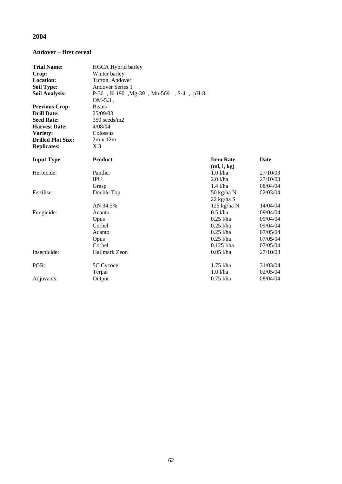## **2004**

#### **Andover – first cereal**

| <b>Trial Name:</b>        | HGCA Hybrid barley                      |                                 |             |
|---------------------------|-----------------------------------------|---------------------------------|-------------|
| Crop:                     | Winter barley                           |                                 |             |
| Location:                 | Tufton, Andover                         |                                 |             |
| <b>Soil Type:</b>         | <b>Andover Series 1</b>                 |                                 |             |
| <b>Soil Analysis:</b>     | P-30, K-190, Mg-39, Mn-569, S-4, pH-8.1 |                                 |             |
|                           | $OM-5.3$ .                              |                                 |             |
| <b>Previous Crop:</b>     | Beans                                   |                                 |             |
| <b>Drill Date:</b>        | 25/09/03                                |                                 |             |
| <b>Seed Rate:</b>         | 350 seeds/m2                            |                                 |             |
| <b>Harvest Date:</b>      | 4/08/04                                 |                                 |             |
| Variety:                  | Colossus                                |                                 |             |
| <b>Drilled Plot Size:</b> | $2m \times 12m$                         |                                 |             |
| <b>Replicates:</b>        | $X_3$                                   |                                 |             |
| <b>Input Type</b>         | <b>Product</b>                          | <b>Item Rate</b><br>(ml, l, kg) | <b>Date</b> |
| Herbicide:                | Panther                                 | 1.01/ha                         | 27/10/03    |
|                           | <b>IPU</b>                              | 2.01/ha                         | 27/10/03    |
|                           | Grasp                                   | $1.4$ $1/ha$                    | 08/04/04    |
| Fertiliser:               | Double Top                              | 50 kg/ha N                      | 02/03/04    |
|                           |                                         | $22$ kg/ha S                    |             |
|                           | AN 34.5%                                | $125$ kg/ha N                   | 14/04/04    |
| Fungicide:                | Acanto                                  | 0.51/ha                         | 09/04/04    |
|                           | Opus                                    | $0.25$ l/ha                     | 09/04/04    |
|                           | Corbel                                  | $0.25$ <i>l</i> /ha             | 09/04/04    |
|                           | Acanto                                  | $0.25$ l/ha                     | 07/05/04    |
|                           | Opus                                    | $0.25$ l/ha                     | 07/05/04    |
|                           | Corbel                                  | $0.125$ l/ha                    | 07/05/04    |
| Insecticide:              | <b>Hallmark Zeon</b>                    | $0.051$ /ha                     | 27/10/03    |
| PGR:                      | 5C Cycocel                              | $1.75$ <i>Vha</i>               | 31/03/04    |
|                           | Terpal                                  | $1.0$ l/ha                      | 02/05/04    |
| Adjuvants:                | Output                                  | $0.75$ l/ha                     | 08/04/04    |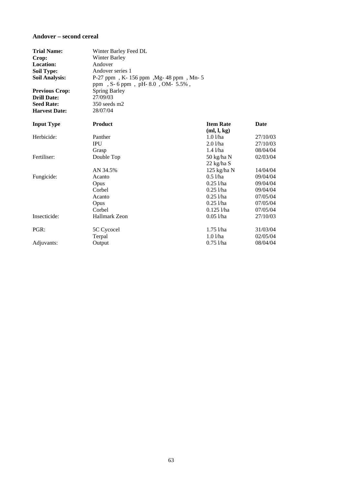#### **Andover – second cereal**

| <b>Trial Name:</b>    | Winter Barley Feed DL                |                                 |             |
|-----------------------|--------------------------------------|---------------------------------|-------------|
| Crop:                 | <b>Winter Barley</b>                 |                                 |             |
| Location:             | Andover                              |                                 |             |
| <b>Soil Type:</b>     | Andover series 1                     |                                 |             |
| <b>Soil Analysis:</b> | P-27 ppm, K-156 ppm, Mg-48 ppm, Mn-5 |                                 |             |
|                       | ppm, S-6 ppm, pH-8.0, OM-5.5%,       |                                 |             |
| <b>Previous Crop:</b> | <b>Spring Barley</b>                 |                                 |             |
| <b>Drill Date:</b>    | 27/09/03                             |                                 |             |
| <b>Seed Rate:</b>     | 350 seeds m2                         |                                 |             |
| <b>Harvest Date:</b>  | 28/07/04                             |                                 |             |
| <b>Input Type</b>     | <b>Product</b>                       | <b>Item Rate</b><br>(ml, l, kg) | <b>Date</b> |
| Herbicide:            | Panther                              | 1.01/ha                         | 27/10/03    |
|                       | <b>IPU</b>                           | 2.01/ha                         | 27/10/03    |
|                       | Grasp                                | $1.4$ $1/ha$                    | 08/04/04    |
| Fertiliser:           | Double Top                           | 50 kg/ha N                      | 02/03/04    |
|                       |                                      | $22$ kg/ha S                    |             |
|                       | AN 34.5%                             | $125$ kg/ha N                   | 14/04/04    |
| Fungicide:            | Acanto                               | $0.5$ l/ha                      | 09/04/04    |
|                       | Opus                                 | $0.25$ l/ha                     | 09/04/04    |
|                       | Corbel                               | $0.25$ <i>l</i> /ha             | 09/04/04    |
|                       | Acanto                               | $0.25$ l/ha                     | 07/05/04    |
|                       | Opus                                 | $0.25$ <i>l</i> /ha             | 07/05/04    |
|                       | Corbel                               | $0.125$ <i>l/ha</i>             | 07/05/04    |
| Insecticide:          | <b>Hallmark Zeon</b>                 | $0.05$ l/ha                     | 27/10/03    |
| PGR:                  | 5C Cycocel                           | $1.75$ l/ha                     | 31/03/04    |
|                       | Terpal                               | $1.0$ l/ha                      | 02/05/04    |
| Adjuvants:            | Output                               | $0.75$ l/ha                     | 08/04/04    |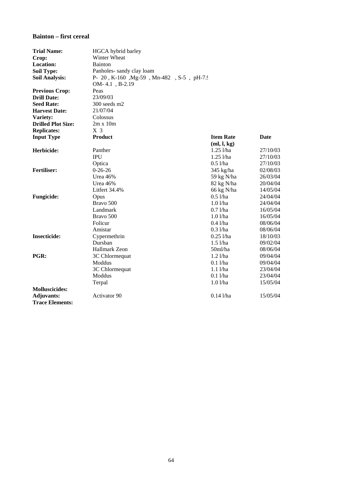## **Bainton – first cereal**

| <b>Trial Name:</b>        | HGCA hybrid barley                       |                  |          |
|---------------------------|------------------------------------------|------------------|----------|
| Crop:                     | Winter Wheat                             |                  |          |
| <b>Location:</b>          | <b>Bainton</b>                           |                  |          |
| <b>Soil Type:</b>         | Panholes-sandy clay loam                 |                  |          |
| <b>Soil Analysis:</b>     | P- 20, K-160, Mg-59, Mn-482, S-5, pH-7.9 |                  |          |
|                           | OM-4.1, B-2.19                           |                  |          |
| <b>Previous Crop:</b>     | Peas                                     |                  |          |
| <b>Drill Date:</b>        | 23/09/03                                 |                  |          |
| <b>Seed Rate:</b>         | 300 seeds m2                             |                  |          |
| <b>Harvest Date:</b>      | 21/07/04                                 |                  |          |
| Variety:                  | Colossus                                 |                  |          |
| <b>Drilled Plot Size:</b> | $2m \times 10m$                          |                  |          |
| <b>Replicates:</b>        | X <sub>3</sub>                           |                  |          |
| <b>Input Type</b>         | <b>Product</b>                           | <b>Item Rate</b> | Date     |
|                           |                                          | (ml, l, kg)      |          |
| Herbicide:                | Panther                                  | $1.25$ l/ha      | 27/10/03 |
|                           | <b>IPU</b>                               | $1.25$ l/ha      | 27/10/03 |
|                           | Optica                                   | $0.5$ l/ha       | 27/10/03 |
| <b>Fertiliser:</b>        | $0-26-26$                                | 345 kg/ha        | 02/08/03 |
|                           | Urea $46\%$                              | 59 kg N/ha       | 26/03/04 |
|                           | Urea 46%                                 | 82 kg N/ha       | 20/04/04 |
|                           | Litfert 34.4%                            | 66 kg N/ha       | 14/05/04 |
| <b>Fungicide:</b>         | Opus                                     | $0.5$ l/ha       | 24/04/04 |
|                           | Bravo 500                                | $1.0$ l/ha       | 24/04/04 |
|                           | Landmark                                 | $0.7$ l/ha       | 16/05/04 |
|                           | Bravo 500                                | $1.0$ l/ha       | 16/05/04 |
|                           | Folicur                                  | $0.4$ l/ha       | 08/06/04 |
|                           | Amistar                                  | $0.3$ l/ha       | 08/06/04 |
| <b>Insecticide:</b>       | Cypermethrin                             | $0.25$ l/ha      | 18/10/03 |
|                           | Dursban                                  | $1.5$ l/ha       | 09/02/04 |
|                           | Hallmark Zeon                            | 50ml/ha          | 08/06/04 |
| PGR:                      | 3C Chlormequat                           | $1.2$ l/ha       | 09/04/04 |
|                           | Moddus                                   | $0.1$ l/ha       | 09/04/04 |
|                           | 3C Chlormequat                           | $1.1$ $1/ha$     | 23/04/04 |
|                           | Moddus                                   | $0.1$ l/ha       | 23/04/04 |
|                           | Terpal                                   | $1.0$ $1/ha$     | 15/05/04 |
| <b>Molluscicides:</b>     |                                          |                  |          |
| <b>Adjuvants:</b>         | <b>Activator 90</b>                      | $0.14$ l/ha      | 15/05/04 |
| <b>Trace Elements:</b>    |                                          |                  |          |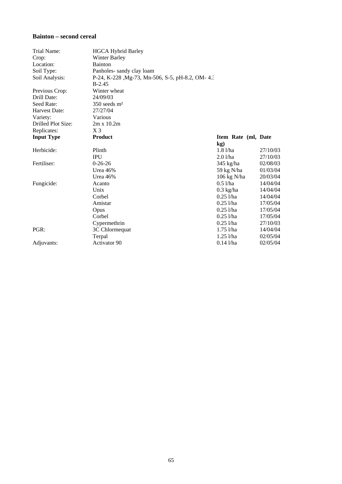## **Bainton – second cereal**

| Trial Name:        | <b>HGCA Hybrid Barley</b>                       |                       |          |
|--------------------|-------------------------------------------------|-----------------------|----------|
| Crop:              | <b>Winter Barley</b>                            |                       |          |
| Location:          | <b>Bainton</b>                                  |                       |          |
| Soil Type:         | Panholes-sandy clay loam                        |                       |          |
| Soil Analysis:     | P-24, K-228, Mg-73, Mn-506, S-5, pH-8.2, OM-4.3 |                       |          |
|                    | $B-2.45$                                        |                       |          |
| Previous Crop:     | Winter wheat                                    |                       |          |
| Drill Date:        | 24/09/03                                        |                       |          |
| Seed Rate:         | $350$ seeds m <sup>2</sup>                      |                       |          |
| Harvest Date:      | 27/27/04                                        |                       |          |
| Variety:           | Various                                         |                       |          |
| Drilled Plot Size: | $2m \times 10.2m$                               |                       |          |
| Replicates:        | $X_3$                                           |                       |          |
| <b>Input Type</b>  | <b>Product</b>                                  | Item Rate (ml, Date   |          |
|                    |                                                 | $\mathbf{kg}$         |          |
| Herbicide:         | Plinth                                          | $1.8$ $1/ha$          | 27/10/03 |
|                    | <b>IPU</b>                                      | $2.0$ l/ha            | 27/10/03 |
| Fertiliser:        | $0-26-26$                                       | $345$ kg/ha           | 02/08/03 |
|                    | Urea 46%                                        | 59 kg N/ha            | 01/03/04 |
|                    | Urea 46%                                        | $106 \text{ kg N/ha}$ | 20/03/04 |
| Fungicide:         | Acanto                                          | $0.5$ l/ha            | 14/04/04 |
|                    | Unix                                            | $0.3$ kg/ha           | 14/04/04 |
|                    | Corbel                                          | $0.25$ <i>Vha</i>     | 14/04/04 |
|                    | Amistar                                         | $0.25$ <i>l</i> /ha   | 17/05/04 |
|                    | Opus                                            | $0.25$ <i>Vha</i>     | 17/05/04 |
|                    | Corbel                                          | $0.25$ <i>Vha</i>     | 17/05/04 |
|                    | Cypermethrin                                    | $0.25$ l/ha           | 27/10/03 |
| PGR:               | 3C Chlormequat                                  | $1.75$ l/ha           | 14/04/04 |
|                    | Terpal                                          | $1.25$ $1/ha$         | 02/05/04 |
| Adjuvants:         | Activator 90                                    | $0.14$ l/ha           | 02/05/04 |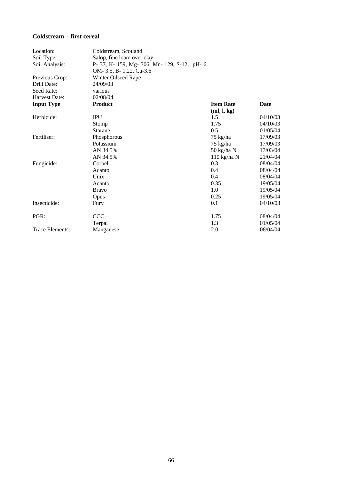## **Coldstream – first cereal**

| Location:         | Coldstream, Scotland                          |                  |             |
|-------------------|-----------------------------------------------|------------------|-------------|
| Soil Type:        | Salop, fine loam over clay                    |                  |             |
| Soil Analysis:    | P- 37, K- 159, Mg- 306, Mn- 129, S-12, pH- 6. |                  |             |
|                   | OM- 3.5, B- 1.22, Cu-3.6                      |                  |             |
| Previous Crop:    | Winter Oilseed Rape                           |                  |             |
| Drill Date:       | 24/09/03                                      |                  |             |
| Seed Rate:        | various                                       |                  |             |
| Harvest Date:     | 02/08/04                                      |                  |             |
| <b>Input Type</b> | <b>Product</b>                                | <b>Item Rate</b> | <b>Date</b> |
|                   |                                               | (ml, l, kg)      |             |
| Herbicide:        | <b>IPU</b>                                    | 1.5              | 04/10/03    |
|                   | Stomp                                         | 1.75             | 04/10/03    |
|                   | Starane                                       | 0.5              | 01/05/04    |
| Fertiliser:       | Phosphorous                                   | 75 kg/ha         | 17/09/03    |
|                   | Potassium                                     | 75 kg/ha         | 17/09/03    |
|                   | AN 34.5%                                      | 50 kg/ha N       | 17/03/04    |
|                   | AN 34.5%                                      | $110$ kg/ha N    | 21/04/04    |
| Fungicide:        | Corbel                                        | 0.3              | 08/04/04    |
|                   | Acanto                                        | 0.4              | 08/04/04    |
|                   | Unix                                          | 0.4              | 08/04/04    |
|                   | Acanto                                        | 0.35             | 19/05/04    |
|                   | <b>Bravo</b>                                  | 1.0              | 19/05/04    |
|                   | Opus                                          | 0.25             | 19/05/04    |
| Insecticide:      | Fury                                          | 0.1              | 04/10/03    |
| PGR:              | <b>CCC</b>                                    | 1.75             | 08/04/04    |
|                   | Terpal                                        | 1.3              | 01/05/04    |
| Trace Elements:   | Manganese                                     | 2.0              | 08/04/04    |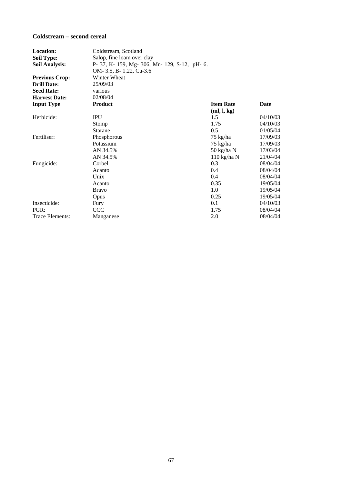## **Coldstream – second cereal**

| Location:             | Coldstream, Scotland                          |                  |          |
|-----------------------|-----------------------------------------------|------------------|----------|
| <b>Soil Type:</b>     | Salop, fine loam over clay                    |                  |          |
| <b>Soil Analysis:</b> | P- 37, K- 159, Mg- 306, Mn- 129, S-12, pH- 6. |                  |          |
|                       | OM-3.5, B-1.22, Cu-3.6                        |                  |          |
| <b>Previous Crop:</b> | Winter Wheat                                  |                  |          |
| <b>Drill Date:</b>    | 25/09/03                                      |                  |          |
| <b>Seed Rate:</b>     | various                                       |                  |          |
| <b>Harvest Date:</b>  | 02/08/04                                      |                  |          |
| <b>Input Type</b>     | <b>Product</b>                                | <b>Item Rate</b> | Date     |
|                       |                                               | (ml, l, kg)      |          |
| Herbicide:            | <b>IPU</b>                                    | 1.5              | 04/10/03 |
|                       | Stomp                                         | 1.75             | 04/10/03 |
|                       | <b>Starane</b>                                | 0.5              | 01/05/04 |
| Fertiliser:           | Phosphorous                                   | 75 kg/ha         | 17/09/03 |
|                       | Potassium                                     | 75 kg/ha         | 17/09/03 |
|                       | AN 34.5%                                      | 50 kg/ha N       | 17/03/04 |
|                       | AN 34.5%                                      | $110$ kg/ha N    | 21/04/04 |
| Fungicide:            | Corbel                                        | 0.3              | 08/04/04 |
|                       | Acanto                                        | 0.4              | 08/04/04 |
|                       | Unix                                          | 0.4              | 08/04/04 |
|                       | Acanto                                        | 0.35             | 19/05/04 |
|                       | <b>Bravo</b>                                  | 1.0              | 19/05/04 |
|                       | Opus                                          | 0.25             | 19/05/04 |
| Insecticide:          | Fury                                          | 0.1              | 04/10/03 |
| PGR:                  | <b>CCC</b>                                    | 1.75             | 08/04/04 |
| Trace Elements:       | Manganese                                     | 2.0              | 08/04/04 |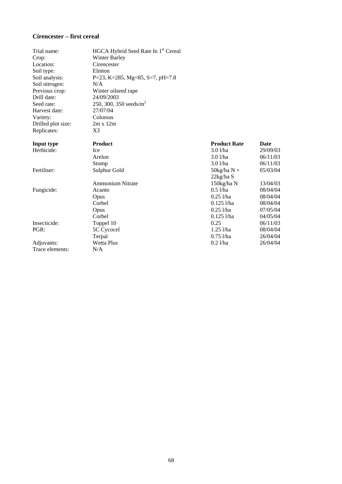## **Cirencester – first cereal**

| Trial name:        | HGCA Hybrid Seed Rate In 1 <sup>st</sup> Cereal |                      |             |
|--------------------|-------------------------------------------------|----------------------|-------------|
| Crop:              | <b>Winter Barley</b>                            |                      |             |
| Location:          | Cirencester                                     |                      |             |
| Soil type:         | Elmton                                          |                      |             |
| Soil analysis:     | P=23, K=285, Mg=85, S=7, pH=7.8                 |                      |             |
| Soil nitrogen:     | N/A                                             |                      |             |
| Previous crop:     | Winter oilseed rape                             |                      |             |
| Drill date:        | 24/09/2003                                      |                      |             |
| Seed rate:         | 250, 300, 350 seeds/ $m^2$                      |                      |             |
| Harvest date:      | 27/07/04                                        |                      |             |
| Variety:           | Colossus                                        |                      |             |
| Drilled plot size: | $2m \times 12m$                                 |                      |             |
| Replicates:        | X3                                              |                      |             |
| <b>Input type</b>  | <b>Product</b>                                  | <b>Product Rate</b>  | <b>Date</b> |
| Herbicide:         | <b>Ice</b>                                      | 3.01/ha              | 29/09/03    |
|                    | Arelon                                          | $3.0$ $1$ /ha        | 06/11/03    |
|                    | Stomp                                           | $3.0$ $1$ /ha        | 06/11/03    |
| Fertiliser:        | Sulphur Gold                                    | $50\text{kg/ha}$ N + | 05/03/04    |
|                    |                                                 | 22kg/ha S            |             |
|                    | <b>Ammonium Nitrate</b>                         | 150kg/ha N           | 13/04/03    |
| Fungicide:         | Acanto                                          | $0.5$ l/ha           | 08/04/04    |
|                    | Opus                                            | $0.25$ l/ha          | 08/04/04    |
|                    | Corbel                                          | $0.125$ <i>l</i> /ha | 08/04/04    |
|                    | Opus                                            | $0.25$ <i>l</i> /ha  | 07/05/04    |
|                    | Corbel                                          | $0.125$ <i>l</i> /ha | 04/05/04    |
| Insecticide:       | Toppel 10                                       | 0.25                 | 06/11/03    |
| PGR:               | 5C Cycocel                                      | $1.25$ $1$ /ha       | 08/04/04    |
|                    | Terpal                                          | $0.75$ <i>l</i> /ha  | 26/04/04    |
| Adjuvants:         | <b>Wetta Plus</b>                               | $0.2$ l/ha           | 26/04/04    |
| Trace elements:    | N/A                                             |                      |             |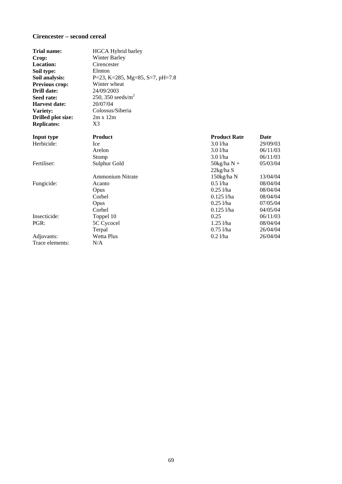## **Cirencester – second cereal**

| <b>Trial name:</b>        | <b>HGCA Hybrid barley</b>       |                      |             |
|---------------------------|---------------------------------|----------------------|-------------|
| Crop:                     | <b>Winter Barley</b>            |                      |             |
| <b>Location:</b>          | Cirencester                     |                      |             |
| Soil type:                | Elmton                          |                      |             |
| Soil analysis:            | P=23, K=285, Mg=85, S=7, pH=7.8 |                      |             |
| Previous crop:            | Winter wheat                    |                      |             |
| Drill date:               | 24/09/2003                      |                      |             |
| Seed rate:                | 250, 350 seeds/ $m^2$           |                      |             |
| <b>Harvest date:</b>      | 20/07/04                        |                      |             |
| Variety:                  | Colossus/Siberia                |                      |             |
| <b>Drilled plot size:</b> | $2m \times 12m$                 |                      |             |
| <b>Replicates:</b>        | X <sub>3</sub>                  |                      |             |
| Input type                | <b>Product</b>                  | <b>Product Rate</b>  | <b>Date</b> |
| Herbicide:                | <b>Ice</b>                      | 3.0 l/ha             | 29/09/03    |
|                           | Arelon                          | $3.0$ $1$ /ha        | 06/11/03    |
|                           | Stomp                           | $3.0$ $1$ /ha        | 06/11/03    |
| Fertiliser:               | Sulphur Gold                    | $50\text{kg/ha}$ N + | 05/03/04    |
|                           |                                 | 22kg/ha S            |             |
|                           | <b>Ammonium Nitrate</b>         | 150kg/ha N           | 13/04/04    |
| Fungicide:                | Acanto                          | 0.51/ha              | 08/04/04    |
|                           | Opus                            | $0.25$ <i>l</i> /ha  | 08/04/04    |
|                           | Corbel                          | $0.125$ <i>l/ha</i>  | 08/04/04    |
|                           | Opus                            | $0.25$ <i>l</i> /ha  | 07/05/04    |
|                           | Corbel                          | $0.125$ <i>l</i> /ha | 04/05/04    |
| Insecticide:              | Toppel 10                       | 0.25                 | 06/11/03    |
| PGR:                      | 5C Cycocel                      | $1.25$ <i>l</i> /ha  | 08/04/04    |
|                           | Terpal                          | $0.75$ <i>Vha</i>    | 26/04/04    |
| Adjuvants:                | <b>Wetta Plus</b>               | $0.2$ l/ha           | 26/04/04    |
| Trace elements:           | N/A                             |                      |             |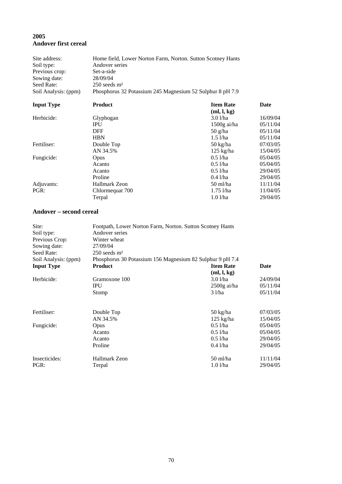# **2005 Andover first cereal**

| Site address:<br>Soil type:<br>Previous crop:<br>Sowing date:<br>Seed Rate: | Home field, Lower Norton Farm, Norton. Sutton Scotney Hants<br>Andover series<br>Set-a-side<br>28/09/04<br>$250$ seeds $m2$ |                                                              |                                              |  |  |
|-----------------------------------------------------------------------------|-----------------------------------------------------------------------------------------------------------------------------|--------------------------------------------------------------|----------------------------------------------|--|--|
| Soil Analysis: (ppm)                                                        | Phosphorus 32 Potassium 245 Magnesium 52 Sulphur 8 pH 7.9                                                                   |                                                              |                                              |  |  |
| <b>Input Type</b>                                                           | <b>Product</b>                                                                                                              | <b>Item Rate</b><br>(ml, l, kg)                              | Date                                         |  |  |
| Herbicide:                                                                  | Glyphogan<br><b>IPU</b><br><b>DFF</b><br><b>HBN</b>                                                                         | $3.0$ $1$ /ha<br>$1500g$ ai/ha<br>$50$ g/ha<br>$1.5$ $1$ /ha | 16/09/04<br>05/11/04<br>05/11/04<br>05/11/04 |  |  |
| Fertiliser:                                                                 | Double Top<br>AN 34.5%                                                                                                      | 50 kg/ha<br>$125$ kg/ha                                      | 07/03/05<br>15/04/05                         |  |  |
| Fungicide:                                                                  | Opus<br>Acanto<br>Acanto<br>Proline                                                                                         | $0.5$ l/ha<br>$0.5$ l/ha<br>$0.5$ l/ha<br>$0.4$ l/ha         | 05/04/05<br>05/04/05<br>29/04/05<br>29/04/05 |  |  |
| Adjuvants:<br>PGR:                                                          | Hallmark Zeon<br>Chlormequat 700<br>Terpal                                                                                  | 50 ml/ha<br>$1.75$ <i>Vha</i><br>1.0 l/ha                    | 11/11/04<br>11/04/05<br>29/04/05             |  |  |

#### **Andover – second cereal**

| Site:                | Footpath, Lower Norton Farm, Norton. Sutton Scotney Hants |                     |          |  |  |
|----------------------|-----------------------------------------------------------|---------------------|----------|--|--|
| Soil type:           | Andover series<br>Winter wheat                            |                     |          |  |  |
| Previous Crop:       |                                                           |                     |          |  |  |
| Sowing date:         | 27/09/04                                                  |                     |          |  |  |
| Seed Rate:           | $250$ seeds $m2$                                          |                     |          |  |  |
| Soil Analysis: (ppm) | Phosphorus 30 Potassium 156 Magnesium 82 Sulphur 9 pH 7.4 |                     |          |  |  |
| <b>Input Type</b>    | <b>Product</b>                                            | <b>Item Rate</b>    | Date     |  |  |
|                      |                                                           | (ml, l, kg)         |          |  |  |
| Herbicide:           | Gramoxone 100                                             | $3.0$ $1$ /ha       | 24/09/04 |  |  |
|                      | <b>IPU</b>                                                | $2500g$ ai/ha       | 05/11/04 |  |  |
|                      | Stomp                                                     | 31/ha               | 05/11/04 |  |  |
| Fertiliser:          | Double Top                                                | 50 kg/ha            | 07/03/05 |  |  |
|                      | AN 34.5%                                                  | $125 \text{ kg/ha}$ | 15/04/05 |  |  |
| Fungicide:           | Opus                                                      | $0.5$ l/ha          | 05/04/05 |  |  |
|                      | Acanto                                                    | $0.5$ <i>l</i> /ha  | 05/04/05 |  |  |
|                      | Acanto                                                    | $0.5$ $1$ /ha       | 29/04/05 |  |  |
|                      | Proline                                                   | $0.4$ <i>l</i> /ha  | 29/04/05 |  |  |
| Insecticides:        | Hallmark Zeon                                             | $50 \text{ ml/ha}$  | 11/11/04 |  |  |
| PGR:                 | Terpal                                                    | $1.0$ $1/ha$        | 29/04/05 |  |  |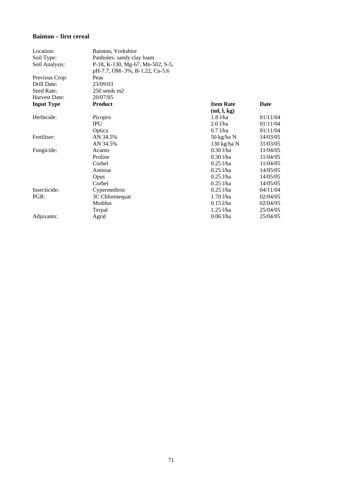## **Bainton – first cereal**

| Location:         | Bainton, Yorkshire               |                       |          |
|-------------------|----------------------------------|-----------------------|----------|
| Soil Type:        | Panholes-sandy clay loam         |                       |          |
| Soil Analysis:    | P-18, K-130, Mg-67, Mn-502, S-5, |                       |          |
|                   | pH-7.7, OM-3%, B-1.22, Cu-5.6    |                       |          |
| Previous Crop:    | Peas                             |                       |          |
| Drill Date:       | 23/09/03                         |                       |          |
| Seed Rate:        | 250 seeds m2                     |                       |          |
| Harvest Date:     | 20/07/05                         |                       |          |
| <b>Input Type</b> | <b>Product</b>                   | <b>Item Rate</b>      | Date     |
|                   |                                  | (ml, l, kg)           |          |
| Herbicide:        | Picopro                          | $1.8$ $1/ha$          | 01/11/04 |
|                   | <b>IPU</b>                       | 2.01/ha               | 01/11/04 |
|                   | Optica                           | $0.7$ $1$ /ha         | 01/11/04 |
| Fertiliser:       | AN 34.5%                         | 50 kg/ha N            | 14/03/05 |
|                   | AN 34.5%                         | $130 \text{ kg/ha}$ N | 31/03/05 |
| Fungicide:        | Acanto                           | $0.301$ /ha           | 11/04/05 |
|                   | Proline                          | $0.30$ <i>Vha</i>     | 11/04/05 |
|                   | Corbel                           | $0.25$ <i>l</i> /ha   | 11/04/05 |
|                   | Amistar                          | $0.25$ l/ha           | 14/05/05 |
|                   | Opus                             | $0.25$ <i>l</i> /ha   | 14/05/05 |
|                   | Corbel                           | $0.25$ <i>l</i> /ha   | 14/05/05 |
| Insecticide:      | Cypermethrin                     | $0.25$ l/ha           | 04/11/04 |
| PGR:              | 3C Chlormequat                   | $1.70$ $1/ha$         | 02/04/05 |
|                   | Moddus                           | $0.15$ l/ha           | 02/04/05 |
|                   | Terpal                           | $1.25$ $1/ha$         | 25/04/05 |
| Adjuvants:        | Agral                            | $0.061$ /ha           | 25/04/05 |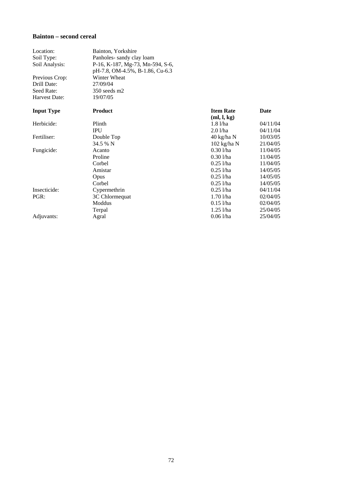#### **Bainton – second cereal**

| Location:         | Bainton, Yorkshire               |                                 |          |
|-------------------|----------------------------------|---------------------------------|----------|
| Soil Type:        | Panholes-sandy clay loam         |                                 |          |
| Soil Analysis:    | P-16, K-187, Mg-73, Mn-594, S-6, |                                 |          |
|                   | pH-7.8, OM-4.5%, B-1.86, Cu-6.3  |                                 |          |
| Previous Crop:    | Winter Wheat                     |                                 |          |
| Drill Date:       | 27/09/04                         |                                 |          |
| Seed Rate:        | $350$ seeds m2                   |                                 |          |
| Harvest Date:     | 19/07/05                         |                                 |          |
| <b>Input Type</b> | <b>Product</b>                   | <b>Item Rate</b><br>(ml, l, kg) | Date     |
| Herbicide:        | Plinth                           | $1.8$ $1/ha$                    | 04/11/04 |
|                   | <b>IPU</b>                       | 2.01/ha                         | 04/11/04 |
| Fertiliser:       | Double Top                       | 40 kg/ha N                      | 10/03/05 |
|                   | 34.5 % N                         | $102$ kg/ha N                   | 21/04/05 |
| Fungicide:        | Acanto                           | $0.30$ <i>l</i> /ha             | 11/04/05 |
|                   | Proline                          | $0.30$ <i>l</i> /ha             | 11/04/05 |
|                   | Corbel                           | $0.25$ l/ha                     | 11/04/05 |
|                   | Amistar                          | $0.25$ <i>l/ha</i>              | 14/05/05 |
|                   | Opus                             | $0.25$ <i>l/ha</i>              | 14/05/05 |
|                   | Corbel                           | $0.25$ l/ha                     | 14/05/05 |
| Insecticide:      | Cypermethrin                     | $0.25$ <i>l</i> /ha             | 04/11/04 |
| PGR:              | 3C Chlormequat                   | $1.70$ $1/ha$                   | 02/04/05 |
|                   | Moddus                           | $0.15$ l/ha                     | 02/04/05 |
|                   | Terpal                           | $1.25$ $1/ha$                   | 25/04/05 |
| Adjuvants:        | Agral                            | $0.06$ <i>l</i> /ha             | 25/04/05 |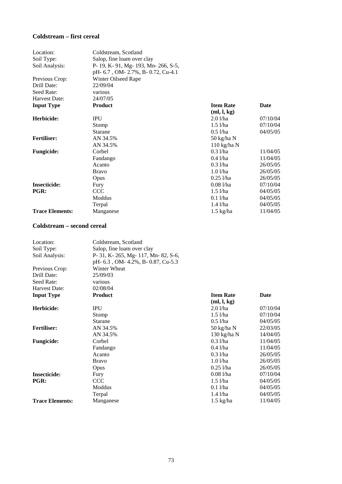### **Coldstream – first cereal**

| Location:              | Coldstream, Scotland                 |                   |          |
|------------------------|--------------------------------------|-------------------|----------|
| Soil Type:             | Salop, fine loam over clay           |                   |          |
| Soil Analysis:         | P- 19, K- 91, Mg- 193, Mn- 266, S-5, |                   |          |
|                        | pH- 6.7, OM- 2.7%, B- 0.72, Cu-4.1   |                   |          |
| Previous Crop:         | Winter Oilseed Rape                  |                   |          |
| Drill Date:            | 22/09/04                             |                   |          |
| Seed Rate:             | various                              |                   |          |
| Harvest Date:          | 24/07/05                             |                   |          |
| <b>Input Type</b>      | <b>Product</b>                       | <b>Item Rate</b>  | Date     |
|                        |                                      | (ml, l, kg)       |          |
| Herbicide:             | <b>IPU</b>                           | $2.0$ l/ha        | 07/10/04 |
|                        | Stomp                                | $1.5$ $1$ /ha     | 07/10/04 |
|                        | <b>Starane</b>                       | $0.5$ l/ha        | 04/05/05 |
| <b>Fertiliser:</b>     | AN 34.5%                             | 50 kg/ha N        |          |
|                        | AN 34.5%                             | $110$ kg/ha N     |          |
| <b>Fungicide:</b>      | Corbel                               | $0.3$ l/ha        | 11/04/05 |
|                        | Fandango                             | $0.4$ l/ha        | 11/04/05 |
|                        | Acanto                               | $0.3$ l/ha        | 26/05/05 |
|                        | <b>Bravo</b>                         | $1.0$ $1$ /ha     | 26/05/05 |
|                        | Opus                                 | $0.25$ <i>Vha</i> | 26/05/05 |
| <b>Insecticide:</b>    | Fury                                 | $0.081$ /ha       | 07/10/04 |
| PGR:                   | <b>CCC</b>                           | $1.5$ $1$ /ha     | 04/05/05 |
|                        | Moddus                               | $0.1$ l/ha        | 04/05/05 |
|                        | Terpal                               | $1.4$ $1/ha$      | 04/05/05 |
| <b>Trace Elements:</b> | Manganese                            | $1.5$ kg/ha       | 11/04/05 |

## **Coldstream – second cereal**

| Location:              | Coldstream, Scotland                 |                     |          |
|------------------------|--------------------------------------|---------------------|----------|
| Soil Type:             | Salop, fine loam over clay           |                     |          |
| Soil Analysis:         | P- 31, K- 265, Mg- 117, Mn- 82, S-6, |                     |          |
|                        | pH- 6.3, OM- 4.2%, B- 0.87, Cu-5.3   |                     |          |
| Previous Crop:         | Winter Wheat                         |                     |          |
| Drill Date:            | 25/09/03                             |                     |          |
| Seed Rate:             | various                              |                     |          |
| Harvest Date:          | 02/08/04                             |                     |          |
| <b>Input Type</b>      | <b>Product</b>                       | <b>Item Rate</b>    | Date     |
|                        |                                      | (ml, l, kg)         |          |
| Herbicide:             | <b>IPU</b>                           | $2.0$ $1$ /ha       | 07/10/04 |
|                        | Stomp                                | $1.5$ $1$ /ha       | 07/10/04 |
|                        | <b>Starane</b>                       | $0.5$ <i>l</i> /ha  | 04/05/05 |
| <b>Fertiliser:</b>     | AN 34.5%                             | 50 kg/ha N          | 22/03/05 |
|                        | AN 34.5%                             | 130 kg/ha $N$       | 14/04/05 |
| <b>Fungicide:</b>      | Corbel                               | $0.3$ $1$ /ha       | 11/04/05 |
|                        | Fandango                             | $0.4$ l/ha          | 11/04/05 |
|                        | Acanto                               | $0.3$ l/ha          | 26/05/05 |
|                        | <b>Bravo</b>                         | $1.0$ $1/ha$        | 26/05/05 |
|                        | Opus                                 | $0.25$ l/ha         | 26/05/05 |
| <b>Insecticide:</b>    | Fury                                 | $0.081$ /ha         | 07/10/04 |
| PGR:                   | <b>CCC</b>                           | $1.5$ l/ha          | 04/05/05 |
|                        | Moddus                               | $0.1$ l/ha          | 04/05/05 |
|                        | Terpal                               | $1.4$ $1/ha$        | 04/05/05 |
| <b>Trace Elements:</b> | Manganese                            | $1.5 \text{ kg/ha}$ | 11/04/05 |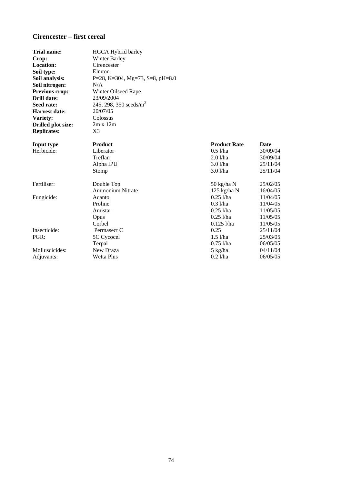# **Cirencester – first cereal**

| <b>Trial name:</b>        | <b>HGCA</b> Hybrid barley          |                     |          |
|---------------------------|------------------------------------|---------------------|----------|
| Crop:                     | <b>Winter Barley</b>               |                     |          |
| <b>Location:</b>          | Cirencester                        |                     |          |
| Soil type:                | Elmton                             |                     |          |
| Soil analysis:            | P=28, K=304, Mg=73, S=8, pH=8.0    |                     |          |
| Soil nitrogen:            | N/A                                |                     |          |
| Previous crop:            | Winter Oilseed Rape                |                     |          |
| Drill date:               | 23/09/2004                         |                     |          |
| Seed rate:                | 245, 298, 350 seeds/m <sup>2</sup> |                     |          |
| <b>Harvest date:</b>      | 20/07/05                           |                     |          |
| Variety:                  | Colossus                           |                     |          |
| <b>Drilled plot size:</b> | $2m \times 12m$                    |                     |          |
| <b>Replicates:</b>        | X3                                 |                     |          |
| Input type                | <b>Product</b>                     | <b>Product Rate</b> | Date     |
| Herbicide:                | Liberator                          | $0.5$ l/ha          | 30/09/04 |
|                           | Treflan                            | $2.0$ l/ha          | 30/09/04 |
|                           | Alpha IPU                          | $3.0$ $1$ /ha       | 25/11/04 |
|                           | Stomp                              | $3.0$ $1$ /ha       | 25/11/04 |
| Fertiliser:               | Double Top                         | 50 kg/ha N          | 25/02/05 |
|                           | <b>Ammonium Nitrate</b>            | $125$ kg/ha N       | 16/04/05 |
| Fungicide:                | Acanto                             | $0.25$ l/ha         | 11/04/05 |
|                           | Proline                            | $0.3$ l/ha          | 11/04/05 |
|                           | Amistar                            | $0.25$ <i>l</i> /ha | 11/05/05 |
|                           | Opus                               | $0.25$ l/ha         | 11/05/05 |
|                           | Corbel                             | $0.125$ l/ha        | 11/05/05 |
| Insecticide:              | Permasect C                        | 0.25                | 25/11/04 |
| PGR:                      | 5C Cycocel                         | $1.5$ $1/ha$        | 25/03/05 |
|                           | Terpal                             | $0.75$ <i>l</i> /ha | 06/05/05 |
| Molluscicides:            | New Draza                          | 5 kg/ha             | 04/11/04 |
| Adjuvants:                | Wetta Plus                         | $0.2$ l/ha          | 06/05/05 |